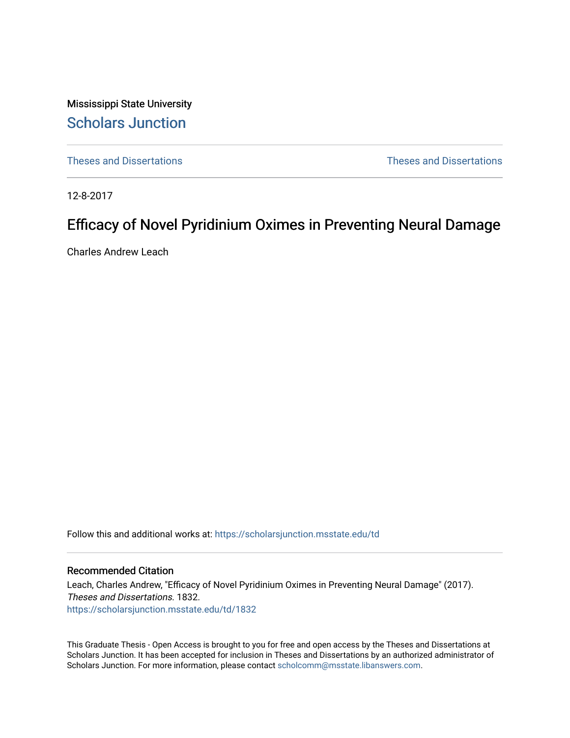Mississippi State University [Scholars Junction](https://scholarsjunction.msstate.edu/) 

[Theses and Dissertations](https://scholarsjunction.msstate.edu/td) [Theses and Dissertations](https://scholarsjunction.msstate.edu/theses-dissertations) 

12-8-2017

# Efficacy of Novel Pyridinium Oximes in Preventing Neural Damage

Charles Andrew Leach

Follow this and additional works at: [https://scholarsjunction.msstate.edu/td](https://scholarsjunction.msstate.edu/td?utm_source=scholarsjunction.msstate.edu%2Ftd%2F1832&utm_medium=PDF&utm_campaign=PDFCoverPages) 

#### Recommended Citation

Leach, Charles Andrew, "Efficacy of Novel Pyridinium Oximes in Preventing Neural Damage" (2017). Theses and Dissertations. 1832. [https://scholarsjunction.msstate.edu/td/1832](https://scholarsjunction.msstate.edu/td/1832?utm_source=scholarsjunction.msstate.edu%2Ftd%2F1832&utm_medium=PDF&utm_campaign=PDFCoverPages) 

This Graduate Thesis - Open Access is brought to you for free and open access by the Theses and Dissertations at Scholars Junction. It has been accepted for inclusion in Theses and Dissertations by an authorized administrator of Scholars Junction. For more information, please contact [scholcomm@msstate.libanswers.com.](mailto:scholcomm@msstate.libanswers.com)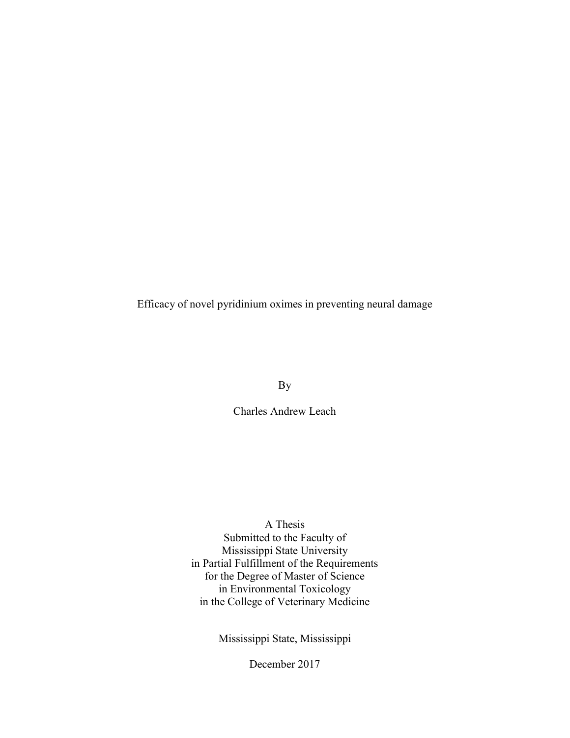Efficacy of novel pyridinium oximes in preventing neural damage

By

Charles Andrew Leach

A Thesis

Submitted to the Faculty of Mississippi State University in Partial Fulfillment of the Requirements for the Degree of Master of Science in Environmental Toxicology in the College of Veterinary Medicine

Mississippi State, Mississippi

December 2017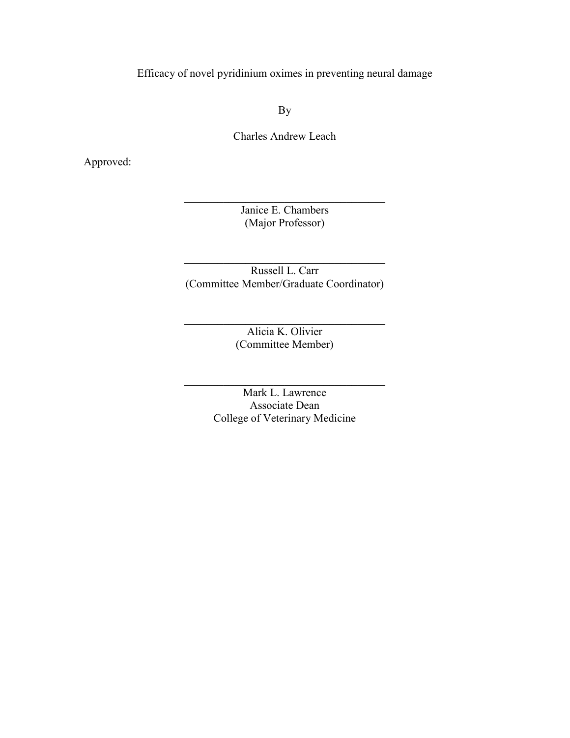Efficacy of novel pyridinium oximes in preventing neural damage

By

Charles Andrew Leach

Approved:

Janice E. Chambers (Major Professor)

 $\_$ 

Russell L. Carr (Committee Member/Graduate Coordinator)

 $\_$ 

Alicia K. Olivier (Committee Member)

 $\_$ 

Mark L. Lawrence Associate Dean College of Veterinary Medicine

 $\_$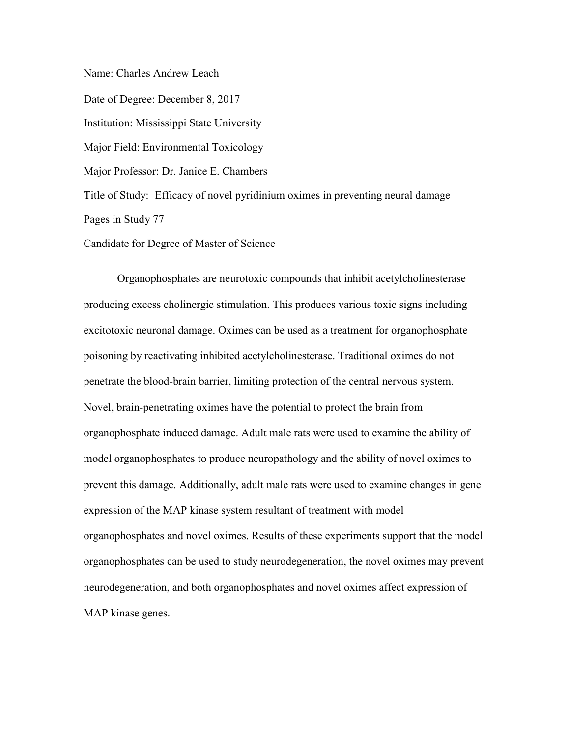Name: Charles Andrew Leach

Date of Degree: December 8, 2017 Institution: Mississippi State University Major Field: Environmental Toxicology Major Professor: Dr. Janice E. Chambers Title of Study: Efficacy of novel pyridinium oximes in preventing neural damage Pages in Study 77

Candidate for Degree of Master of Science

Organophosphates are neurotoxic compounds that inhibit acetylcholinesterase producing excess cholinergic stimulation. This produces various toxic signs including excitotoxic neuronal damage. Oximes can be used as a treatment for organophosphate poisoning by reactivating inhibited acetylcholinesterase. Traditional oximes do not penetrate the blood-brain barrier, limiting protection of the central nervous system. Novel, brain-penetrating oximes have the potential to protect the brain from organophosphate induced damage. Adult male rats were used to examine the ability of model organophosphates to produce neuropathology and the ability of novel oximes to prevent this damage. Additionally, adult male rats were used to examine changes in gene expression of the MAP kinase system resultant of treatment with model organophosphates and novel oximes. Results of these experiments support that the model organophosphates can be used to study neurodegeneration, the novel oximes may prevent neurodegeneration, and both organophosphates and novel oximes affect expression of MAP kinase genes.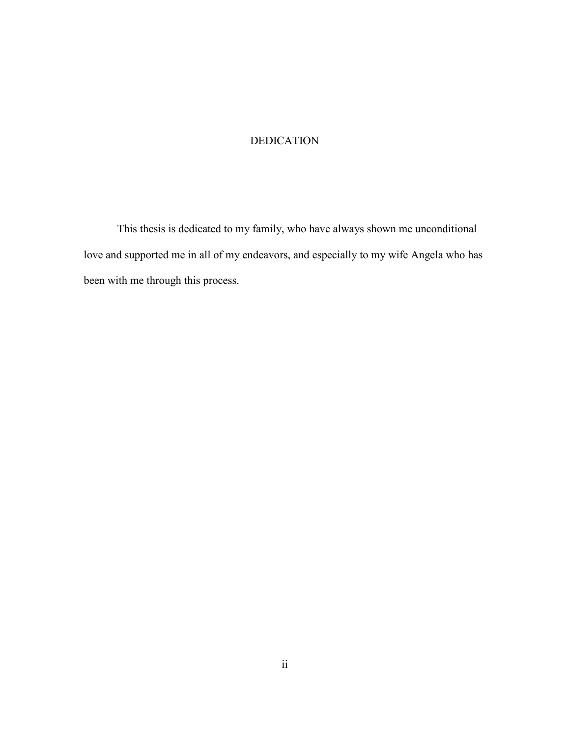## DEDICATION

This thesis is dedicated to my family, who have always shown me unconditional love and supported me in all of my endeavors, and especially to my wife Angela who has been with me through this process.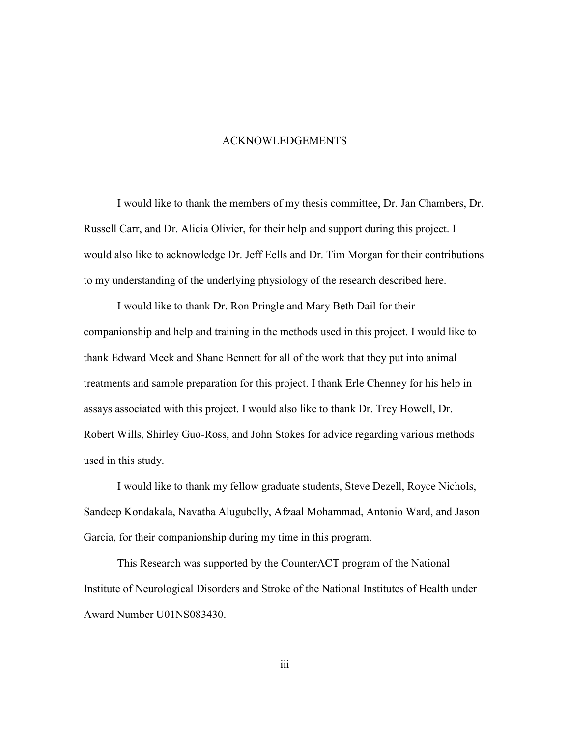#### ACKNOWLEDGEMENTS

I would like to thank the members of my thesis committee, Dr. Jan Chambers, Dr. Russell Carr, and Dr. Alicia Olivier, for their help and support during this project. I would also like to acknowledge Dr. Jeff Eells and Dr. Tim Morgan for their contributions to my understanding of the underlying physiology of the research described here.

I would like to thank Dr. Ron Pringle and Mary Beth Dail for their companionship and help and training in the methods used in this project. I would like to thank Edward Meek and Shane Bennett for all of the work that they put into animal treatments and sample preparation for this project. I thank Erle Chenney for his help in assays associated with this project. I would also like to thank Dr. Trey Howell, Dr. Robert Wills, Shirley Guo-Ross, and John Stokes for advice regarding various methods used in this study.

I would like to thank my fellow graduate students, Steve Dezell, Royce Nichols, Sandeep Kondakala, Navatha Alugubelly, Afzaal Mohammad, Antonio Ward, and Jason Garcia, for their companionship during my time in this program.

This Research was supported by the CounterACT program of the National Institute of Neurological Disorders and Stroke of the National Institutes of Health under Award Number U01NS083430.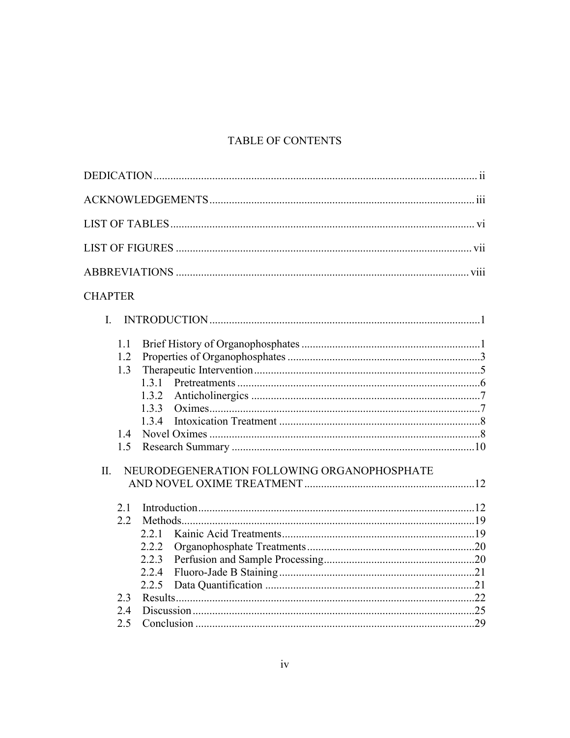# **TABLE OF CONTENTS**

# **CHAPTER**

| $\mathbf{I}$ |     |                                             |  |
|--------------|-----|---------------------------------------------|--|
|              | 1.1 |                                             |  |
|              | 1.2 |                                             |  |
|              | 1.3 |                                             |  |
|              |     |                                             |  |
|              |     | 1.3.2                                       |  |
|              |     | 133                                         |  |
|              |     | 1.3.4                                       |  |
|              | 14  |                                             |  |
|              | 1.5 |                                             |  |
|              |     |                                             |  |
| II.          |     | NEURODEGENERATION FOLLOWING ORGANOPHOSPHATE |  |
|              | 2.1 |                                             |  |
|              | 2.2 |                                             |  |
|              |     | 2.2.1                                       |  |
|              |     | 222                                         |  |
|              |     | 2.2.3                                       |  |
|              |     | 2.2.4                                       |  |
|              |     | 2.2.5                                       |  |
|              | 2.3 |                                             |  |
|              | 2.4 |                                             |  |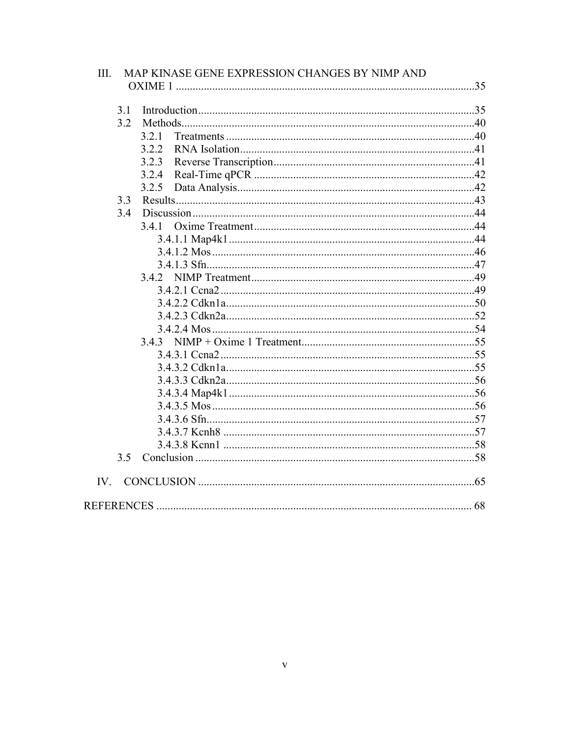| Ш.       | MAP KINASE GENE EXPRESSION CHANGES BY NIMP AND |  |
|----------|------------------------------------------------|--|
|          |                                                |  |
| 3.1      |                                                |  |
| 3.2      |                                                |  |
|          | 3.2.1                                          |  |
|          | 3.2.2<br>3.2.3                                 |  |
|          | 3.2.4                                          |  |
|          | 3.2.5                                          |  |
| 3.3      |                                                |  |
| 3.4      |                                                |  |
|          | 3.4.1                                          |  |
|          |                                                |  |
|          |                                                |  |
|          |                                                |  |
|          |                                                |  |
|          |                                                |  |
|          |                                                |  |
|          |                                                |  |
|          |                                                |  |
|          |                                                |  |
|          |                                                |  |
|          |                                                |  |
|          |                                                |  |
|          |                                                |  |
|          |                                                |  |
|          |                                                |  |
|          |                                                |  |
|          |                                                |  |
| 3.5      |                                                |  |
| $IV_{-}$ |                                                |  |
|          |                                                |  |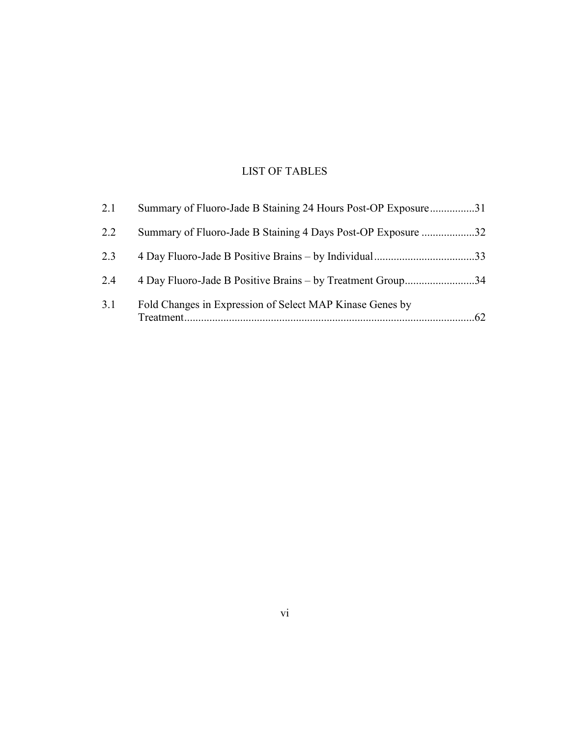# LIST OF TABLES

| 2.1 | Summary of Fluoro-Jade B Staining 24 Hours Post-OP Exposure31 |    |
|-----|---------------------------------------------------------------|----|
| 2.2 | Summary of Fluoro-Jade B Staining 4 Days Post-OP Exposure 32  |    |
| 2.3 |                                                               |    |
| 2.4 | 4 Day Fluoro-Jade B Positive Brains – by Treatment Group34    |    |
| 3.1 | Fold Changes in Expression of Select MAP Kinase Genes by      | 62 |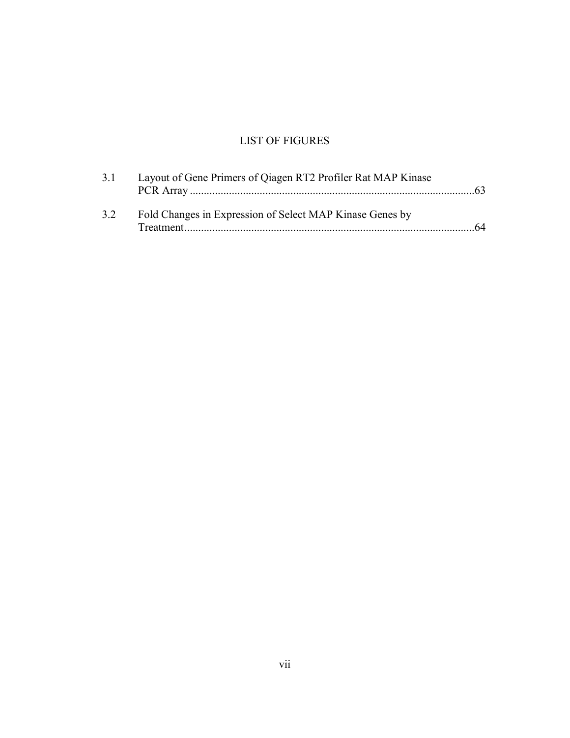# LIST OF FIGURES

|    | Layout of Gene Primers of Qiagen RT2 Profiler Rat MAP Kinase |    |
|----|--------------------------------------------------------------|----|
| 32 | Fold Changes in Expression of Select MAP Kinase Genes by     | 64 |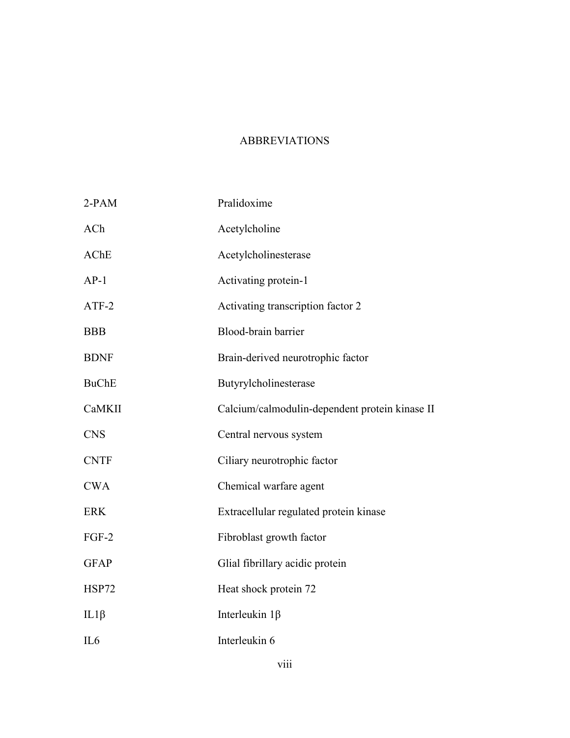## ABBREVIATIONS

| 2-PAM           | Pralidoxime                                    |
|-----------------|------------------------------------------------|
| ACh             | Acetylcholine                                  |
| AChE            | Acetylcholinesterase                           |
| $AP-1$          | Activating protein-1                           |
| ATF-2           | Activating transcription factor 2              |
| <b>BBB</b>      | Blood-brain barrier                            |
| <b>BDNF</b>     | Brain-derived neurotrophic factor              |
| <b>BuChE</b>    | Butyrylcholinesterase                          |
| CaMKII          | Calcium/calmodulin-dependent protein kinase II |
| <b>CNS</b>      | Central nervous system                         |
| <b>CNTF</b>     | Ciliary neurotrophic factor                    |
| <b>CWA</b>      | Chemical warfare agent                         |
| <b>ERK</b>      | Extracellular regulated protein kinase         |
| $FGF-2$         | Fibroblast growth factor                       |
| <b>GFAP</b>     | Glial fibrillary acidic protein                |
| HSP72           | Heat shock protein 72                          |
| $IL1\beta$      | Interleukin $1\beta$                           |
| IL <sub>6</sub> | Interleukin 6                                  |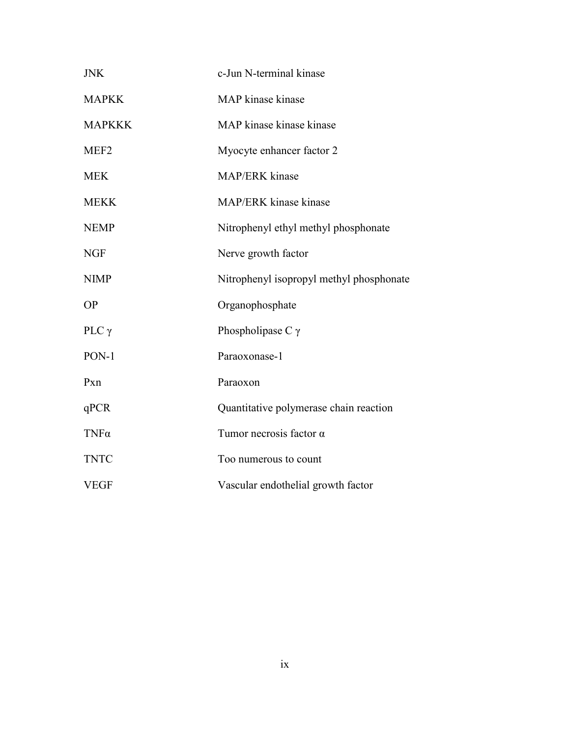| <b>JNK</b>       | c-Jun N-terminal kinase                  |
|------------------|------------------------------------------|
| <b>MAPKK</b>     | MAP kinase kinase                        |
| <b>MAPKKK</b>    | MAP kinase kinase kinase                 |
| MEF <sub>2</sub> | Myocyte enhancer factor 2                |
| <b>MEK</b>       | MAP/ERK kinase                           |
| <b>MEKK</b>      | MAP/ERK kinase kinase                    |
| <b>NEMP</b>      | Nitrophenyl ethyl methyl phosphonate     |
| <b>NGF</b>       | Nerve growth factor                      |
| <b>NIMP</b>      | Nitrophenyl isopropyl methyl phosphonate |
| <b>OP</b>        | Organophosphate                          |
| PLC $\gamma$     | Phospholipase C $\gamma$                 |
| PON-1            | Paraoxonase-1                            |
| Pxn              | Paraoxon                                 |
| qPCR             | Quantitative polymerase chain reaction   |
| $TNF\alpha$      | Tumor necrosis factor $\alpha$           |
| <b>TNTC</b>      | Too numerous to count                    |
| <b>VEGF</b>      | Vascular endothelial growth factor       |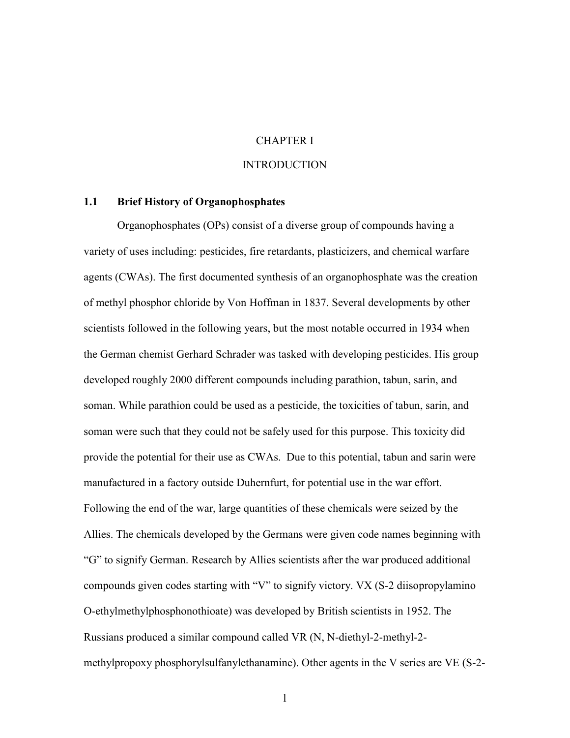## CHAPTER I

#### **INTRODUCTION**

### **1.1 Brief History of Organophosphates**

Organophosphates (OPs) consist of a diverse group of compounds having a variety of uses including: pesticides, fire retardants, plasticizers, and chemical warfare agents (CWAs). The first documented synthesis of an organophosphate was the creation of methyl phosphor chloride by Von Hoffman in 1837. Several developments by other scientists followed in the following years, but the most notable occurred in 1934 when the German chemist Gerhard Schrader was tasked with developing pesticides. His group developed roughly 2000 different compounds including parathion, tabun, sarin, and soman. While parathion could be used as a pesticide, the toxicities of tabun, sarin, and soman were such that they could not be safely used for this purpose. This toxicity did provide the potential for their use as CWAs. Due to this potential, tabun and sarin were manufactured in a factory outside Duhernfurt, for potential use in the war effort. Following the end of the war, large quantities of these chemicals were seized by the Allies. The chemicals developed by the Germans were given code names beginning with "G" to signify German. Research by Allies scientists after the war produced additional compounds given codes starting with "V" to signify victory. VX (S-2 diisopropylamino O-ethylmethylphosphonothioate) was developed by British scientists in 1952. The Russians produced a similar compound called VR (N, N-diethyl-2-methyl-2 methylpropoxy phosphorylsulfanylethanamine). Other agents in the V series are VE (S-2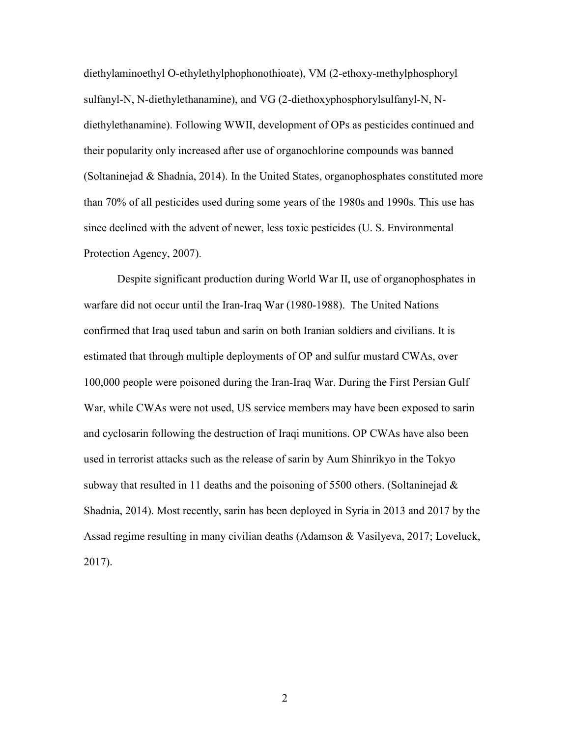diethylaminoethyl O-ethylethylphophonothioate), VM (2-ethoxy-methylphosphoryl sulfanyl-N, N-diethylethanamine), and VG (2-diethoxyphosphorylsulfanyl-N, Ndiethylethanamine). Following WWII, development of OPs as pesticides continued and their popularity only increased after use of organochlorine compounds was banned (Soltaninejad & Shadnia, 2014). In the United States, organophosphates constituted more than 70% of all pesticides used during some years of the 1980s and 1990s. This use has since declined with the advent of newer, less toxic pesticides (U. S. Environmental Protection Agency, 2007).

Despite significant production during World War II, use of organophosphates in warfare did not occur until the Iran-Iraq War (1980-1988). The United Nations confirmed that Iraq used tabun and sarin on both Iranian soldiers and civilians. It is estimated that through multiple deployments of OP and sulfur mustard CWAs, over 100,000 people were poisoned during the Iran-Iraq War. During the First Persian Gulf War, while CWAs were not used, US service members may have been exposed to sarin and cyclosarin following the destruction of Iraqi munitions. OP CWAs have also been used in terrorist attacks such as the release of sarin by Aum Shinrikyo in the Tokyo subway that resulted in 11 deaths and the poisoning of 5500 others. (Soltaninejad  $\&$ Shadnia, 2014). Most recently, sarin has been deployed in Syria in 2013 and 2017 by the Assad regime resulting in many civilian deaths (Adamson & Vasilyeva, 2017; Loveluck, 2017).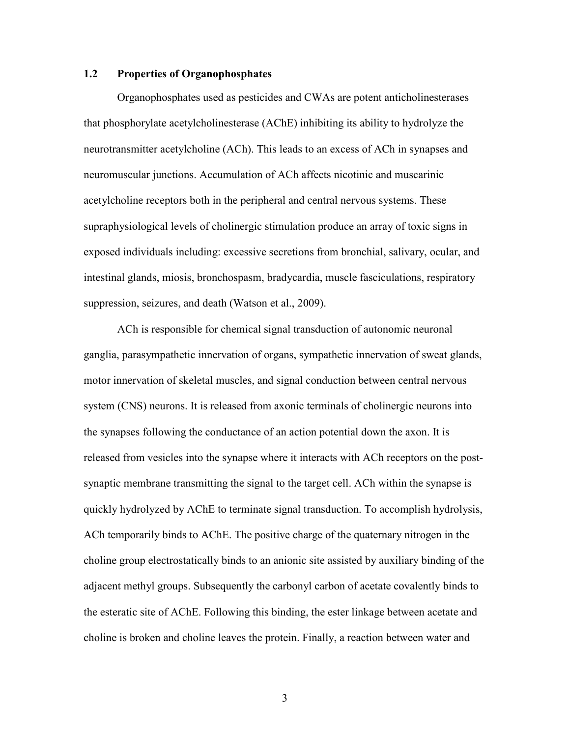## **1.2 Properties of Organophosphates**

Organophosphates used as pesticides and CWAs are potent anticholinesterases that phosphorylate acetylcholinesterase (AChE) inhibiting its ability to hydrolyze the neurotransmitter acetylcholine (ACh). This leads to an excess of ACh in synapses and neuromuscular junctions. Accumulation of ACh affects nicotinic and muscarinic acetylcholine receptors both in the peripheral and central nervous systems. These supraphysiological levels of cholinergic stimulation produce an array of toxic signs in exposed individuals including: excessive secretions from bronchial, salivary, ocular, and intestinal glands, miosis, bronchospasm, bradycardia, muscle fasciculations, respiratory suppression, seizures, and death (Watson et al., 2009).

ACh is responsible for chemical signal transduction of autonomic neuronal ganglia, parasympathetic innervation of organs, sympathetic innervation of sweat glands, motor innervation of skeletal muscles, and signal conduction between central nervous system (CNS) neurons. It is released from axonic terminals of cholinergic neurons into the synapses following the conductance of an action potential down the axon. It is released from vesicles into the synapse where it interacts with ACh receptors on the postsynaptic membrane transmitting the signal to the target cell. ACh within the synapse is quickly hydrolyzed by AChE to terminate signal transduction. To accomplish hydrolysis, ACh temporarily binds to AChE. The positive charge of the quaternary nitrogen in the choline group electrostatically binds to an anionic site assisted by auxiliary binding of the adjacent methyl groups. Subsequently the carbonyl carbon of acetate covalently binds to the esteratic site of AChE. Following this binding, the ester linkage between acetate and choline is broken and choline leaves the protein. Finally, a reaction between water and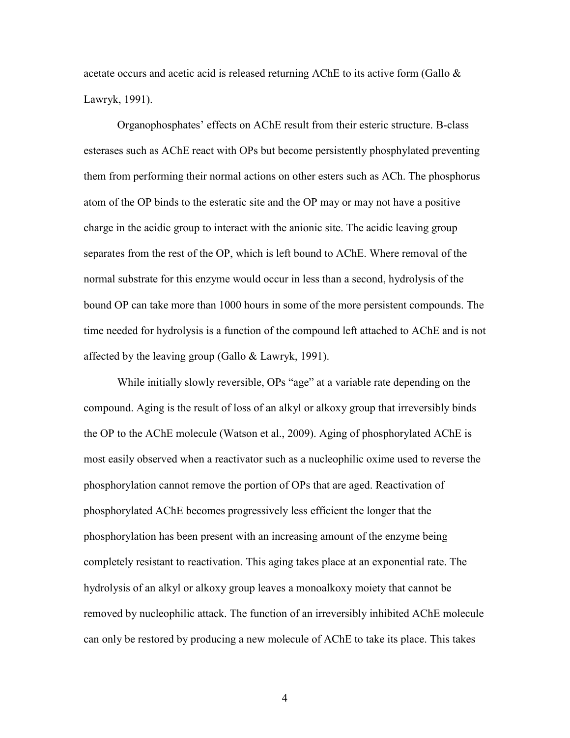acetate occurs and acetic acid is released returning AChE to its active form (Gallo & Lawryk, 1991).

Organophosphates' effects on AChE result from their esteric structure. B-class esterases such as AChE react with OPs but become persistently phosphylated preventing them from performing their normal actions on other esters such as ACh. The phosphorus atom of the OP binds to the esteratic site and the OP may or may not have a positive charge in the acidic group to interact with the anionic site. The acidic leaving group separates from the rest of the OP, which is left bound to AChE. Where removal of the normal substrate for this enzyme would occur in less than a second, hydrolysis of the bound OP can take more than 1000 hours in some of the more persistent compounds. The time needed for hydrolysis is a function of the compound left attached to AChE and is not affected by the leaving group (Gallo & Lawryk, 1991).

While initially slowly reversible, OPs "age" at a variable rate depending on the compound. Aging is the result of loss of an alkyl or alkoxy group that irreversibly binds the OP to the AChE molecule (Watson et al., 2009). Aging of phosphorylated AChE is most easily observed when a reactivator such as a nucleophilic oxime used to reverse the phosphorylation cannot remove the portion of OPs that are aged. Reactivation of phosphorylated AChE becomes progressively less efficient the longer that the phosphorylation has been present with an increasing amount of the enzyme being completely resistant to reactivation. This aging takes place at an exponential rate. The hydrolysis of an alkyl or alkoxy group leaves a monoalkoxy moiety that cannot be removed by nucleophilic attack. The function of an irreversibly inhibited AChE molecule can only be restored by producing a new molecule of AChE to take its place. This takes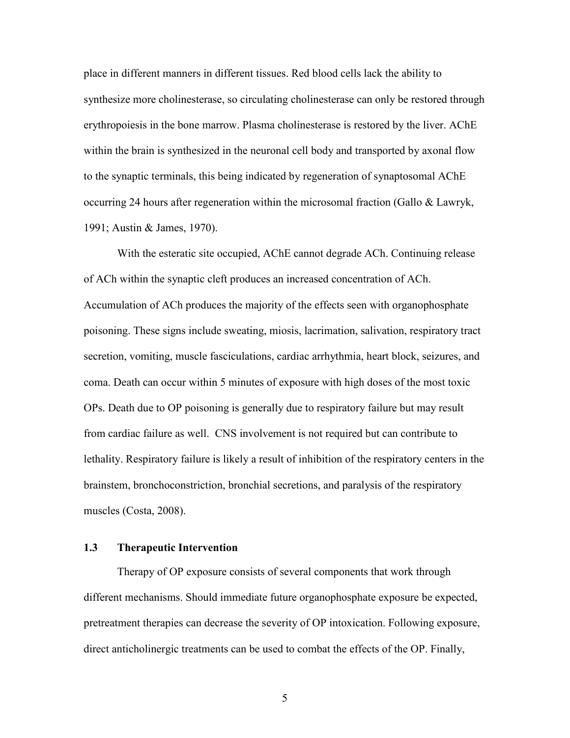place in different manners in different tissues. Red blood cells lack the ability to synthesize more cholinesterase, so circulating cholinesterase can only be restored through erythropoiesis in the bone marrow. Plasma cholinesterase is restored by the liver. AChE within the brain is synthesized in the neuronal cell body and transported by axonal flow to the synaptic terminals, this being indicated by regeneration of synaptosomal AChE occurring 24 hours after regeneration within the microsomal fraction (Gallo & Lawryk, 1991; Austin & James, 1970).

With the esteratic site occupied, AChE cannot degrade ACh. Continuing release of ACh within the synaptic cleft produces an increased concentration of ACh. Accumulation of ACh produces the majority of the effects seen with organophosphate poisoning. These signs include sweating, miosis, lacrimation, salivation, respiratory tract secretion, vomiting, muscle fasciculations, cardiac arrhythmia, heart block, seizures, and coma. Death can occur within 5 minutes of exposure with high doses of the most toxic OPs. Death due to OP poisoning is generally due to respiratory failure but may result from cardiac failure as well. CNS involvement is not required but can contribute to lethality. Respiratory failure is likely a result of inhibition of the respiratory centers in the brainstem, bronchoconstriction, bronchial secretions, and paralysis of the respiratory muscles (Costa, 2008).

#### **1.3 Therapeutic Intervention**

Therapy of OP exposure consists of several components that work through different mechanisms. Should immediate future organophosphate exposure be expected, pretreatment therapies can decrease the severity of OP intoxication. Following exposure, direct anticholinergic treatments can be used to combat the effects of the OP. Finally,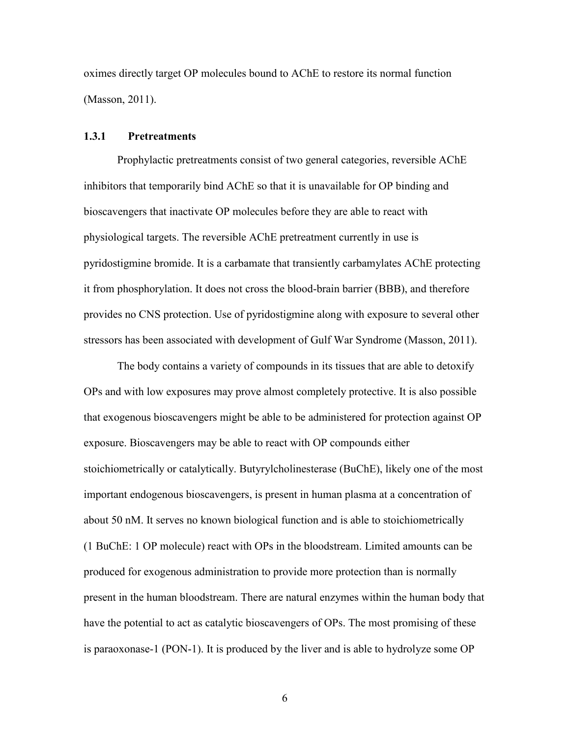oximes directly target OP molecules bound to AChE to restore its normal function (Masson, 2011).

## **1.3.1 Pretreatments**

Prophylactic pretreatments consist of two general categories, reversible AChE inhibitors that temporarily bind AChE so that it is unavailable for OP binding and bioscavengers that inactivate OP molecules before they are able to react with physiological targets. The reversible AChE pretreatment currently in use is pyridostigmine bromide. It is a carbamate that transiently carbamylates AChE protecting it from phosphorylation. It does not cross the blood-brain barrier (BBB), and therefore provides no CNS protection. Use of pyridostigmine along with exposure to several other stressors has been associated with development of Gulf War Syndrome (Masson, 2011).

The body contains a variety of compounds in its tissues that are able to detoxify OPs and with low exposures may prove almost completely protective. It is also possible that exogenous bioscavengers might be able to be administered for protection against OP exposure. Bioscavengers may be able to react with OP compounds either stoichiometrically or catalytically. Butyrylcholinesterase (BuChE), likely one of the most important endogenous bioscavengers, is present in human plasma at a concentration of about 50 nM. It serves no known biological function and is able to stoichiometrically (1 BuChE: 1 OP molecule) react with OPs in the bloodstream. Limited amounts can be produced for exogenous administration to provide more protection than is normally present in the human bloodstream. There are natural enzymes within the human body that have the potential to act as catalytic bioscavengers of OPs. The most promising of these is paraoxonase-1 (PON-1). It is produced by the liver and is able to hydrolyze some OP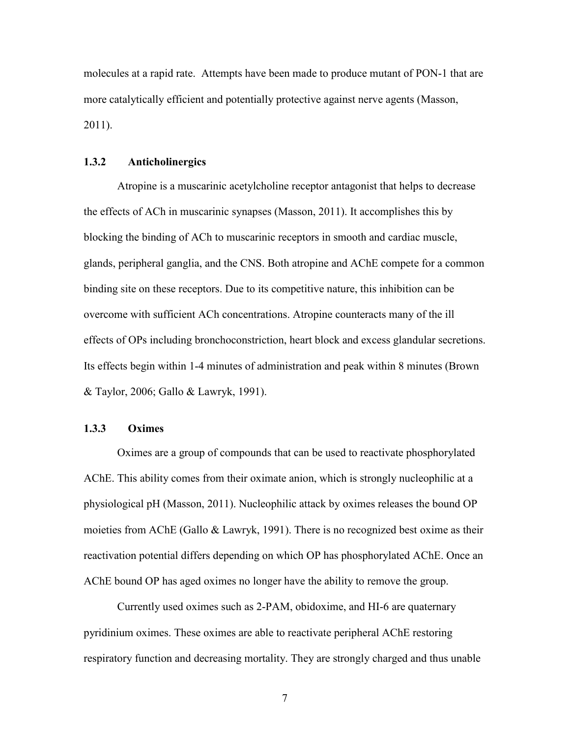molecules at a rapid rate. Attempts have been made to produce mutant of PON-1 that are more catalytically efficient and potentially protective against nerve agents (Masson, 2011).

## **1.3.2 Anticholinergics**

Atropine is a muscarinic acetylcholine receptor antagonist that helps to decrease the effects of ACh in muscarinic synapses (Masson, 2011). It accomplishes this by blocking the binding of ACh to muscarinic receptors in smooth and cardiac muscle, glands, peripheral ganglia, and the CNS. Both atropine and AChE compete for a common binding site on these receptors. Due to its competitive nature, this inhibition can be overcome with sufficient ACh concentrations. Atropine counteracts many of the ill effects of OPs including bronchoconstriction, heart block and excess glandular secretions. Its effects begin within 1-4 minutes of administration and peak within 8 minutes (Brown & Taylor, 2006; Gallo & Lawryk, 1991).

## **1.3.3 Oximes**

Oximes are a group of compounds that can be used to reactivate phosphorylated AChE. This ability comes from their oximate anion, which is strongly nucleophilic at a physiological pH (Masson, 2011). Nucleophilic attack by oximes releases the bound OP moieties from AChE (Gallo & Lawryk, 1991). There is no recognized best oxime as their reactivation potential differs depending on which OP has phosphorylated AChE. Once an AChE bound OP has aged oximes no longer have the ability to remove the group.

Currently used oximes such as 2-PAM, obidoxime, and HI-6 are quaternary pyridinium oximes. These oximes are able to reactivate peripheral AChE restoring respiratory function and decreasing mortality. They are strongly charged and thus unable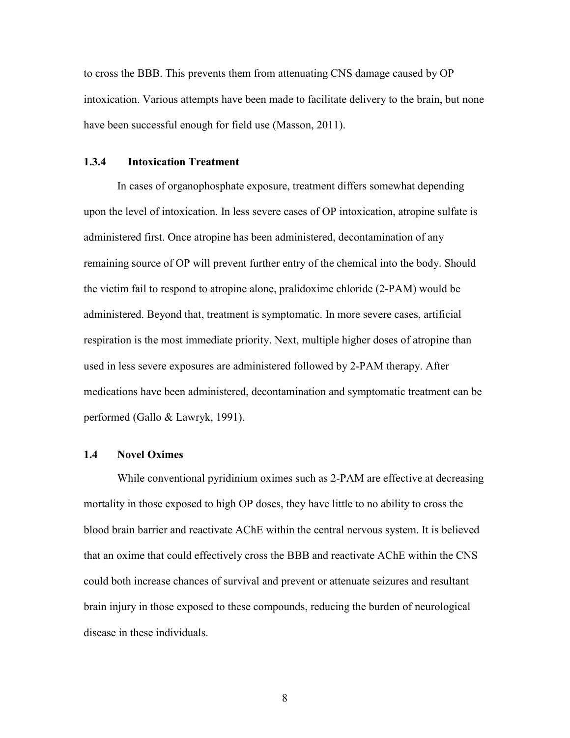to cross the BBB. This prevents them from attenuating CNS damage caused by OP intoxication. Various attempts have been made to facilitate delivery to the brain, but none have been successful enough for field use (Masson, 2011).

#### **1.3.4 Intoxication Treatment**

In cases of organophosphate exposure, treatment differs somewhat depending upon the level of intoxication. In less severe cases of OP intoxication, atropine sulfate is administered first. Once atropine has been administered, decontamination of any remaining source of OP will prevent further entry of the chemical into the body. Should the victim fail to respond to atropine alone, pralidoxime chloride (2-PAM) would be administered. Beyond that, treatment is symptomatic. In more severe cases, artificial respiration is the most immediate priority. Next, multiple higher doses of atropine than used in less severe exposures are administered followed by 2-PAM therapy. After medications have been administered, decontamination and symptomatic treatment can be performed (Gallo & Lawryk, 1991).

#### **1.4 Novel Oximes**

While conventional pyridinium oximes such as 2-PAM are effective at decreasing mortality in those exposed to high OP doses, they have little to no ability to cross the blood brain barrier and reactivate AChE within the central nervous system. It is believed that an oxime that could effectively cross the BBB and reactivate AChE within the CNS could both increase chances of survival and prevent or attenuate seizures and resultant brain injury in those exposed to these compounds, reducing the burden of neurological disease in these individuals.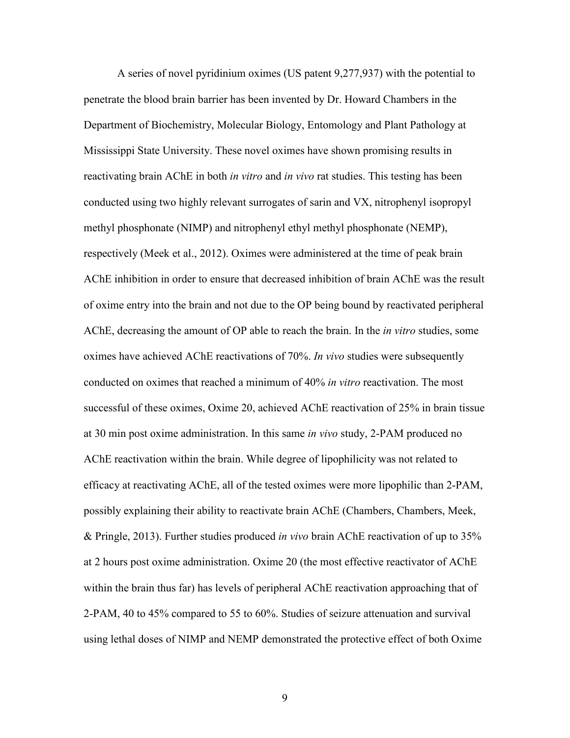A series of novel pyridinium oximes (US patent 9,277,937) with the potential to penetrate the blood brain barrier has been invented by Dr. Howard Chambers in the Department of Biochemistry, Molecular Biology, Entomology and Plant Pathology at Mississippi State University. These novel oximes have shown promising results in reactivating brain AChE in both *in vitro* and *in vivo* rat studies. This testing has been conducted using two highly relevant surrogates of sarin and VX, nitrophenyl isopropyl methyl phosphonate (NIMP) and nitrophenyl ethyl methyl phosphonate (NEMP), respectively (Meek et al., 2012). Oximes were administered at the time of peak brain AChE inhibition in order to ensure that decreased inhibition of brain AChE was the result of oxime entry into the brain and not due to the OP being bound by reactivated peripheral AChE, decreasing the amount of OP able to reach the brain. In the *in vitro* studies, some oximes have achieved AChE reactivations of 70%. *In vivo* studies were subsequently conducted on oximes that reached a minimum of 40% *in vitro* reactivation. The most successful of these oximes, Oxime 20, achieved AChE reactivation of 25% in brain tissue at 30 min post oxime administration. In this same *in vivo* study, 2-PAM produced no AChE reactivation within the brain. While degree of lipophilicity was not related to efficacy at reactivating AChE, all of the tested oximes were more lipophilic than 2-PAM, possibly explaining their ability to reactivate brain AChE (Chambers, Chambers, Meek, & Pringle, 2013). Further studies produced *in vivo* brain AChE reactivation of up to 35% at 2 hours post oxime administration. Oxime 20 (the most effective reactivator of AChE within the brain thus far) has levels of peripheral AChE reactivation approaching that of 2-PAM, 40 to 45% compared to 55 to 60%. Studies of seizure attenuation and survival using lethal doses of NIMP and NEMP demonstrated the protective effect of both Oxime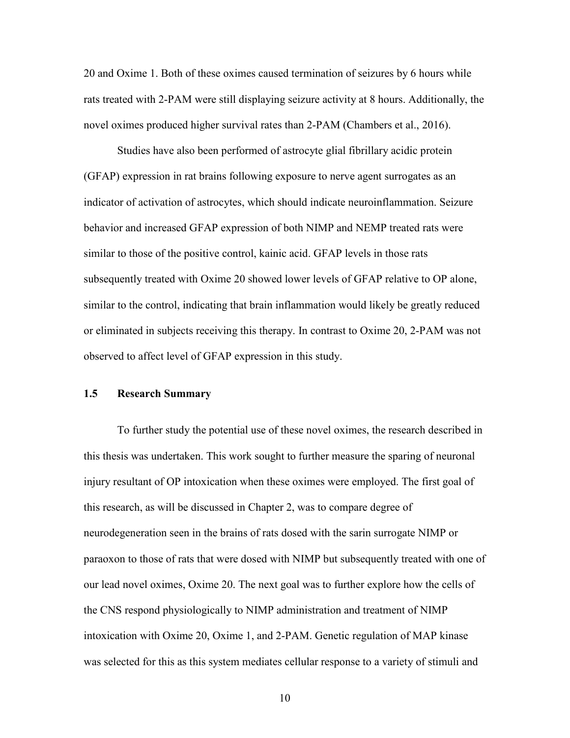20 and Oxime 1. Both of these oximes caused termination of seizures by 6 hours while rats treated with 2-PAM were still displaying seizure activity at 8 hours. Additionally, the novel oximes produced higher survival rates than 2-PAM (Chambers et al., 2016).

Studies have also been performed of astrocyte glial fibrillary acidic protein (GFAP) expression in rat brains following exposure to nerve agent surrogates as an indicator of activation of astrocytes, which should indicate neuroinflammation. Seizure behavior and increased GFAP expression of both NIMP and NEMP treated rats were similar to those of the positive control, kainic acid. GFAP levels in those rats subsequently treated with Oxime 20 showed lower levels of GFAP relative to OP alone, similar to the control, indicating that brain inflammation would likely be greatly reduced or eliminated in subjects receiving this therapy. In contrast to Oxime 20, 2-PAM was not observed to affect level of GFAP expression in this study.

#### **1.5 Research Summary**

To further study the potential use of these novel oximes, the research described in this thesis was undertaken. This work sought to further measure the sparing of neuronal injury resultant of OP intoxication when these oximes were employed. The first goal of this research, as will be discussed in Chapter 2, was to compare degree of neurodegeneration seen in the brains of rats dosed with the sarin surrogate NIMP or paraoxon to those of rats that were dosed with NIMP but subsequently treated with one of our lead novel oximes, Oxime 20. The next goal was to further explore how the cells of the CNS respond physiologically to NIMP administration and treatment of NIMP intoxication with Oxime 20, Oxime 1, and 2-PAM. Genetic regulation of MAP kinase was selected for this as this system mediates cellular response to a variety of stimuli and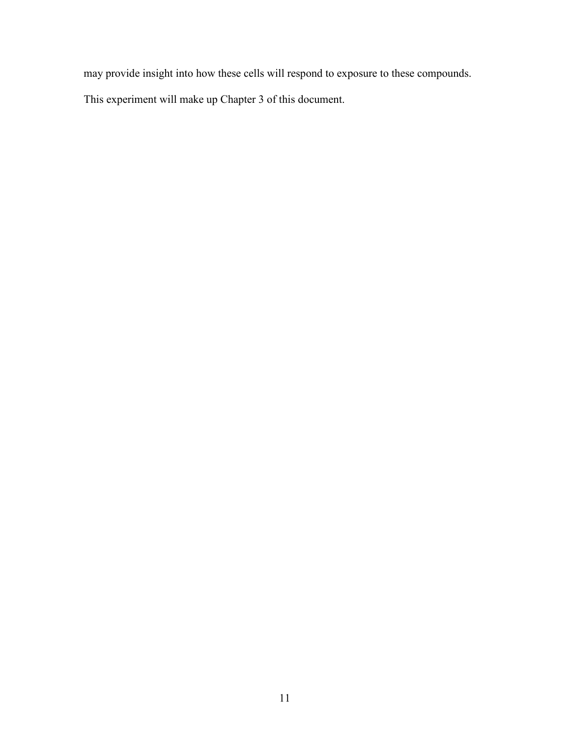may provide insight into how these cells will respond to exposure to these compounds.

This experiment will make up Chapter 3 of this document.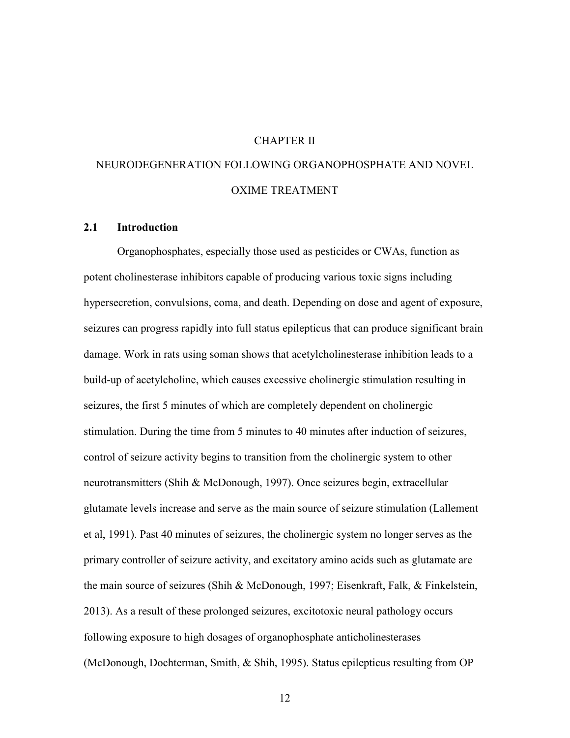## CHAPTER II

# NEURODEGENERATION FOLLOWING ORGANOPHOSPHATE AND NOVEL OXIME TREATMENT

#### **2.1 Introduction**

Organophosphates, especially those used as pesticides or CWAs, function as potent cholinesterase inhibitors capable of producing various toxic signs including hypersecretion, convulsions, coma, and death. Depending on dose and agent of exposure, seizures can progress rapidly into full status epilepticus that can produce significant brain damage. Work in rats using soman shows that acetylcholinesterase inhibition leads to a build-up of acetylcholine, which causes excessive cholinergic stimulation resulting in seizures, the first 5 minutes of which are completely dependent on cholinergic stimulation. During the time from 5 minutes to 40 minutes after induction of seizures, control of seizure activity begins to transition from the cholinergic system to other neurotransmitters (Shih & McDonough, 1997). Once seizures begin, extracellular glutamate levels increase and serve as the main source of seizure stimulation (Lallement et al, 1991). Past 40 minutes of seizures, the cholinergic system no longer serves as the primary controller of seizure activity, and excitatory amino acids such as glutamate are the main source of seizures (Shih & McDonough, 1997; Eisenkraft, Falk, & Finkelstein, 2013). As a result of these prolonged seizures, excitotoxic neural pathology occurs following exposure to high dosages of organophosphate anticholinesterases (McDonough, Dochterman, Smith, & Shih, 1995). Status epilepticus resulting from OP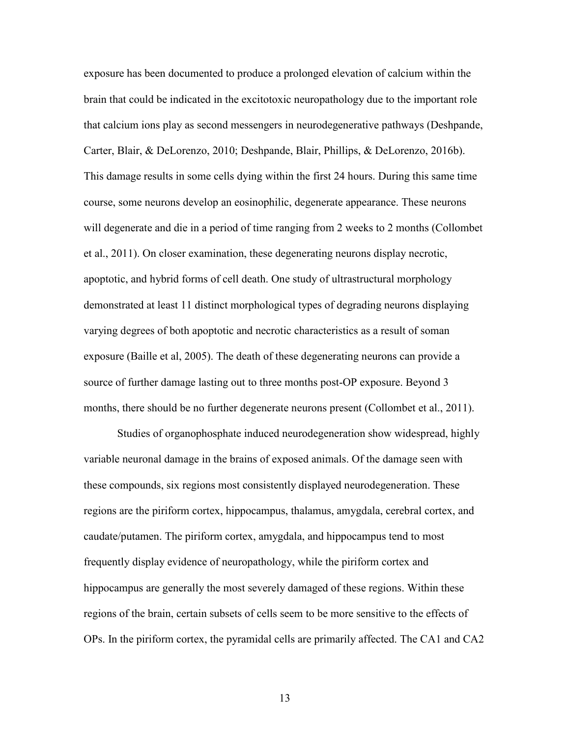exposure has been documented to produce a prolonged elevation of calcium within the brain that could be indicated in the excitotoxic neuropathology due to the important role that calcium ions play as second messengers in neurodegenerative pathways (Deshpande, Carter, Blair, & DeLorenzo, 2010; Deshpande, Blair, Phillips, & DeLorenzo, 2016b). This damage results in some cells dying within the first 24 hours. During this same time course, some neurons develop an eosinophilic, degenerate appearance. These neurons will degenerate and die in a period of time ranging from 2 weeks to 2 months (Collombet et al., 2011). On closer examination, these degenerating neurons display necrotic, apoptotic, and hybrid forms of cell death. One study of ultrastructural morphology demonstrated at least 11 distinct morphological types of degrading neurons displaying varying degrees of both apoptotic and necrotic characteristics as a result of soman exposure (Baille et al, 2005). The death of these degenerating neurons can provide a source of further damage lasting out to three months post-OP exposure. Beyond 3 months, there should be no further degenerate neurons present (Collombet et al., 2011).

 Studies of organophosphate induced neurodegeneration show widespread, highly variable neuronal damage in the brains of exposed animals. Of the damage seen with these compounds, six regions most consistently displayed neurodegeneration. These regions are the piriform cortex, hippocampus, thalamus, amygdala, cerebral cortex, and caudate/putamen. The piriform cortex, amygdala, and hippocampus tend to most frequently display evidence of neuropathology, while the piriform cortex and hippocampus are generally the most severely damaged of these regions. Within these regions of the brain, certain subsets of cells seem to be more sensitive to the effects of OPs. In the piriform cortex, the pyramidal cells are primarily affected. The CA1 and CA2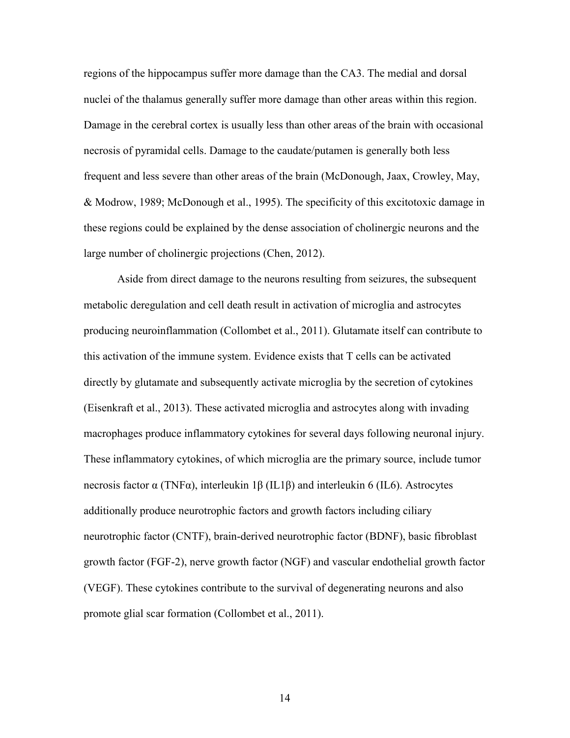regions of the hippocampus suffer more damage than the CA3. The medial and dorsal nuclei of the thalamus generally suffer more damage than other areas within this region. Damage in the cerebral cortex is usually less than other areas of the brain with occasional necrosis of pyramidal cells. Damage to the caudate/putamen is generally both less frequent and less severe than other areas of the brain (McDonough, Jaax, Crowley, May, & Modrow, 1989; McDonough et al., 1995). The specificity of this excitotoxic damage in these regions could be explained by the dense association of cholinergic neurons and the large number of cholinergic projections (Chen, 2012).

Aside from direct damage to the neurons resulting from seizures, the subsequent metabolic deregulation and cell death result in activation of microglia and astrocytes producing neuroinflammation (Collombet et al., 2011). Glutamate itself can contribute to this activation of the immune system. Evidence exists that T cells can be activated directly by glutamate and subsequently activate microglia by the secretion of cytokines (Eisenkraft et al., 2013). These activated microglia and astrocytes along with invading macrophages produce inflammatory cytokines for several days following neuronal injury. These inflammatory cytokines, of which microglia are the primary source, include tumor necrosis factor α (TNFα), interleukin 1β (IL1β) and interleukin 6 (IL6). Astrocytes additionally produce neurotrophic factors and growth factors including ciliary neurotrophic factor (CNTF), brain-derived neurotrophic factor (BDNF), basic fibroblast growth factor (FGF-2), nerve growth factor (NGF) and vascular endothelial growth factor (VEGF). These cytokines contribute to the survival of degenerating neurons and also promote glial scar formation (Collombet et al., 2011).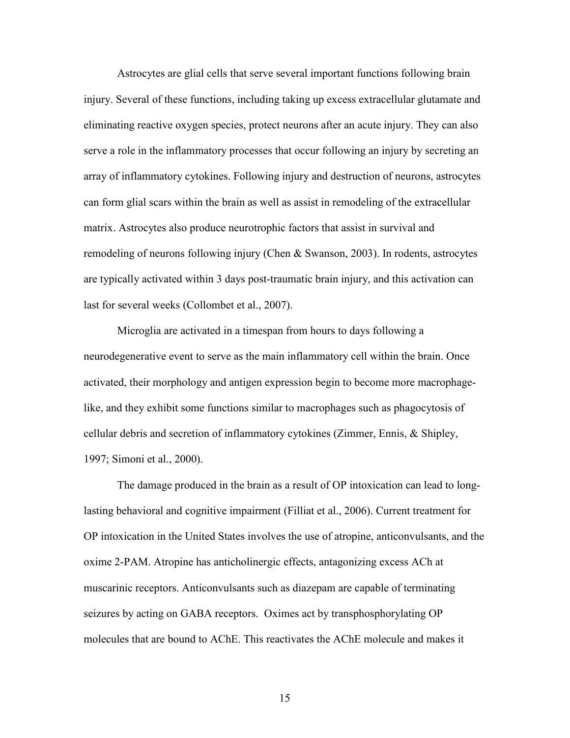Astrocytes are glial cells that serve several important functions following brain injury. Several of these functions, including taking up excess extracellular glutamate and eliminating reactive oxygen species, protect neurons after an acute injury. They can also serve a role in the inflammatory processes that occur following an injury by secreting an array of inflammatory cytokines. Following injury and destruction of neurons, astrocytes can form glial scars within the brain as well as assist in remodeling of the extracellular matrix. Astrocytes also produce neurotrophic factors that assist in survival and remodeling of neurons following injury (Chen & Swanson, 2003). In rodents, astrocytes are typically activated within 3 days post-traumatic brain injury, and this activation can last for several weeks (Collombet et al., 2007).

Microglia are activated in a timespan from hours to days following a neurodegenerative event to serve as the main inflammatory cell within the brain. Once activated, their morphology and antigen expression begin to become more macrophagelike, and they exhibit some functions similar to macrophages such as phagocytosis of cellular debris and secretion of inflammatory cytokines (Zimmer, Ennis, & Shipley, 1997; Simoni et al., 2000).

The damage produced in the brain as a result of OP intoxication can lead to longlasting behavioral and cognitive impairment (Filliat et al., 2006). Current treatment for OP intoxication in the United States involves the use of atropine, anticonvulsants, and the oxime 2-PAM. Atropine has anticholinergic effects, antagonizing excess ACh at muscarinic receptors. Anticonvulsants such as diazepam are capable of terminating seizures by acting on GABA receptors. Oximes act by transphosphorylating OP molecules that are bound to AChE. This reactivates the AChE molecule and makes it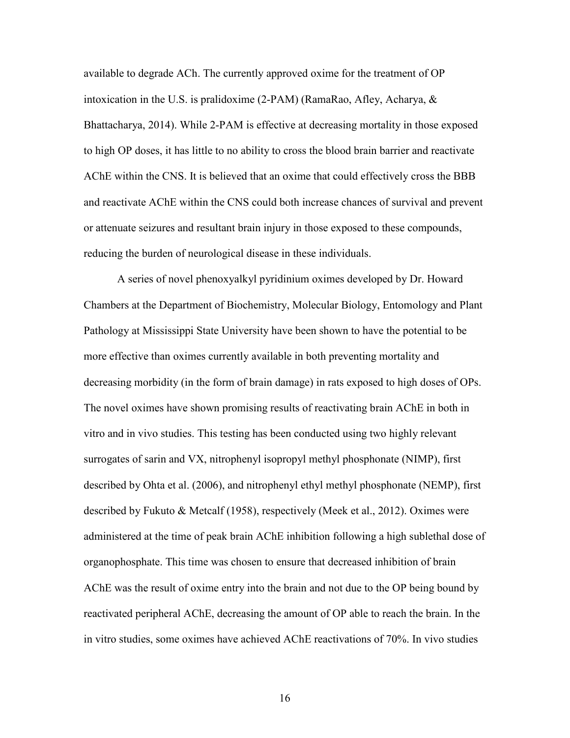available to degrade ACh. The currently approved oxime for the treatment of OP intoxication in the U.S. is pralidoxime (2-PAM) (RamaRao, Afley, Acharya, & Bhattacharya, 2014). While 2-PAM is effective at decreasing mortality in those exposed to high OP doses, it has little to no ability to cross the blood brain barrier and reactivate AChE within the CNS. It is believed that an oxime that could effectively cross the BBB and reactivate AChE within the CNS could both increase chances of survival and prevent or attenuate seizures and resultant brain injury in those exposed to these compounds, reducing the burden of neurological disease in these individuals.

A series of novel phenoxyalkyl pyridinium oximes developed by Dr. Howard Chambers at the Department of Biochemistry, Molecular Biology, Entomology and Plant Pathology at Mississippi State University have been shown to have the potential to be more effective than oximes currently available in both preventing mortality and decreasing morbidity (in the form of brain damage) in rats exposed to high doses of OPs. The novel oximes have shown promising results of reactivating brain AChE in both in vitro and in vivo studies. This testing has been conducted using two highly relevant surrogates of sarin and VX, nitrophenyl isopropyl methyl phosphonate (NIMP), first described by Ohta et al. (2006), and nitrophenyl ethyl methyl phosphonate (NEMP), first described by Fukuto & Metcalf (1958), respectively (Meek et al., 2012). Oximes were administered at the time of peak brain AChE inhibition following a high sublethal dose of organophosphate. This time was chosen to ensure that decreased inhibition of brain AChE was the result of oxime entry into the brain and not due to the OP being bound by reactivated peripheral AChE, decreasing the amount of OP able to reach the brain. In the in vitro studies, some oximes have achieved AChE reactivations of 70%. In vivo studies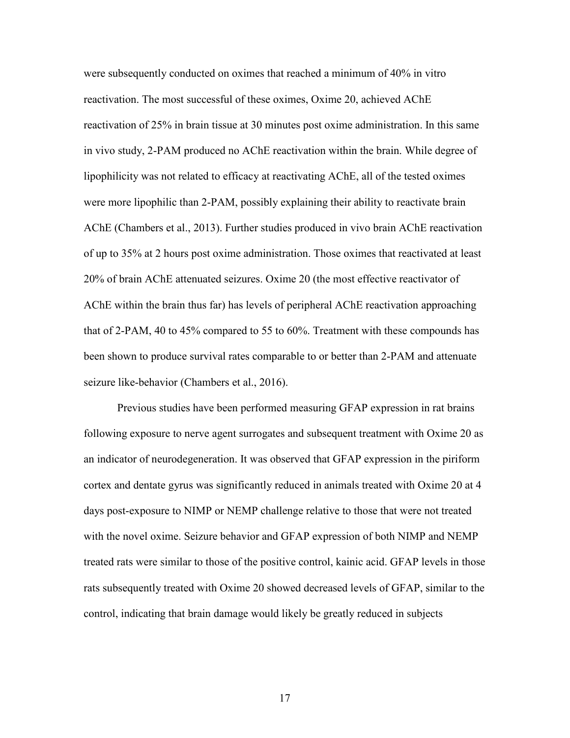were subsequently conducted on oximes that reached a minimum of 40% in vitro reactivation. The most successful of these oximes, Oxime 20, achieved AChE reactivation of 25% in brain tissue at 30 minutes post oxime administration. In this same in vivo study, 2-PAM produced no AChE reactivation within the brain. While degree of lipophilicity was not related to efficacy at reactivating AChE, all of the tested oximes were more lipophilic than 2-PAM, possibly explaining their ability to reactivate brain AChE (Chambers et al., 2013). Further studies produced in vivo brain AChE reactivation of up to 35% at 2 hours post oxime administration. Those oximes that reactivated at least 20% of brain AChE attenuated seizures. Oxime 20 (the most effective reactivator of AChE within the brain thus far) has levels of peripheral AChE reactivation approaching that of 2-PAM, 40 to 45% compared to 55 to 60%. Treatment with these compounds has been shown to produce survival rates comparable to or better than 2-PAM and attenuate seizure like-behavior (Chambers et al., 2016).

Previous studies have been performed measuring GFAP expression in rat brains following exposure to nerve agent surrogates and subsequent treatment with Oxime 20 as an indicator of neurodegeneration. It was observed that GFAP expression in the piriform cortex and dentate gyrus was significantly reduced in animals treated with Oxime 20 at 4 days post-exposure to NIMP or NEMP challenge relative to those that were not treated with the novel oxime. Seizure behavior and GFAP expression of both NIMP and NEMP treated rats were similar to those of the positive control, kainic acid. GFAP levels in those rats subsequently treated with Oxime 20 showed decreased levels of GFAP, similar to the control, indicating that brain damage would likely be greatly reduced in subjects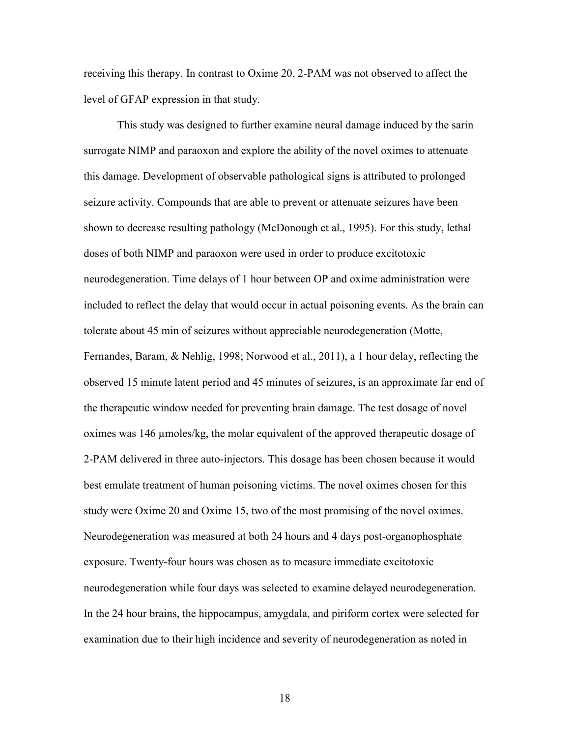receiving this therapy. In contrast to Oxime 20, 2-PAM was not observed to affect the level of GFAP expression in that study.

 This study was designed to further examine neural damage induced by the sarin surrogate NIMP and paraoxon and explore the ability of the novel oximes to attenuate this damage. Development of observable pathological signs is attributed to prolonged seizure activity. Compounds that are able to prevent or attenuate seizures have been shown to decrease resulting pathology (McDonough et al., 1995). For this study, lethal doses of both NIMP and paraoxon were used in order to produce excitotoxic neurodegeneration. Time delays of 1 hour between OP and oxime administration were included to reflect the delay that would occur in actual poisoning events. As the brain can tolerate about 45 min of seizures without appreciable neurodegeneration (Motte, Fernandes, Baram, & Nehlig, 1998; Norwood et al., 2011), a 1 hour delay, reflecting the observed 15 minute latent period and 45 minutes of seizures, is an approximate far end of the therapeutic window needed for preventing brain damage. The test dosage of novel oximes was 146 µmoles/kg, the molar equivalent of the approved therapeutic dosage of 2-PAM delivered in three auto-injectors. This dosage has been chosen because it would best emulate treatment of human poisoning victims. The novel oximes chosen for this study were Oxime 20 and Oxime 15, two of the most promising of the novel oximes. Neurodegeneration was measured at both 24 hours and 4 days post-organophosphate exposure. Twenty-four hours was chosen as to measure immediate excitotoxic neurodegeneration while four days was selected to examine delayed neurodegeneration. In the 24 hour brains, the hippocampus, amygdala, and piriform cortex were selected for examination due to their high incidence and severity of neurodegeneration as noted in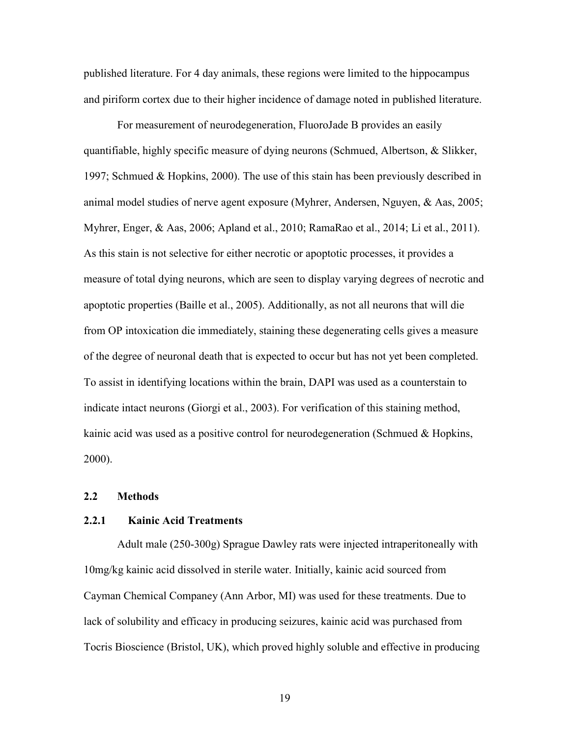published literature. For 4 day animals, these regions were limited to the hippocampus and piriform cortex due to their higher incidence of damage noted in published literature.

For measurement of neurodegeneration, FluoroJade B provides an easily quantifiable, highly specific measure of dying neurons (Schmued, Albertson, & Slikker, 1997; Schmued & Hopkins, 2000). The use of this stain has been previously described in animal model studies of nerve agent exposure (Myhrer, Andersen, Nguyen, & Aas, 2005; Myhrer, Enger, & Aas, 2006; Apland et al., 2010; RamaRao et al., 2014; Li et al., 2011). As this stain is not selective for either necrotic or apoptotic processes, it provides a measure of total dying neurons, which are seen to display varying degrees of necrotic and apoptotic properties (Baille et al., 2005). Additionally, as not all neurons that will die from OP intoxication die immediately, staining these degenerating cells gives a measure of the degree of neuronal death that is expected to occur but has not yet been completed. To assist in identifying locations within the brain, DAPI was used as a counterstain to indicate intact neurons (Giorgi et al., 2003). For verification of this staining method, kainic acid was used as a positive control for neurodegeneration (Schmued  $\&$  Hopkins, 2000).

## **2.2 Methods**

#### **2.2.1 Kainic Acid Treatments**

Adult male (250-300g) Sprague Dawley rats were injected intraperitoneally with 10mg/kg kainic acid dissolved in sterile water. Initially, kainic acid sourced from Cayman Chemical Companey (Ann Arbor, MI) was used for these treatments. Due to lack of solubility and efficacy in producing seizures, kainic acid was purchased from Tocris Bioscience (Bristol, UK), which proved highly soluble and effective in producing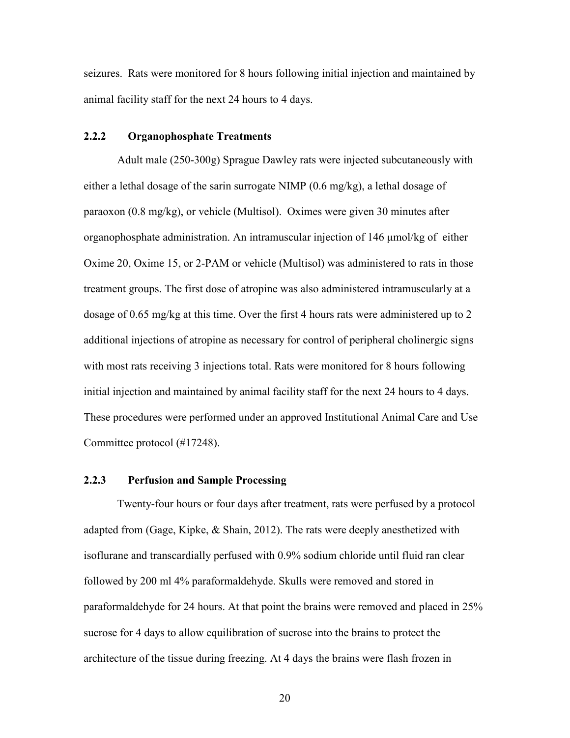seizures. Rats were monitored for 8 hours following initial injection and maintained by animal facility staff for the next 24 hours to 4 days.

## **2.2.2 Organophosphate Treatments**

Adult male (250-300g) Sprague Dawley rats were injected subcutaneously with either a lethal dosage of the sarin surrogate NIMP (0.6 mg/kg), a lethal dosage of paraoxon (0.8 mg/kg), or vehicle (Multisol). Oximes were given 30 minutes after organophosphate administration. An intramuscular injection of 146 μmol/kg of either Oxime 20, Oxime 15, or 2-PAM or vehicle (Multisol) was administered to rats in those treatment groups. The first dose of atropine was also administered intramuscularly at a dosage of 0.65 mg/kg at this time. Over the first 4 hours rats were administered up to 2 additional injections of atropine as necessary for control of peripheral cholinergic signs with most rats receiving 3 injections total. Rats were monitored for 8 hours following initial injection and maintained by animal facility staff for the next 24 hours to 4 days. These procedures were performed under an approved Institutional Animal Care and Use Committee protocol (#17248).

## **2.2.3 Perfusion and Sample Processing**

Twenty-four hours or four days after treatment, rats were perfused by a protocol adapted from (Gage, Kipke, & Shain, 2012). The rats were deeply anesthetized with isoflurane and transcardially perfused with 0.9% sodium chloride until fluid ran clear followed by 200 ml 4% paraformaldehyde. Skulls were removed and stored in paraformaldehyde for 24 hours. At that point the brains were removed and placed in 25% sucrose for 4 days to allow equilibration of sucrose into the brains to protect the architecture of the tissue during freezing. At 4 days the brains were flash frozen in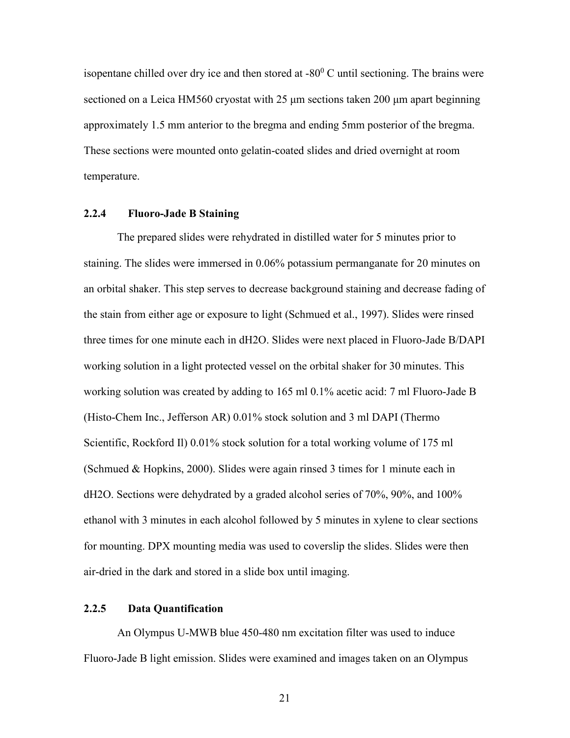isopentane chilled over dry ice and then stored at  $-80^{\circ}$  C until sectioning. The brains were sectioned on a Leica HM560 cryostat with 25 μm sections taken 200 μm apart beginning approximately 1.5 mm anterior to the bregma and ending 5mm posterior of the bregma. These sections were mounted onto gelatin-coated slides and dried overnight at room temperature.

## **2.2.4 Fluoro-Jade B Staining**

The prepared slides were rehydrated in distilled water for 5 minutes prior to staining. The slides were immersed in 0.06% potassium permanganate for 20 minutes on an orbital shaker. This step serves to decrease background staining and decrease fading of the stain from either age or exposure to light (Schmued et al., 1997). Slides were rinsed three times for one minute each in dH2O. Slides were next placed in Fluoro-Jade B/DAPI working solution in a light protected vessel on the orbital shaker for 30 minutes. This working solution was created by adding to 165 ml 0.1% acetic acid: 7 ml Fluoro-Jade B (Histo-Chem Inc., Jefferson AR) 0.01% stock solution and 3 ml DAPI (Thermo Scientific, Rockford II) 0.01% stock solution for a total working volume of 175 ml (Schmued & Hopkins, 2000). Slides were again rinsed 3 times for 1 minute each in dH2O. Sections were dehydrated by a graded alcohol series of 70%, 90%, and 100% ethanol with 3 minutes in each alcohol followed by 5 minutes in xylene to clear sections for mounting. DPX mounting media was used to coverslip the slides. Slides were then air-dried in the dark and stored in a slide box until imaging.

## **2.2.5 Data Quantification**

An Olympus U-MWB blue 450-480 nm excitation filter was used to induce Fluoro-Jade B light emission. Slides were examined and images taken on an Olympus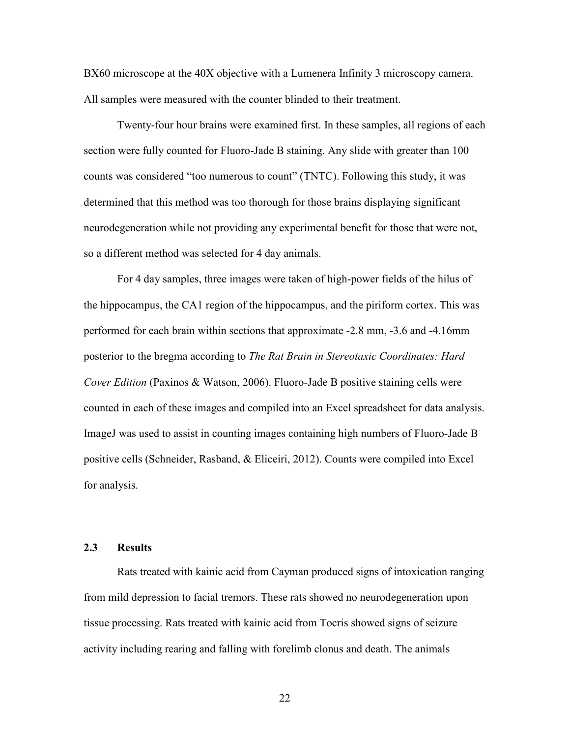BX60 microscope at the 40X objective with a Lumenera Infinity 3 microscopy camera. All samples were measured with the counter blinded to their treatment.

Twenty-four hour brains were examined first. In these samples, all regions of each section were fully counted for Fluoro-Jade B staining. Any slide with greater than 100 counts was considered "too numerous to count" (TNTC). Following this study, it was determined that this method was too thorough for those brains displaying significant neurodegeneration while not providing any experimental benefit for those that were not, so a different method was selected for 4 day animals.

For 4 day samples, three images were taken of high-power fields of the hilus of the hippocampus, the CA1 region of the hippocampus, and the piriform cortex. This was performed for each brain within sections that approximate -2.8 mm, -3.6 and -4.16mm posterior to the bregma according to *The Rat Brain in Stereotaxic Coordinates: Hard Cover Edition* (Paxinos & Watson, 2006). Fluoro-Jade B positive staining cells were counted in each of these images and compiled into an Excel spreadsheet for data analysis. ImageJ was used to assist in counting images containing high numbers of Fluoro-Jade B positive cells (Schneider, Rasband, & Eliceiri, 2012). Counts were compiled into Excel for analysis.

### **2.3 Results**

Rats treated with kainic acid from Cayman produced signs of intoxication ranging from mild depression to facial tremors. These rats showed no neurodegeneration upon tissue processing. Rats treated with kainic acid from Tocris showed signs of seizure activity including rearing and falling with forelimb clonus and death. The animals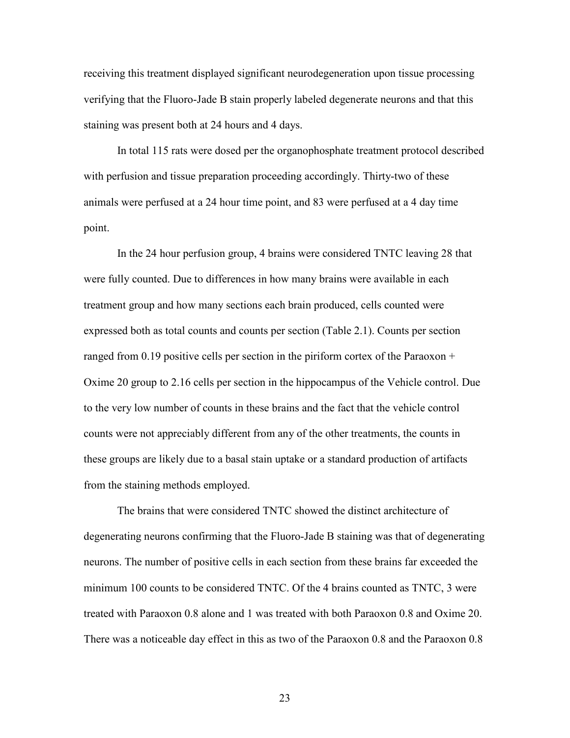receiving this treatment displayed significant neurodegeneration upon tissue processing verifying that the Fluoro-Jade B stain properly labeled degenerate neurons and that this staining was present both at 24 hours and 4 days.

In total 115 rats were dosed per the organophosphate treatment protocol described with perfusion and tissue preparation proceeding accordingly. Thirty-two of these animals were perfused at a 24 hour time point, and 83 were perfused at a 4 day time point.

In the 24 hour perfusion group, 4 brains were considered TNTC leaving 28 that were fully counted. Due to differences in how many brains were available in each treatment group and how many sections each brain produced, cells counted were expressed both as total counts and counts per section (Table 2.1). Counts per section ranged from 0.19 positive cells per section in the piriform cortex of the Paraoxon + Oxime 20 group to 2.16 cells per section in the hippocampus of the Vehicle control. Due to the very low number of counts in these brains and the fact that the vehicle control counts were not appreciably different from any of the other treatments, the counts in these groups are likely due to a basal stain uptake or a standard production of artifacts from the staining methods employed.

The brains that were considered TNTC showed the distinct architecture of degenerating neurons confirming that the Fluoro-Jade B staining was that of degenerating neurons. The number of positive cells in each section from these brains far exceeded the minimum 100 counts to be considered TNTC. Of the 4 brains counted as TNTC, 3 were treated with Paraoxon 0.8 alone and 1 was treated with both Paraoxon 0.8 and Oxime 20. There was a noticeable day effect in this as two of the Paraoxon 0.8 and the Paraoxon 0.8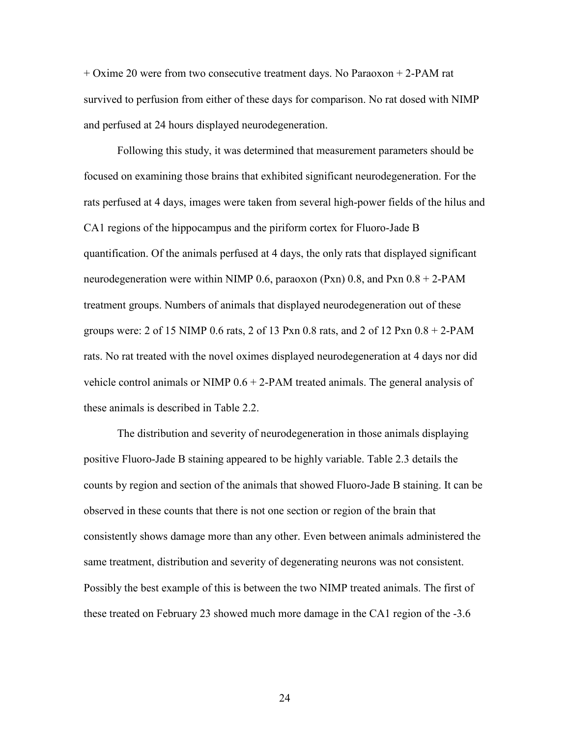+ Oxime 20 were from two consecutive treatment days. No Paraoxon + 2-PAM rat survived to perfusion from either of these days for comparison. No rat dosed with NIMP and perfused at 24 hours displayed neurodegeneration.

Following this study, it was determined that measurement parameters should be focused on examining those brains that exhibited significant neurodegeneration. For the rats perfused at 4 days, images were taken from several high-power fields of the hilus and CA1 regions of the hippocampus and the piriform cortex for Fluoro-Jade B quantification. Of the animals perfused at 4 days, the only rats that displayed significant neurodegeneration were within NIMP 0.6, paraoxon (Pxn) 0.8, and Pxn  $0.8 + 2$ -PAM treatment groups. Numbers of animals that displayed neurodegeneration out of these groups were: 2 of 15 NIMP 0.6 rats, 2 of 13 Pxn 0.8 rats, and 2 of 12 Pxn  $0.8 + 2$ -PAM rats. No rat treated with the novel oximes displayed neurodegeneration at 4 days nor did vehicle control animals or NIMP 0.6 + 2-PAM treated animals. The general analysis of these animals is described in Table 2.2.

The distribution and severity of neurodegeneration in those animals displaying positive Fluoro-Jade B staining appeared to be highly variable. Table 2.3 details the counts by region and section of the animals that showed Fluoro-Jade B staining. It can be observed in these counts that there is not one section or region of the brain that consistently shows damage more than any other. Even between animals administered the same treatment, distribution and severity of degenerating neurons was not consistent. Possibly the best example of this is between the two NIMP treated animals. The first of these treated on February 23 showed much more damage in the CA1 region of the -3.6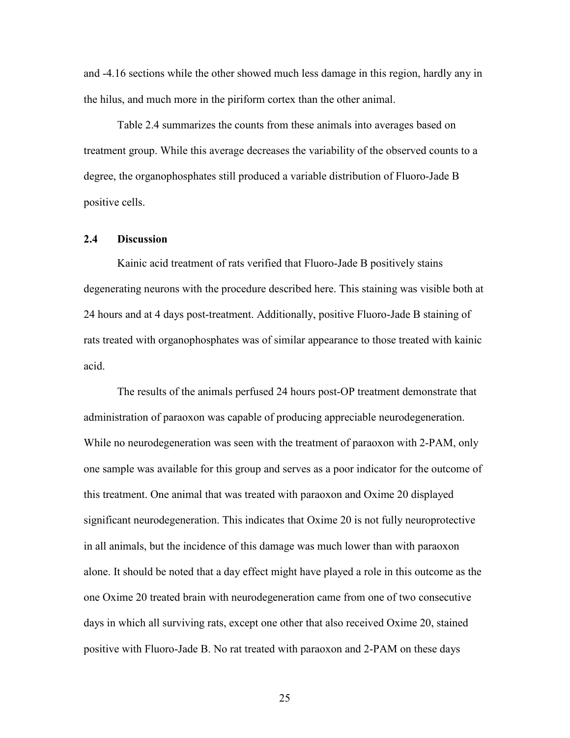and -4.16 sections while the other showed much less damage in this region, hardly any in the hilus, and much more in the piriform cortex than the other animal.

Table 2.4 summarizes the counts from these animals into averages based on treatment group. While this average decreases the variability of the observed counts to a degree, the organophosphates still produced a variable distribution of Fluoro-Jade B positive cells.

#### **2.4 Discussion**

Kainic acid treatment of rats verified that Fluoro-Jade B positively stains degenerating neurons with the procedure described here. This staining was visible both at 24 hours and at 4 days post-treatment. Additionally, positive Fluoro-Jade B staining of rats treated with organophosphates was of similar appearance to those treated with kainic acid.

The results of the animals perfused 24 hours post-OP treatment demonstrate that administration of paraoxon was capable of producing appreciable neurodegeneration. While no neurodegeneration was seen with the treatment of paraoxon with 2-PAM, only one sample was available for this group and serves as a poor indicator for the outcome of this treatment. One animal that was treated with paraoxon and Oxime 20 displayed significant neurodegeneration. This indicates that Oxime 20 is not fully neuroprotective in all animals, but the incidence of this damage was much lower than with paraoxon alone. It should be noted that a day effect might have played a role in this outcome as the one Oxime 20 treated brain with neurodegeneration came from one of two consecutive days in which all surviving rats, except one other that also received Oxime 20, stained positive with Fluoro-Jade B. No rat treated with paraoxon and 2-PAM on these days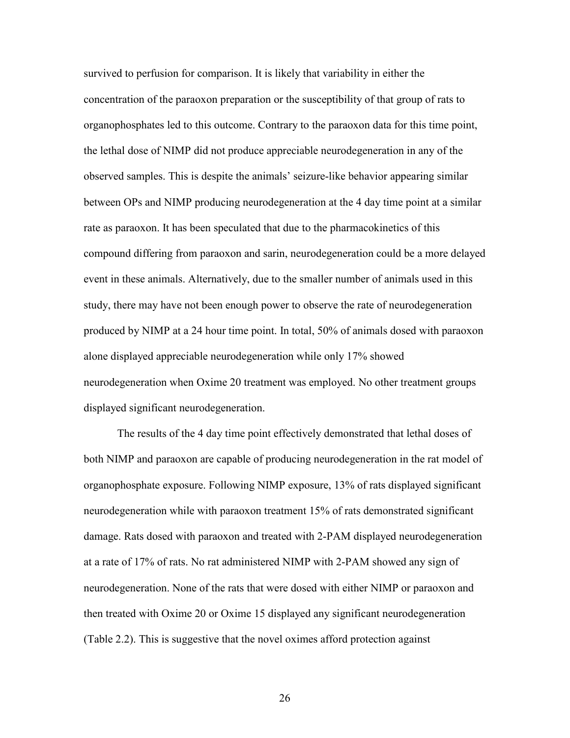survived to perfusion for comparison. It is likely that variability in either the concentration of the paraoxon preparation or the susceptibility of that group of rats to organophosphates led to this outcome. Contrary to the paraoxon data for this time point, the lethal dose of NIMP did not produce appreciable neurodegeneration in any of the observed samples. This is despite the animals' seizure-like behavior appearing similar between OPs and NIMP producing neurodegeneration at the 4 day time point at a similar rate as paraoxon. It has been speculated that due to the pharmacokinetics of this compound differing from paraoxon and sarin, neurodegeneration could be a more delayed event in these animals. Alternatively, due to the smaller number of animals used in this study, there may have not been enough power to observe the rate of neurodegeneration produced by NIMP at a 24 hour time point. In total, 50% of animals dosed with paraoxon alone displayed appreciable neurodegeneration while only 17% showed neurodegeneration when Oxime 20 treatment was employed. No other treatment groups displayed significant neurodegeneration.

The results of the 4 day time point effectively demonstrated that lethal doses of both NIMP and paraoxon are capable of producing neurodegeneration in the rat model of organophosphate exposure. Following NIMP exposure, 13% of rats displayed significant neurodegeneration while with paraoxon treatment 15% of rats demonstrated significant damage. Rats dosed with paraoxon and treated with 2-PAM displayed neurodegeneration at a rate of 17% of rats. No rat administered NIMP with 2-PAM showed any sign of neurodegeneration. None of the rats that were dosed with either NIMP or paraoxon and then treated with Oxime 20 or Oxime 15 displayed any significant neurodegeneration (Table 2.2). This is suggestive that the novel oximes afford protection against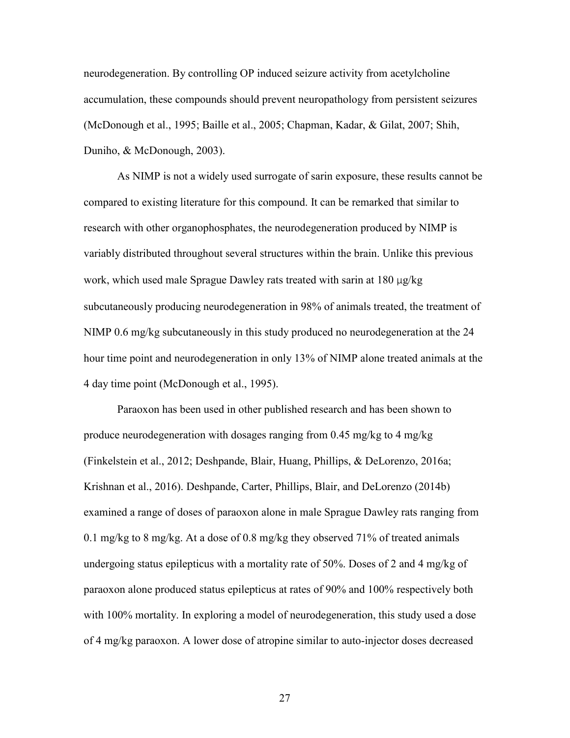neurodegeneration. By controlling OP induced seizure activity from acetylcholine accumulation, these compounds should prevent neuropathology from persistent seizures (McDonough et al., 1995; Baille et al., 2005; Chapman, Kadar, & Gilat, 2007; Shih, Duniho, & McDonough, 2003).

As NIMP is not a widely used surrogate of sarin exposure, these results cannot be compared to existing literature for this compound. It can be remarked that similar to research with other organophosphates, the neurodegeneration produced by NIMP is variably distributed throughout several structures within the brain. Unlike this previous work, which used male Sprague Dawley rats treated with sarin at 180 μg/kg subcutaneously producing neurodegeneration in 98% of animals treated, the treatment of NIMP 0.6 mg/kg subcutaneously in this study produced no neurodegeneration at the 24 hour time point and neurodegeneration in only 13% of NIMP alone treated animals at the 4 day time point (McDonough et al., 1995).

Paraoxon has been used in other published research and has been shown to produce neurodegeneration with dosages ranging from 0.45 mg/kg to 4 mg/kg (Finkelstein et al., 2012; Deshpande, Blair, Huang, Phillips, & DeLorenzo, 2016a; Krishnan et al., 2016). Deshpande, Carter, Phillips, Blair, and DeLorenzo (2014b) examined a range of doses of paraoxon alone in male Sprague Dawley rats ranging from 0.1 mg/kg to 8 mg/kg. At a dose of 0.8 mg/kg they observed 71% of treated animals undergoing status epilepticus with a mortality rate of 50%. Doses of 2 and 4 mg/kg of paraoxon alone produced status epilepticus at rates of 90% and 100% respectively both with 100% mortality. In exploring a model of neurodegeneration, this study used a dose of 4 mg/kg paraoxon. A lower dose of atropine similar to auto-injector doses decreased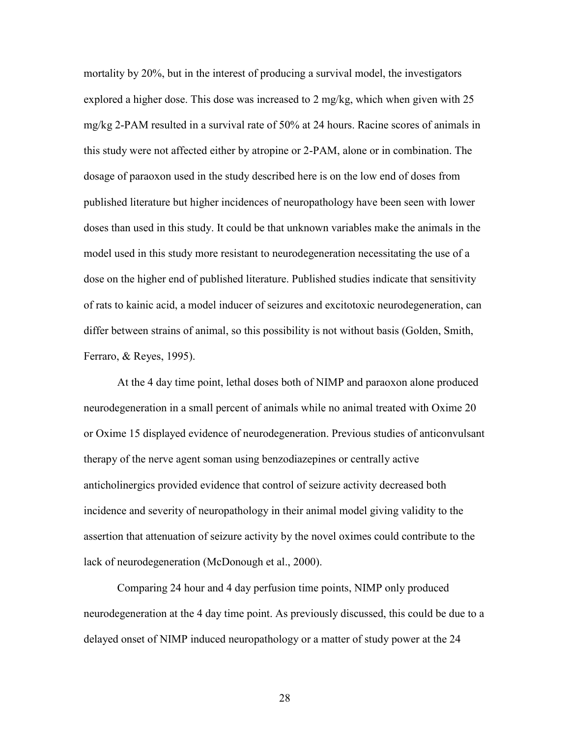mortality by 20%, but in the interest of producing a survival model, the investigators explored a higher dose. This dose was increased to 2 mg/kg, which when given with 25 mg/kg 2-PAM resulted in a survival rate of 50% at 24 hours. Racine scores of animals in this study were not affected either by atropine or 2-PAM, alone or in combination. The dosage of paraoxon used in the study described here is on the low end of doses from published literature but higher incidences of neuropathology have been seen with lower doses than used in this study. It could be that unknown variables make the animals in the model used in this study more resistant to neurodegeneration necessitating the use of a dose on the higher end of published literature. Published studies indicate that sensitivity of rats to kainic acid, a model inducer of seizures and excitotoxic neurodegeneration, can differ between strains of animal, so this possibility is not without basis (Golden, Smith, Ferraro, & Reyes, 1995).

At the 4 day time point, lethal doses both of NIMP and paraoxon alone produced neurodegeneration in a small percent of animals while no animal treated with Oxime 20 or Oxime 15 displayed evidence of neurodegeneration. Previous studies of anticonvulsant therapy of the nerve agent soman using benzodiazepines or centrally active anticholinergics provided evidence that control of seizure activity decreased both incidence and severity of neuropathology in their animal model giving validity to the assertion that attenuation of seizure activity by the novel oximes could contribute to the lack of neurodegeneration (McDonough et al., 2000).

Comparing 24 hour and 4 day perfusion time points, NIMP only produced neurodegeneration at the 4 day time point. As previously discussed, this could be due to a delayed onset of NIMP induced neuropathology or a matter of study power at the 24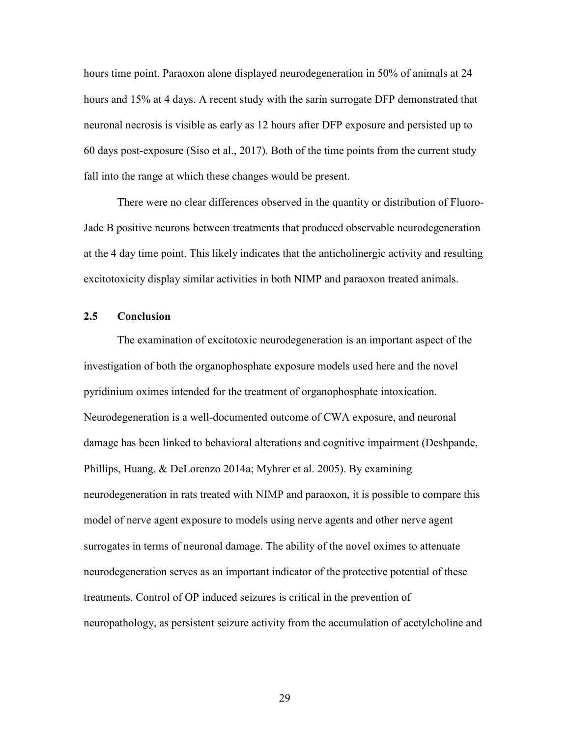hours time point. Paraoxon alone displayed neurodegeneration in 50% of animals at 24 hours and 15% at 4 days. A recent study with the sarin surrogate DFP demonstrated that neuronal necrosis is visible as early as 12 hours after DFP exposure and persisted up to 60 days post-exposure (Siso et al., 2017). Both of the time points from the current study fall into the range at which these changes would be present.

There were no clear differences observed in the quantity or distribution of Fluoro-Jade B positive neurons between treatments that produced observable neurodegeneration at the 4 day time point. This likely indicates that the anticholinergic activity and resulting excitotoxicity display similar activities in both NIMP and paraoxon treated animals.

#### **2.5 Conclusion**

The examination of excitotoxic neurodegeneration is an important aspect of the investigation of both the organophosphate exposure models used here and the novel pyridinium oximes intended for the treatment of organophosphate intoxication. Neurodegeneration is a well-documented outcome of CWA exposure, and neuronal damage has been linked to behavioral alterations and cognitive impairment (Deshpande, Phillips, Huang, & DeLorenzo 2014a; Myhrer et al. 2005). By examining neurodegeneration in rats treated with NIMP and paraoxon, it is possible to compare this model of nerve agent exposure to models using nerve agents and other nerve agent surrogates in terms of neuronal damage. The ability of the novel oximes to attenuate neurodegeneration serves as an important indicator of the protective potential of these treatments. Control of OP induced seizures is critical in the prevention of neuropathology, as persistent seizure activity from the accumulation of acetylcholine and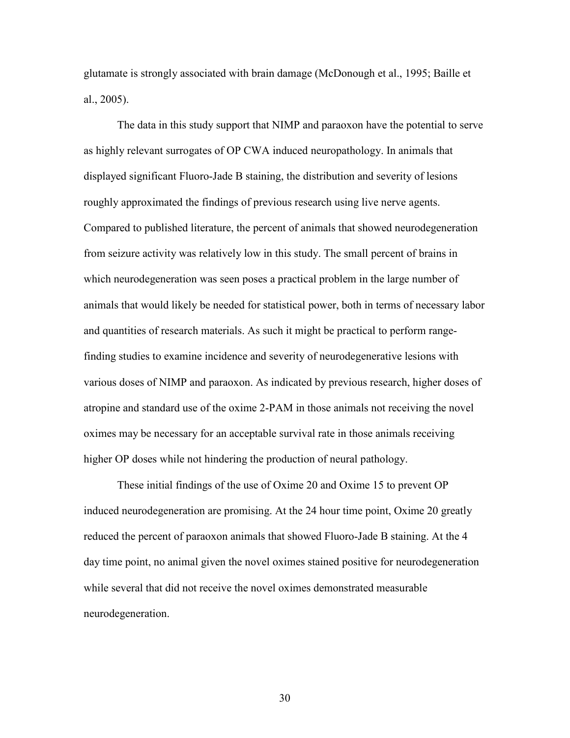glutamate is strongly associated with brain damage (McDonough et al., 1995; Baille et al., 2005).

The data in this study support that NIMP and paraoxon have the potential to serve as highly relevant surrogates of OP CWA induced neuropathology. In animals that displayed significant Fluoro-Jade B staining, the distribution and severity of lesions roughly approximated the findings of previous research using live nerve agents. Compared to published literature, the percent of animals that showed neurodegeneration from seizure activity was relatively low in this study. The small percent of brains in which neurodegeneration was seen poses a practical problem in the large number of animals that would likely be needed for statistical power, both in terms of necessary labor and quantities of research materials. As such it might be practical to perform rangefinding studies to examine incidence and severity of neurodegenerative lesions with various doses of NIMP and paraoxon. As indicated by previous research, higher doses of atropine and standard use of the oxime 2-PAM in those animals not receiving the novel oximes may be necessary for an acceptable survival rate in those animals receiving higher OP doses while not hindering the production of neural pathology.

These initial findings of the use of Oxime 20 and Oxime 15 to prevent OP induced neurodegeneration are promising. At the 24 hour time point, Oxime 20 greatly reduced the percent of paraoxon animals that showed Fluoro-Jade B staining. At the 4 day time point, no animal given the novel oximes stained positive for neurodegeneration while several that did not receive the novel oximes demonstrated measurable neurodegeneration.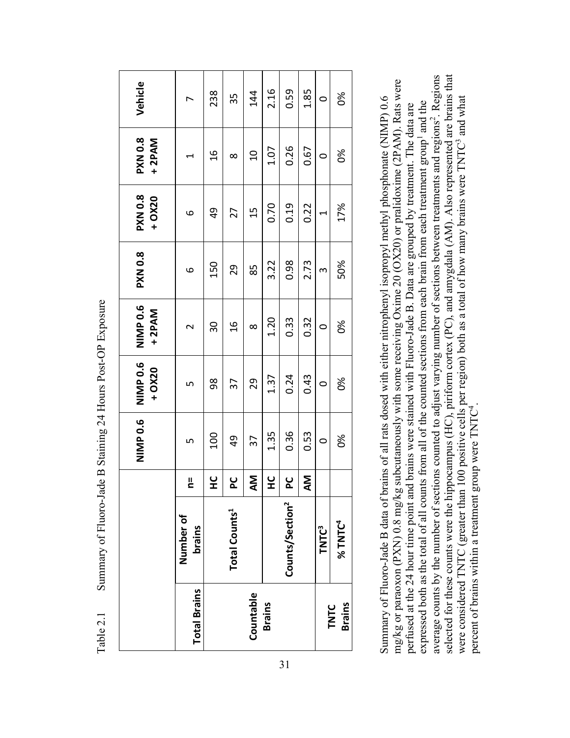|                       |                             |          | NIMP 0.6 | NIMP 0.6<br>$+ OX20$ | NIMP 0.6<br>$+2PAM$     | <b>PXN 0.8</b> | <b>PXN 0.8</b><br>+ OX20 | <b>PXN 0.8</b><br>+2PAM | Vehicle |
|-----------------------|-----------------------------|----------|----------|----------------------|-------------------------|----------------|--------------------------|-------------------------|---------|
| <b>Total Brains</b>   | Number of<br><b>brains</b>  | ᆜ        | ഗ        | ഗ                    | $\overline{\mathsf{C}}$ | $\circ$        | $\circ$                  |                         |         |
|                       |                             | ں<br>±   | 100      | 98                   | 30                      | 150            | 9                        | $\frac{6}{1}$           | 238     |
|                       | <b>Total Counts1</b>        | ں<br>A   | 9        | 37                   | $\frac{6}{1}$           | 29             | 27                       | $\infty$                | 35      |
| Countable             |                             | <b>M</b> | 37       | 29                   | $\infty$                | 85             | 15                       | $\overline{a}$          | 144     |
| <b>Brains</b>         |                             | ں<br>±   | 1.35     | 1.37                 | 1.20                    | 3.22           | 0.70                     | 1.07                    | 2.16    |
|                       | Counts/Section <sup>2</sup> | ں<br>2   | 0.36     | 0.24                 | 0.33                    | 0.98           | 0.19                     | 0.26                    | 0.59    |
|                       |                             | Σ        | 0.53     | 0.43                 | 0.32                    | 2.73           | 0.22                     | 0.67                    | 1.85    |
|                       | <b>TNTC<sup>3</sup></b>     |          | $\circ$  | $\circ$              | $\circ$                 | $\infty$       | $\overline{\phantom{0}}$ | $\circ$                 | $\circ$ |
| <b>Brains</b><br>TNTC | $%$ TNTC <sup>4</sup>       |          | òš       | ఠ                    | 8g                      | 50%            | 17%                      | 8g                      | ఠ       |

Table 2.1 Summary of Fluoro-Jade B Staining 24 Hours Post-OP Exposure Summary of Fluoro-Jade B Staining 24 Hours Post-OP Exposure Table 2.1

average counts by the number of sections counted to adjust varying number of sections between treatments and regions<sup>2</sup>. Regions selected for these counts were the hippocampus (HC), piriform cortex (PC), and amygdala (AM). Also represented are brains that selected for these counts were the hippocampus (HC), piriform cortex (PC), and amygdala (AM). Also represented are brains that average counts by the number of sections counted to adjust varying number of sections between treatments and regions<sup>2</sup>. Regions mg/kg or paraoxon (PXN) 0.8 mg/kg subcutaneously with some receiving Oxime 20 (OX20) or pralidoxime (2PAM). Rats were mg/kg or paraoxon (PXN) 0.8 mg/kg subcutaneously with some receiving Oxime 20 (OX20) or pralidoxime (2PAM). Rats were Summary of Fluoro-Jade B data of brains of all rats dosed with either nitrophenyl isopropyl methyl phosphonate (NIMP) 0.6 were considered TNTC (greater than 100 positive cells per region) both as a total of how many brains were TNTC<sup>3</sup> and what Summary of Fluoro-Jade B data of brains of all rats dosed with either nitrophenyl isopropyl methyl phosphonate (NIMP) 0.6 were considered TNTC (greater than 100 positive cells per region) both as a total of how many brains were TNTC<sup>3</sup> and what expressed both as the total of all counts from all of the counted sections from each brain from each treatment group<sup>1</sup> and the expressed both as the total of all counts from all of the counted sections from each brain from each treatment group<sup>1</sup> and the perfused at the 24 hour time point and brains were stained with Fluoro-Jade B. Data are grouped by treatment. The data are perfused at the 24 hour time point and brains were stained with Fluoro-Jade B. Data are grouped by treatment. The data are percent of brains within a treatment group were TNTC4. percent of brains within a treatment group were TNTC<sup>4</sup>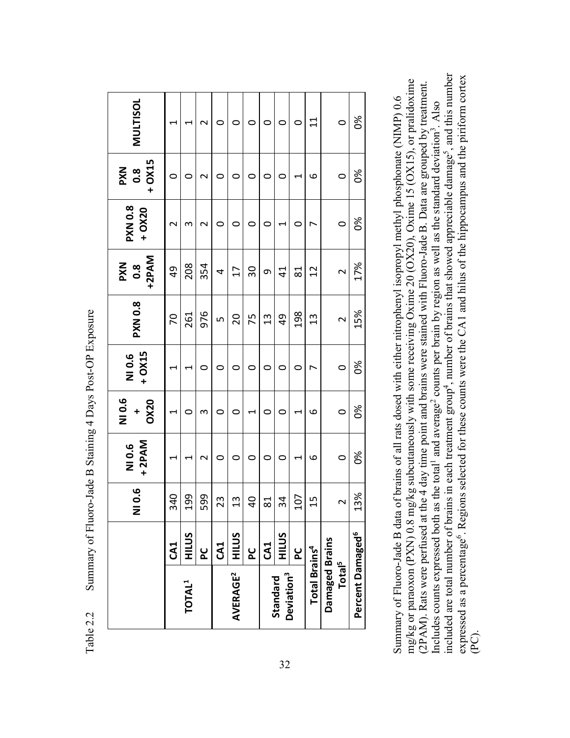|                                    |                 | $\overline{0}$ .<br>z | +2PAM<br>NI 0.6          | NI 0.6<br><b>OX20</b><br>$\ddot{}$ | + OX15<br>NI 0.6         | <b>PXN 0.8</b> | +2PAM<br><b>PXN</b><br>$\overline{0}$ .8 | <b>PXN 0.8</b><br>$+ OX20$ | $+ OX15$<br><b>NXd</b><br>O.8 | <b>MULTISOL</b>          |
|------------------------------------|-----------------|-----------------------|--------------------------|------------------------------------|--------------------------|----------------|------------------------------------------|----------------------------|-------------------------------|--------------------------|
|                                    | CA1             | $\frac{1}{4}$<br>ო    | $\overline{\phantom{0}}$ | $\overline{\phantom{0}}$           | $\overline{\phantom{0}}$ | 70             | $\frac{1}{6}$                            | $\mathbf{\Omega}$          | $\circ$                       | $\overline{\phantom{0}}$ |
| TOTAL <sup>1</sup>                 | HILUS           | 99                    |                          | 0                                  | ⊣                        | 261            | 208                                      | m                          | 0                             | $\overline{\phantom{0}}$ |
|                                    | <u>ပ</u> ု      | 99<br>5               | $\sim$                   | 3                                  | $\circ$                  | 976            | 354                                      | $\sim$                     | $\mathbf{\Omega}$             | $\mathbf 2$              |
|                                    | CA1             | 23                    | 0                        | $\circ$                            | 0                        | LŊ             | 4                                        | 0                          | $\circ$                       | $\circ$                  |
| <b>AVERAGE<sup>2</sup></b>         | HILUS           | $\frac{3}{1}$         | 0                        | $\circ$                            | $\circ$                  | 20             | 17                                       | $\circ$                    | $\circ$                       | $\circ$                  |
|                                    | <u>പ്ര</u>      | $\overline{0}$        | 0                        | 1                                  | $\circ$                  | 75             | 30                                       | 0                          | $\circ$                       | $\circ$                  |
|                                    | CA <sub>1</sub> | $\overline{8}$        | $\circ$                  | $\circ$                            | $\circ$                  | 13             | თ                                        | O                          | $\circ$                       | $\circ$                  |
| Deviation <sup>3</sup><br>Standard | HILUS           | 34                    | 0                        | $\circ$                            | 0                        | $\overline{6}$ | $\vec{4}$                                | 1                          | $\circ$                       | $\circ$                  |
|                                    | <u>s</u>        | 107                   | H                        | $\overline{\phantom{0}}$           | 0                        | 198            | $\overline{8}$                           | 0                          | $\overline{\phantom{0}}$      | $\circ$                  |
| <b>Total Brains<sup>4</sup></b>    |                 | 15                    | م                        | ဖ                                  | $\overline{ }$           | $\frac{3}{2}$  | 12                                       | $\overline{\phantom{0}}$   | 9                             | $\Xi$                    |
| Damaged Brains                     |                 |                       |                          |                                    |                          |                |                                          |                            |                               |                          |
| Total <sup>5</sup>                 |                 | $\sim$                | $\circ$                  | $\circ$                            | $\circ$                  | $\sim$         | $\sim$                                   | $\circ$                    | $\circ$                       | $\circ$                  |
| Percent Damaged <sup>6</sup>       |                 | 13%                   | 86                       | $\delta$                           | 86                       | 15%            | 17%                                      | 86                         | $\delta$                      | 8x                       |

Table 2.2 Summary of Fluoro-Jade B Staining 4 Days Post-OP Exposure Summary of Fluoro-Jade B Staining 4 Days Post-OP Exposure Table 2.2

included are total number of brains in each treatment group<sup>4</sup>, number of brains that showed appreciable damage<sup>5</sup>, and this number included are total number of brains in each treatment group<sup>4</sup>, number of brains that showed appreciable damage<sup>5</sup>, and this number expressed as a percentage<sup>6</sup>. Regions selected for these counts were the CA1 and hilus of the hippocampus and the piriform cortex expressed as a percentage<sup>6</sup>. Regions selected for these counts were the CA1 and hilus of the hippocampus and the piriform cortex mg/kg or paraoxon (PXN) 0.8 mg/kg subcutaneously with some receiving Oxime 20 (OX20), Oxime 15 (OX15), or pralidoxime mg/kg or paraoxon (PXN) 0.8 mg/kg subcutaneously with some receiving Oxime 20 (OX20), Oxime 15 (OX15), or pralidoxime (2PAM). Rats were perfused at the 4 day time point and brains were stained with Fluoro-Jade B. Data are grouped by treatment. (2PAM). Rats were perfused at the 4 day time point and brains were stained with Fluoro-Jade B. Data are grouped by treatment. Summary of Fluoro-Jade B data of brains of all rats dosed with either nitrophenyl isopropyl methyl phosphonate (NIMP) 0.6 Summary of Fluoro-Jade B data of brains of all rats dosed with either nitrophenyl isopropyl methyl phosphonate (NIMP) 0.6 Includes counts expressed both as the total<sup>1</sup> and average<sup>2</sup> counts per brain by region as well as the standard deviation<sup>3</sup>. Also Includes counts expressed both as the total<sup>1</sup> and average<sup>2</sup> counts per brain by region as well as the standard deviation<sup>3</sup>. Also (PC).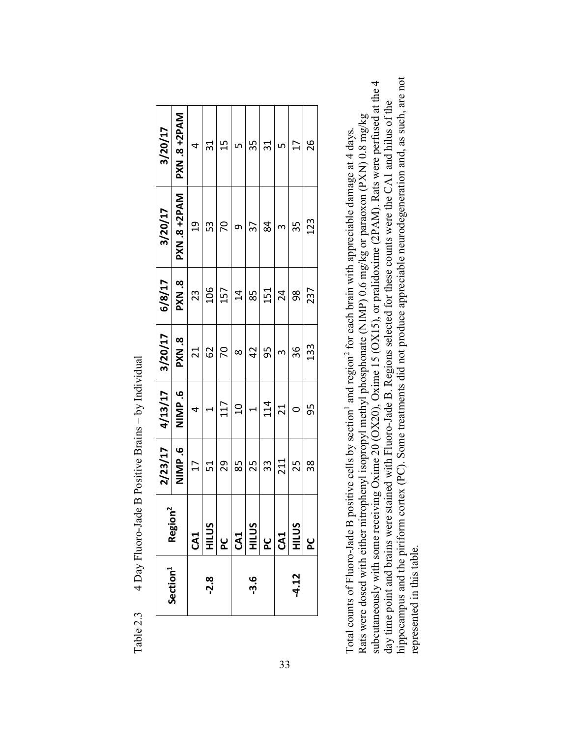|                      |                                                                                                                                             | 2/23/17         | 4/13/17                  | 3/20/17       | 6/8/17          | 3/20/17             | 3/20/17             |
|----------------------|---------------------------------------------------------------------------------------------------------------------------------------------|-----------------|--------------------------|---------------|-----------------|---------------------|---------------------|
| Section <sup>1</sup> | Region <sup>2</sup>                                                                                                                         | NIMP.6          | NIMP.6                   | <b>PXN .8</b> | PXN.8           | <b>PXN .8 +2PAM</b> | <b>PXN .8 +2PAM</b> |
|                      |                                                                                                                                             | $\overline{17}$ | $\overline{a}$           | 21            | 23              | $\frac{1}{2}$       | $\overline{a}$      |
| -2.8                 | <u>ഗ</u>                                                                                                                                    | 51              | $\overline{\phantom{0}}$ | 62            | 106             | 53                  | 31                  |
|                      | $\frac{1}{2}$ $\frac{1}{2}$ $\frac{1}{2}$ $\frac{1}{2}$ $\frac{1}{2}$ $\frac{1}{2}$ $\frac{1}{2}$ $\frac{1}{2}$ $\frac{1}{2}$ $\frac{1}{2}$ | 29              | 117                      | 70            | 157             | $\overline{70}$     | 15                  |
|                      |                                                                                                                                             | 85              | $\overline{a}$           | $\infty$      | $\overline{14}$ | $\sigma$            | $\overline{5}$      |
| <u>ე.</u>            | <u>ഗ</u>                                                                                                                                    | 25              | $\overline{\phantom{0}}$ | 42            | 85              | $\overline{37}$     | 35                  |
|                      |                                                                                                                                             | 33              | 114                      | 95            | 151             | 84                  | 31                  |
|                      |                                                                                                                                             | 211             | 21                       | $\infty$      | 24              | $\infty$            | $\overline{a}$      |
| $-4.12$              | $\overline{v}$                                                                                                                              | 25              | $\circ$                  | 36            | 98              | 35                  | 17                  |
|                      |                                                                                                                                             | 38              | 95                       | 133           | 237             | 123                 | 26                  |

hippocampus and the piriform cortex (PC). Some treatments did not produce appreciable neurodegeneration and, as such, are not hippocampus and the piriform cortex (PC). Some treatments did not produce appreciable neurodegeneration and, as such, are not subcutaneously with some receiving Oxime 20 (OX20), Oxime 15 (OX15), or pralidoxime (2PAM). Rats were perfused at the 4 day time point and brains were stained with Fluoro-Jade B. Regions selected for these counts were the subcutaneously with some receiving Oxime 20 (OX20), Oxime 15 (OX15), or pralidoxime (2PAM). Rats were perfused at the 4 day time point and brains were stained with Fluoro-Jade B. Regions selected for these counts were the CA1 and hilus of the Rats were dosed with either nitrophenyl isopropyl methyl phosphonate (NIMP) 0.6 mg/kg or paraoxon (PXN) 0.8 mg/kg Rats were dosed with either nitrophenyl isopropyl methyl phosphonate (NIMP) 0.6 mg/kg or paraoxon (PXN) 0.8 mg/kg Total counts of Fluoro-Jade B positive cells by section<sup>1</sup> and region<sup>2</sup> for each brain with appreciable damage at 4 days. Total counts of Fluoro-Jade B positive cells by section<sup>1</sup> and region<sup>2</sup> for each brain with appreciable damage at 4 days. represented in this table. represented in this table.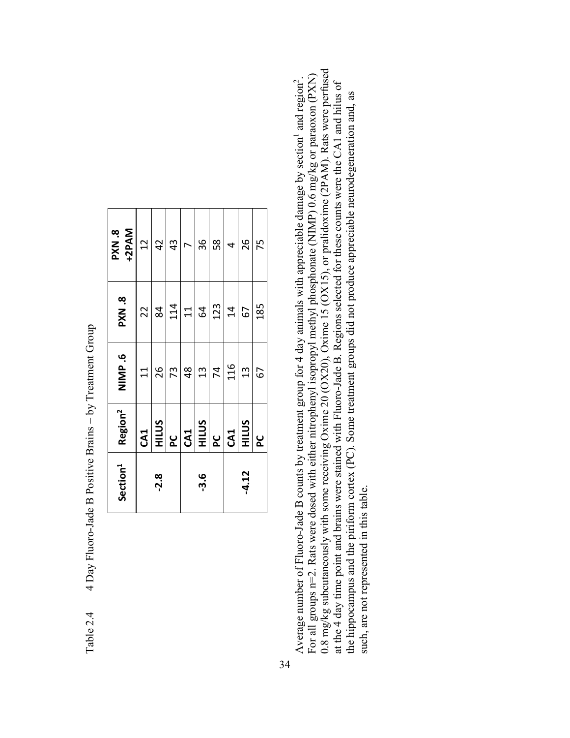| Section <sup>1</sup> | Region <sup>2</sup>                                                                         | NIMP.6           | <b>BXN.8</b>    | +2PAM<br><b>PXN.8</b>    |
|----------------------|---------------------------------------------------------------------------------------------|------------------|-----------------|--------------------------|
|                      |                                                                                             | $\overline{1}$   | 22              | 12                       |
| -2.8                 | $\frac{CA1}{HUS}$                                                                           | 26               | 84              | 42                       |
|                      |                                                                                             | 73               | $\frac{114}{1}$ | 43                       |
|                      |                                                                                             | 48               | $11\,$          | $\overline{\phantom{a}}$ |
| $-3.6$               | $\frac{1}{8} \left  \frac{1}{8} \right  \frac{1}{8} \left  \frac{1}{8} \right  \frac{1}{8}$ | $\frac{1}{3}$    | 64              | 36                       |
|                      |                                                                                             |                  | 123             | 58                       |
|                      |                                                                                             | $\frac{74}{116}$ | $\overline{4}$  | 4                        |
| $-4.12$              |                                                                                             | 13               | 67              | 26                       |
|                      | <b>PC</b>                                                                                   | 67               | 185             | 75                       |

Table 2.4 4 Day Fluoro-Jade B Positive Brains – by Treatment Group 4 Day Fluoro-Jade B Positive Brains – by Treatment Group Table 2.4

34

0.8 mg/kg subcutaneously with some receiving Oxime 20 (OX20), Oxime 15 (OX15), or pralidoxime (2PAM). Rats were perfused For all groups  $n=2$ . Rats were dosed with either nitrophenyl isopropyl methyl phosphonate (NIMP) 0.6 mg/kg or paraoxon (PXN) 0.8 mg/kg subcutaneously with some receiving Oxime 20 (OX20), Oxime 15 (OX15), or pralidoxime ( For all groups n=2. Rats were dosed with either nitrophenyl isopropyl methyl phosphonate (NIMP) 0.6 mg/kg or paraoxon (PXN) Average number of Fluoro-Jade B counts by treatment group for 4 day animals with appreciable damage by section<sup>1</sup> and region<sup>2</sup>. Average number of Fluoro-Jade B counts by treatment group for 4 day animals with appreciable damage by section<sup>1</sup> and region<sup>2</sup>. at the 4 day time point and brains were stained with Fluoro-Jade B. Regions selected for these counts were the CA1 and hilus of at the 4 day time point and brains were stained with Fluoro-Jade B. Regions selected for these counts were the CA1 and hilus of the hippocampus and the piriform cortex (PC). Some treatment groups did not produce appreciable neurodegeneration and, as the hippocampus and the piriform cortex (PC). Some treatment groups did not produce appreciable neurodegeneration and, as such, are not represented in this table. such, are not represented in this table.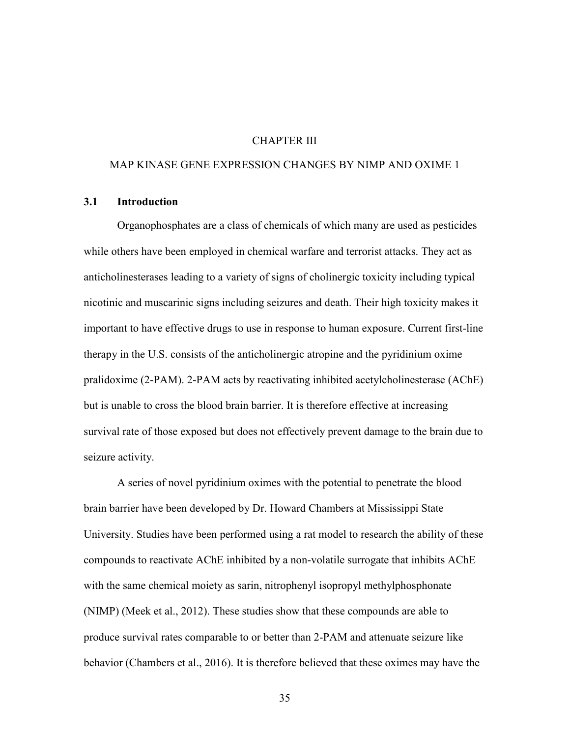# CHAPTER III

## MAP KINASE GENE EXPRESSION CHANGES BY NIMP AND OXIME 1

# **3.1 Introduction**

Organophosphates are a class of chemicals of which many are used as pesticides while others have been employed in chemical warfare and terrorist attacks. They act as anticholinesterases leading to a variety of signs of cholinergic toxicity including typical nicotinic and muscarinic signs including seizures and death. Their high toxicity makes it important to have effective drugs to use in response to human exposure. Current first-line therapy in the U.S. consists of the anticholinergic atropine and the pyridinium oxime pralidoxime (2-PAM). 2-PAM acts by reactivating inhibited acetylcholinesterase (AChE) but is unable to cross the blood brain barrier. It is therefore effective at increasing survival rate of those exposed but does not effectively prevent damage to the brain due to seizure activity.

A series of novel pyridinium oximes with the potential to penetrate the blood brain barrier have been developed by Dr. Howard Chambers at Mississippi State University. Studies have been performed using a rat model to research the ability of these compounds to reactivate AChE inhibited by a non-volatile surrogate that inhibits AChE with the same chemical moiety as sarin, nitrophenyl isopropyl methylphosphonate (NIMP) (Meek et al., 2012). These studies show that these compounds are able to produce survival rates comparable to or better than 2-PAM and attenuate seizure like behavior (Chambers et al., 2016). It is therefore believed that these oximes may have the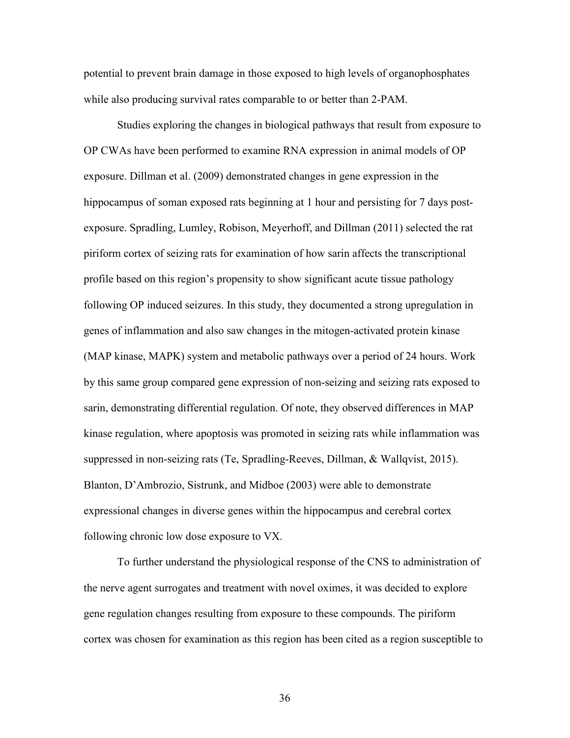potential to prevent brain damage in those exposed to high levels of organophosphates while also producing survival rates comparable to or better than 2-PAM.

Studies exploring the changes in biological pathways that result from exposure to OP CWAs have been performed to examine RNA expression in animal models of OP exposure. Dillman et al. (2009) demonstrated changes in gene expression in the hippocampus of soman exposed rats beginning at 1 hour and persisting for 7 days postexposure. Spradling, Lumley, Robison, Meyerhoff, and Dillman (2011) selected the rat piriform cortex of seizing rats for examination of how sarin affects the transcriptional profile based on this region's propensity to show significant acute tissue pathology following OP induced seizures. In this study, they documented a strong upregulation in genes of inflammation and also saw changes in the mitogen-activated protein kinase (MAP kinase, MAPK) system and metabolic pathways over a period of 24 hours. Work by this same group compared gene expression of non-seizing and seizing rats exposed to sarin, demonstrating differential regulation. Of note, they observed differences in MAP kinase regulation, where apoptosis was promoted in seizing rats while inflammation was suppressed in non-seizing rats (Te, Spradling-Reeves, Dillman, & Wallqvist, 2015). Blanton, D'Ambrozio, Sistrunk, and Midboe (2003) were able to demonstrate expressional changes in diverse genes within the hippocampus and cerebral cortex following chronic low dose exposure to VX.

To further understand the physiological response of the CNS to administration of the nerve agent surrogates and treatment with novel oximes, it was decided to explore gene regulation changes resulting from exposure to these compounds. The piriform cortex was chosen for examination as this region has been cited as a region susceptible to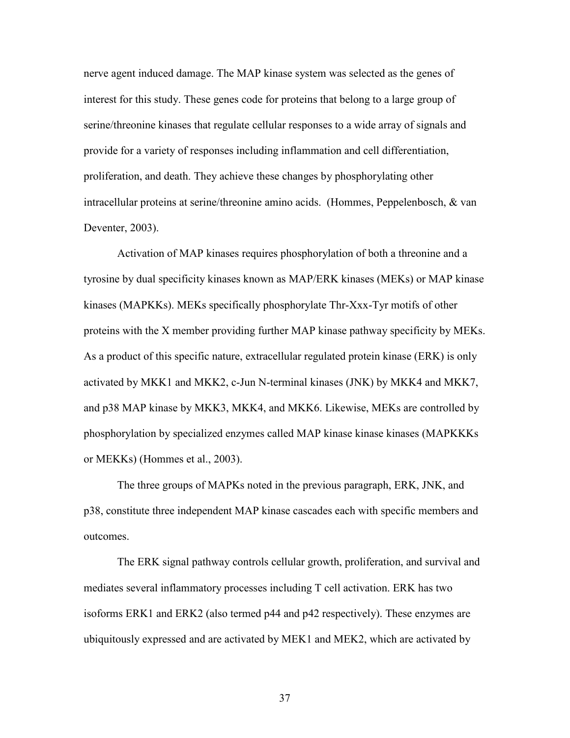nerve agent induced damage. The MAP kinase system was selected as the genes of interest for this study. These genes code for proteins that belong to a large group of serine/threonine kinases that regulate cellular responses to a wide array of signals and provide for a variety of responses including inflammation and cell differentiation, proliferation, and death. They achieve these changes by phosphorylating other intracellular proteins at serine/threonine amino acids. (Hommes, Peppelenbosch, & van Deventer, 2003).

Activation of MAP kinases requires phosphorylation of both a threonine and a tyrosine by dual specificity kinases known as MAP/ERK kinases (MEKs) or MAP kinase kinases (MAPKKs). MEKs specifically phosphorylate Thr-Xxx-Tyr motifs of other proteins with the X member providing further MAP kinase pathway specificity by MEKs. As a product of this specific nature, extracellular regulated protein kinase (ERK) is only activated by MKK1 and MKK2, c-Jun N-terminal kinases (JNK) by MKK4 and MKK7, and p38 MAP kinase by MKK3, MKK4, and MKK6. Likewise, MEKs are controlled by phosphorylation by specialized enzymes called MAP kinase kinase kinases (MAPKKKs or MEKKs) (Hommes et al., 2003).

The three groups of MAPKs noted in the previous paragraph, ERK, JNK, and p38, constitute three independent MAP kinase cascades each with specific members and outcomes.

The ERK signal pathway controls cellular growth, proliferation, and survival and mediates several inflammatory processes including T cell activation. ERK has two isoforms ERK1 and ERK2 (also termed p44 and p42 respectively). These enzymes are ubiquitously expressed and are activated by MEK1 and MEK2, which are activated by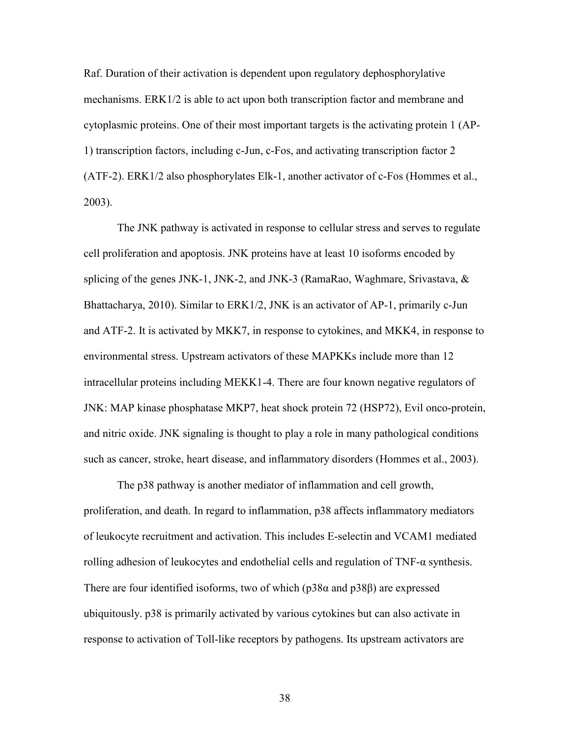Raf. Duration of their activation is dependent upon regulatory dephosphorylative mechanisms. ERK1/2 is able to act upon both transcription factor and membrane and cytoplasmic proteins. One of their most important targets is the activating protein 1 (AP-1) transcription factors, including c-Jun, c-Fos, and activating transcription factor 2 (ATF-2). ERK1/2 also phosphorylates Elk-1, another activator of c-Fos (Hommes et al., 2003).

The JNK pathway is activated in response to cellular stress and serves to regulate cell proliferation and apoptosis. JNK proteins have at least 10 isoforms encoded by splicing of the genes JNK-1, JNK-2, and JNK-3 (RamaRao, Waghmare, Srivastava,  $\&$ Bhattacharya, 2010). Similar to ERK1/2, JNK is an activator of AP-1, primarily c-Jun and ATF-2. It is activated by MKK7, in response to cytokines, and MKK4, in response to environmental stress. Upstream activators of these MAPKKs include more than 12 intracellular proteins including MEKK1-4. There are four known negative regulators of JNK: MAP kinase phosphatase MKP7, heat shock protein 72 (HSP72), Evil onco-protein, and nitric oxide. JNK signaling is thought to play a role in many pathological conditions such as cancer, stroke, heart disease, and inflammatory disorders (Hommes et al., 2003).

The p38 pathway is another mediator of inflammation and cell growth, proliferation, and death. In regard to inflammation, p38 affects inflammatory mediators of leukocyte recruitment and activation. This includes E-selectin and VCAM1 mediated rolling adhesion of leukocytes and endothelial cells and regulation of TNF-α synthesis. There are four identified isoforms, two of which ( $p38\alpha$  and  $p38\beta$ ) are expressed ubiquitously. p38 is primarily activated by various cytokines but can also activate in response to activation of Toll-like receptors by pathogens. Its upstream activators are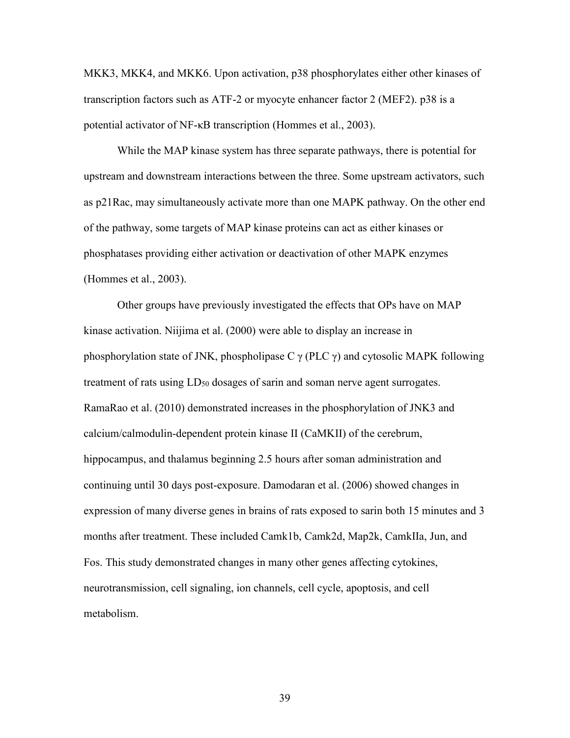MKK3, MKK4, and MKK6. Upon activation, p38 phosphorylates either other kinases of transcription factors such as ATF-2 or myocyte enhancer factor 2 (MEF2). p38 is a potential activator of NF-κB transcription (Hommes et al., 2003).

While the MAP kinase system has three separate pathways, there is potential for upstream and downstream interactions between the three. Some upstream activators, such as p21Rac, may simultaneously activate more than one MAPK pathway. On the other end of the pathway, some targets of MAP kinase proteins can act as either kinases or phosphatases providing either activation or deactivation of other MAPK enzymes (Hommes et al., 2003).

Other groups have previously investigated the effects that OPs have on MAP kinase activation. Niijima et al. (2000) were able to display an increase in phosphorylation state of JNK, phospholipase C  $\gamma$  (PLC  $\gamma$ ) and cytosolic MAPK following treatment of rats using  $LD_{50}$  dosages of sarin and soman nerve agent surrogates. RamaRao et al. (2010) demonstrated increases in the phosphorylation of JNK3 and calcium/calmodulin-dependent protein kinase II (CaMKII) of the cerebrum, hippocampus, and thalamus beginning 2.5 hours after soman administration and continuing until 30 days post-exposure. Damodaran et al. (2006) showed changes in expression of many diverse genes in brains of rats exposed to sarin both 15 minutes and 3 months after treatment. These included Camk1b, Camk2d, Map2k, CamkIIa, Jun, and Fos. This study demonstrated changes in many other genes affecting cytokines, neurotransmission, cell signaling, ion channels, cell cycle, apoptosis, and cell metabolism.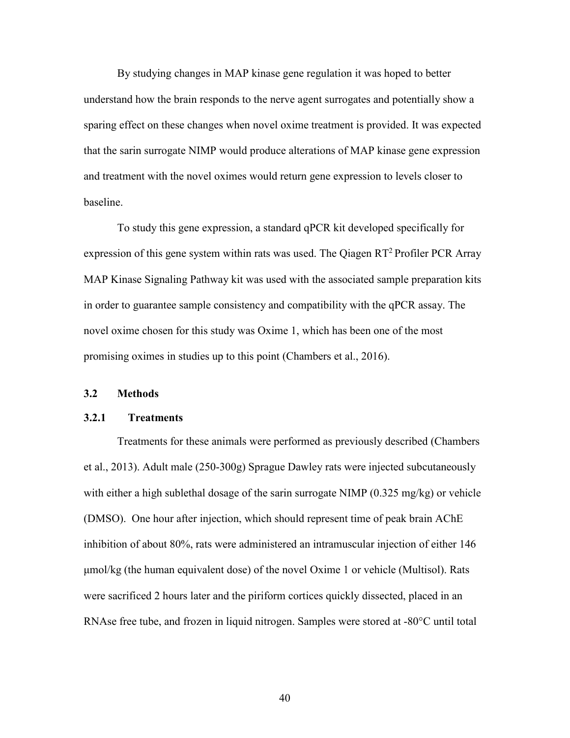By studying changes in MAP kinase gene regulation it was hoped to better understand how the brain responds to the nerve agent surrogates and potentially show a sparing effect on these changes when novel oxime treatment is provided. It was expected that the sarin surrogate NIMP would produce alterations of MAP kinase gene expression and treatment with the novel oximes would return gene expression to levels closer to baseline.

 To study this gene expression, a standard qPCR kit developed specifically for expression of this gene system within rats was used. The Qiagen  $RT^2$  Profiler PCR Array MAP Kinase Signaling Pathway kit was used with the associated sample preparation kits in order to guarantee sample consistency and compatibility with the qPCR assay. The novel oxime chosen for this study was Oxime 1, which has been one of the most promising oximes in studies up to this point (Chambers et al., 2016).

### **3.2 Methods**

#### **3.2.1 Treatments**

Treatments for these animals were performed as previously described (Chambers et al., 2013). Adult male (250-300g) Sprague Dawley rats were injected subcutaneously with either a high sublethal dosage of the sarin surrogate NIMP (0.325 mg/kg) or vehicle (DMSO). One hour after injection, which should represent time of peak brain AChE inhibition of about 80%, rats were administered an intramuscular injection of either 146 μmol/kg (the human equivalent dose) of the novel Oxime 1 or vehicle (Multisol). Rats were sacrificed 2 hours later and the piriform cortices quickly dissected, placed in an RNAse free tube, and frozen in liquid nitrogen. Samples were stored at -80°C until total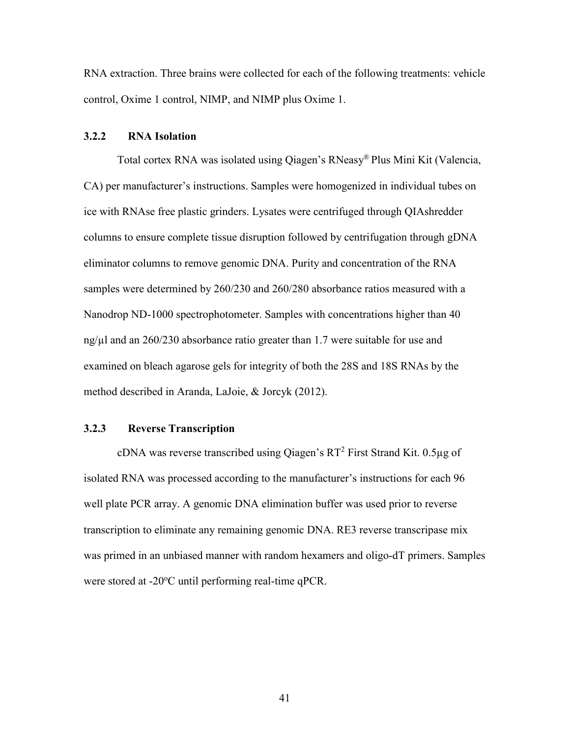RNA extraction. Three brains were collected for each of the following treatments: vehicle control, Oxime 1 control, NIMP, and NIMP plus Oxime 1.

### **3.2.2 RNA Isolation**

Total cortex RNA was isolated using Qiagen's RNeasy® Plus Mini Kit (Valencia, CA) per manufacturer's instructions. Samples were homogenized in individual tubes on ice with RNAse free plastic grinders. Lysates were centrifuged through QIAshredder columns to ensure complete tissue disruption followed by centrifugation through gDNA eliminator columns to remove genomic DNA. Purity and concentration of the RNA samples were determined by 260/230 and 260/280 absorbance ratios measured with a Nanodrop ND-1000 spectrophotometer. Samples with concentrations higher than 40 ng/µl and an 260/230 absorbance ratio greater than 1.7 were suitable for use and examined on bleach agarose gels for integrity of both the 28S and 18S RNAs by the method described in Aranda, LaJoie, & Jorcyk (2012).

# **3.2.3 Reverse Transcription**

cDNA was reverse transcribed using Qiagen's  $RT^2$  First Strand Kit. 0.5 $\mu$ g of isolated RNA was processed according to the manufacturer's instructions for each 96 well plate PCR array. A genomic DNA elimination buffer was used prior to reverse transcription to eliminate any remaining genomic DNA. RE3 reverse transcripase mix was primed in an unbiased manner with random hexamers and oligo-dT primers. Samples were stored at -20°C until performing real-time qPCR.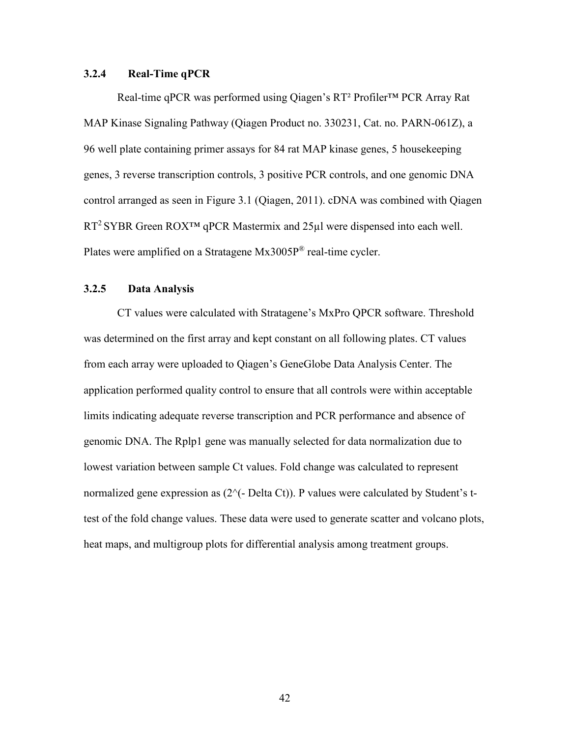## **3.2.4 Real-Time qPCR**

Real-time qPCR was performed using Qiagen's RT² Profiler™ PCR Array Rat MAP Kinase Signaling Pathway (Qiagen Product no. 330231, Cat. no. PARN-061Z), a 96 well plate containing primer assays for 84 rat MAP kinase genes, 5 housekeeping genes, 3 reverse transcription controls, 3 positive PCR controls, and one genomic DNA control arranged as seen in Figure 3.1 (Qiagen, 2011). cDNA was combined with Qiagen  $RT^2$  SYBR Green ROX<sup>TM</sup> qPCR Mastermix and 25 $\mu$ l were dispensed into each well. Plates were amplified on a Stratagene Mx3005P® real-time cycler.

## **3.2.5 Data Analysis**

CT values were calculated with Stratagene's MxPro QPCR software. Threshold was determined on the first array and kept constant on all following plates. CT values from each array were uploaded to Qiagen's GeneGlobe Data Analysis Center. The application performed quality control to ensure that all controls were within acceptable limits indicating adequate reverse transcription and PCR performance and absence of genomic DNA. The Rplp1 gene was manually selected for data normalization due to lowest variation between sample Ct values. Fold change was calculated to represent normalized gene expression as  $(2^{\wedge}(-\text{Delta Ct}))$ . P values were calculated by Student's ttest of the fold change values. These data were used to generate scatter and volcano plots, heat maps, and multigroup plots for differential analysis among treatment groups.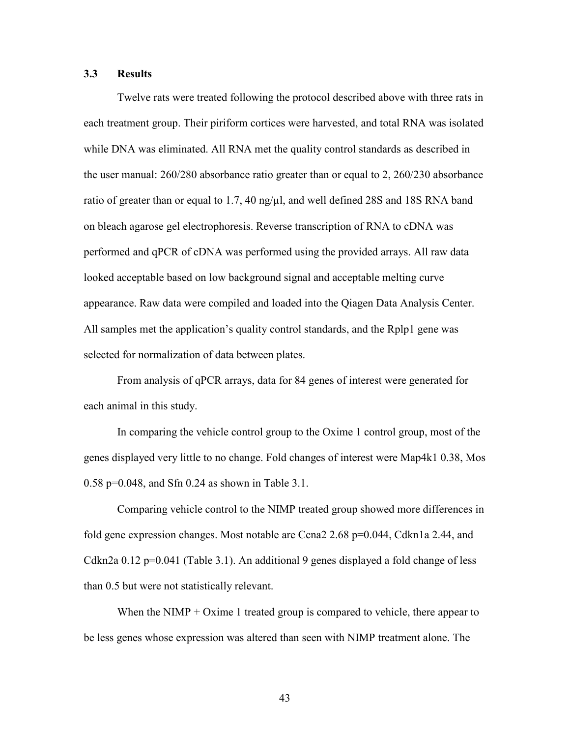# **3.3 Results**

Twelve rats were treated following the protocol described above with three rats in each treatment group. Their piriform cortices were harvested, and total RNA was isolated while DNA was eliminated. All RNA met the quality control standards as described in the user manual: 260/280 absorbance ratio greater than or equal to 2, 260/230 absorbance ratio of greater than or equal to 1.7, 40 ng/ $\mu$ l, and well defined 28S and 18S RNA band on bleach agarose gel electrophoresis. Reverse transcription of RNA to cDNA was performed and qPCR of cDNA was performed using the provided arrays. All raw data looked acceptable based on low background signal and acceptable melting curve appearance. Raw data were compiled and loaded into the Qiagen Data Analysis Center. All samples met the application's quality control standards, and the Rplp1 gene was selected for normalization of data between plates.

 From analysis of qPCR arrays, data for 84 genes of interest were generated for each animal in this study.

 In comparing the vehicle control group to the Oxime 1 control group, most of the genes displayed very little to no change. Fold changes of interest were Map4k1 0.38, Mos 0.58 p=0.048, and Sfn 0.24 as shown in Table 3.1.

 Comparing vehicle control to the NIMP treated group showed more differences in fold gene expression changes. Most notable are Ccna2 2.68 p=0.044, Cdkn1a 2.44, and Cdkn2a 0.12 p=0.041 (Table 3.1). An additional 9 genes displayed a fold change of less than 0.5 but were not statistically relevant.

When the NIMP  $+$  Oxime 1 treated group is compared to vehicle, there appear to be less genes whose expression was altered than seen with NIMP treatment alone. The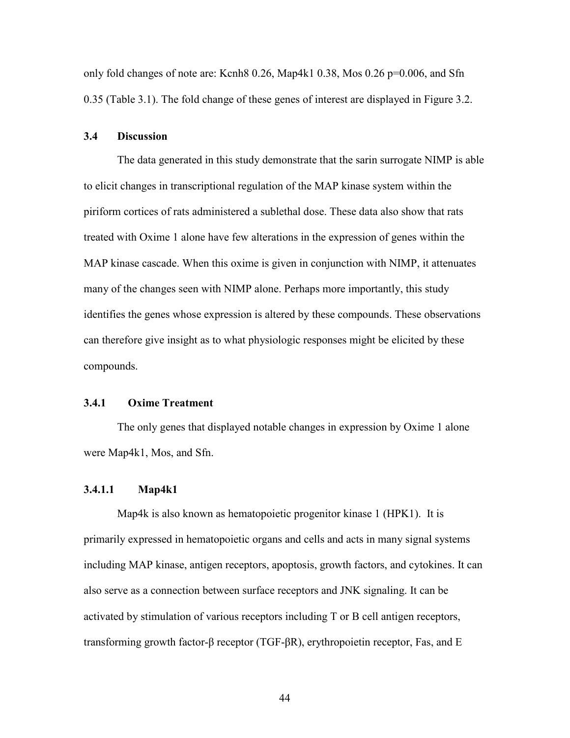only fold changes of note are: Kcnh8 0.26, Map4k1 0.38, Mos 0.26 p=0.006, and Sfn 0.35 (Table 3.1). The fold change of these genes of interest are displayed in Figure 3.2.

## **3.4 Discussion**

The data generated in this study demonstrate that the sarin surrogate NIMP is able to elicit changes in transcriptional regulation of the MAP kinase system within the piriform cortices of rats administered a sublethal dose. These data also show that rats treated with Oxime 1 alone have few alterations in the expression of genes within the MAP kinase cascade. When this oxime is given in conjunction with NIMP, it attenuates many of the changes seen with NIMP alone. Perhaps more importantly, this study identifies the genes whose expression is altered by these compounds. These observations can therefore give insight as to what physiologic responses might be elicited by these compounds.

#### **3.4.1 Oxime Treatment**

The only genes that displayed notable changes in expression by Oxime 1 alone were Map4k1, Mos, and Sfn.

## **3.4.1.1 Map4k1**

Map4k is also known as hematopoietic progenitor kinase 1 (HPK1). It is primarily expressed in hematopoietic organs and cells and acts in many signal systems including MAP kinase, antigen receptors, apoptosis, growth factors, and cytokines. It can also serve as a connection between surface receptors and JNK signaling. It can be activated by stimulation of various receptors including T or B cell antigen receptors, transforming growth factor-β receptor (TGF-βR), erythropoietin receptor, Fas, and E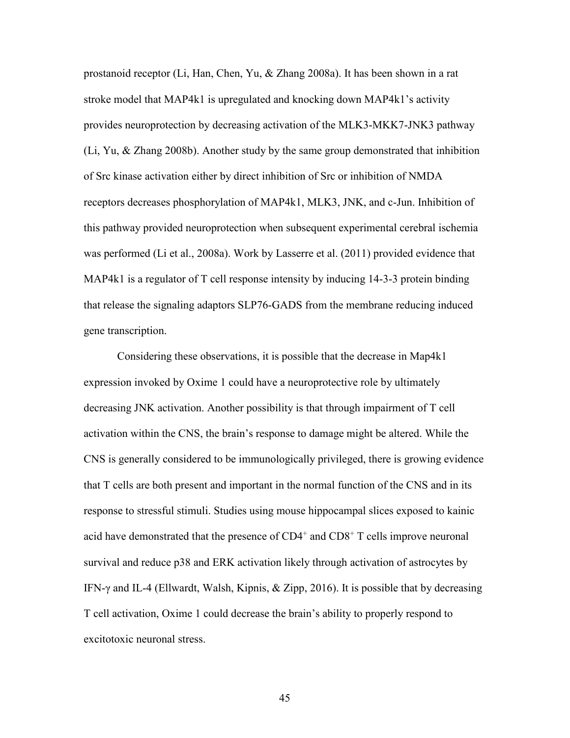prostanoid receptor (Li, Han, Chen, Yu, & Zhang 2008a). It has been shown in a rat stroke model that MAP4k1 is upregulated and knocking down MAP4k1's activity provides neuroprotection by decreasing activation of the MLK3-MKK7-JNK3 pathway (Li, Yu, & Zhang 2008b). Another study by the same group demonstrated that inhibition of Src kinase activation either by direct inhibition of Src or inhibition of NMDA receptors decreases phosphorylation of MAP4k1, MLK3, JNK, and c-Jun. Inhibition of this pathway provided neuroprotection when subsequent experimental cerebral ischemia was performed (Li et al., 2008a). Work by Lasserre et al. (2011) provided evidence that MAP4k1 is a regulator of T cell response intensity by inducing 14-3-3 protein binding that release the signaling adaptors SLP76-GADS from the membrane reducing induced gene transcription.

Considering these observations, it is possible that the decrease in Map4k1 expression invoked by Oxime 1 could have a neuroprotective role by ultimately decreasing JNK activation. Another possibility is that through impairment of T cell activation within the CNS, the brain's response to damage might be altered. While the CNS is generally considered to be immunologically privileged, there is growing evidence that T cells are both present and important in the normal function of the CNS and in its response to stressful stimuli. Studies using mouse hippocampal slices exposed to kainic acid have demonstrated that the presence of  $CD4^+$  and  $CD8^+$  T cells improve neuronal survival and reduce p38 and ERK activation likely through activation of astrocytes by IFN-γ and IL-4 (Ellwardt, Walsh, Kipnis, & Zipp, 2016). It is possible that by decreasing T cell activation, Oxime 1 could decrease the brain's ability to properly respond to excitotoxic neuronal stress.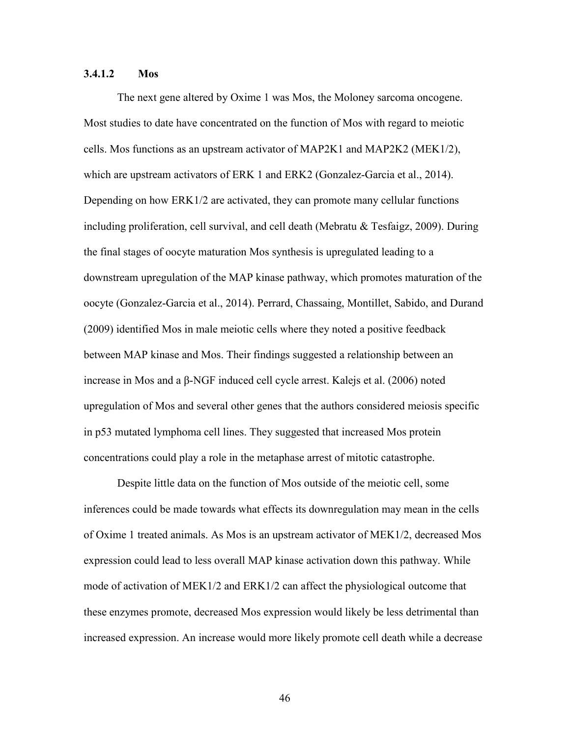# **3.4.1.2 Mos**

The next gene altered by Oxime 1 was Mos, the Moloney sarcoma oncogene. Most studies to date have concentrated on the function of Mos with regard to meiotic cells. Mos functions as an upstream activator of MAP2K1 and MAP2K2 (MEK1/2), which are upstream activators of ERK 1 and ERK2 (Gonzalez-Garcia et al., 2014). Depending on how  $ERK1/2$  are activated, they can promote many cellular functions including proliferation, cell survival, and cell death (Mebratu & Tesfaigz, 2009). During the final stages of oocyte maturation Mos synthesis is upregulated leading to a downstream upregulation of the MAP kinase pathway, which promotes maturation of the oocyte (Gonzalez-Garcia et al., 2014). Perrard, Chassaing, Montillet, Sabido, and Durand (2009) identified Mos in male meiotic cells where they noted a positive feedback between MAP kinase and Mos. Their findings suggested a relationship between an increase in Mos and a β-NGF induced cell cycle arrest. Kalejs et al. (2006) noted upregulation of Mos and several other genes that the authors considered meiosis specific in p53 mutated lymphoma cell lines. They suggested that increased Mos protein concentrations could play a role in the metaphase arrest of mitotic catastrophe.

Despite little data on the function of Mos outside of the meiotic cell, some inferences could be made towards what effects its downregulation may mean in the cells of Oxime 1 treated animals. As Mos is an upstream activator of MEK1/2, decreased Mos expression could lead to less overall MAP kinase activation down this pathway. While mode of activation of MEK1/2 and ERK1/2 can affect the physiological outcome that these enzymes promote, decreased Mos expression would likely be less detrimental than increased expression. An increase would more likely promote cell death while a decrease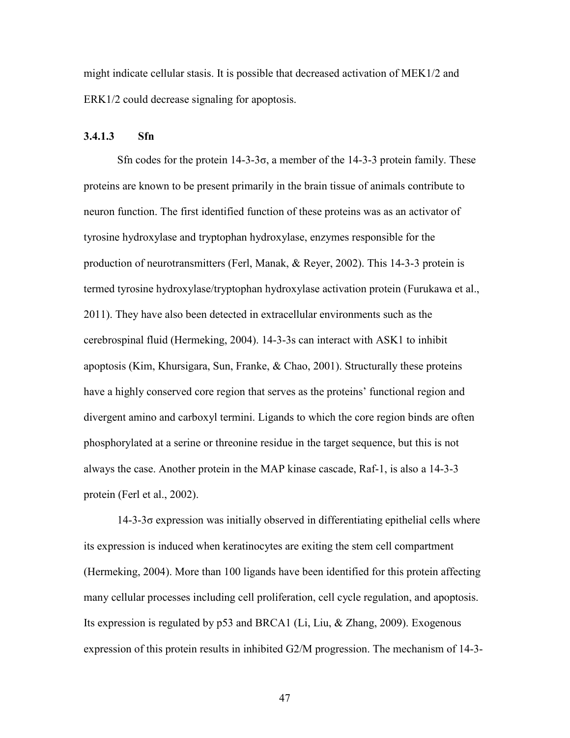might indicate cellular stasis. It is possible that decreased activation of MEK1/2 and ERK1/2 could decrease signaling for apoptosis.

## **3.4.1.3 Sfn**

Sfn codes for the protein  $14-3-3\sigma$ , a member of the 14-3-3 protein family. These proteins are known to be present primarily in the brain tissue of animals contribute to neuron function. The first identified function of these proteins was as an activator of tyrosine hydroxylase and tryptophan hydroxylase, enzymes responsible for the production of neurotransmitters (Ferl, Manak, & Reyer, 2002). This 14-3-3 protein is termed tyrosine hydroxylase/tryptophan hydroxylase activation protein (Furukawa et al., 2011). They have also been detected in extracellular environments such as the cerebrospinal fluid (Hermeking, 2004). 14-3-3s can interact with ASK1 to inhibit apoptosis (Kim, Khursigara, Sun, Franke,  $\&$  Chao, 2001). Structurally these proteins have a highly conserved core region that serves as the proteins' functional region and divergent amino and carboxyl termini. Ligands to which the core region binds are often phosphorylated at a serine or threonine residue in the target sequence, but this is not always the case. Another protein in the MAP kinase cascade, Raf-1, is also a 14-3-3 protein (Ferl et al., 2002).

 14-3-3σ expression was initially observed in differentiating epithelial cells where its expression is induced when keratinocytes are exiting the stem cell compartment (Hermeking, 2004). More than 100 ligands have been identified for this protein affecting many cellular processes including cell proliferation, cell cycle regulation, and apoptosis. Its expression is regulated by p53 and BRCA1 (Li, Liu, & Zhang, 2009). Exogenous expression of this protein results in inhibited G2/M progression. The mechanism of 14-3-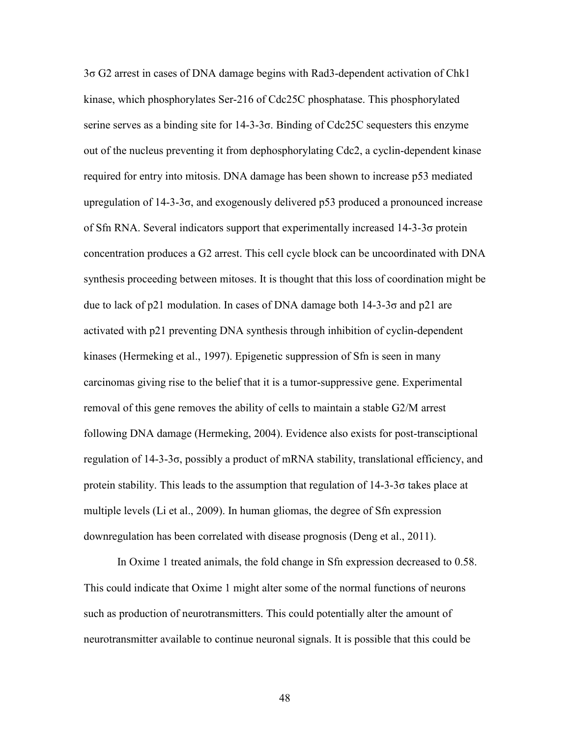3σ G2 arrest in cases of DNA damage begins with Rad3-dependent activation of Chk1 kinase, which phosphorylates Ser-216 of Cdc25C phosphatase. This phosphorylated serine serves as a binding site for 14-3-3σ. Binding of Cdc25C sequesters this enzyme out of the nucleus preventing it from dephosphorylating Cdc2, a cyclin-dependent kinase required for entry into mitosis. DNA damage has been shown to increase p53 mediated upregulation of  $14-3-3\sigma$ , and exogenously delivered p53 produced a pronounced increase of Sfn RNA. Several indicators support that experimentally increased 14-3-3σ protein concentration produces a G2 arrest. This cell cycle block can be uncoordinated with DNA synthesis proceeding between mitoses. It is thought that this loss of coordination might be due to lack of p21 modulation. In cases of DNA damage both  $14-3-3\sigma$  and p21 are activated with p21 preventing DNA synthesis through inhibition of cyclin-dependent kinases (Hermeking et al., 1997). Epigenetic suppression of Sfn is seen in many carcinomas giving rise to the belief that it is a tumor-suppressive gene. Experimental removal of this gene removes the ability of cells to maintain a stable G2/M arrest following DNA damage (Hermeking, 2004). Evidence also exists for post-transciptional regulation of 14-3-3σ, possibly a product of mRNA stability, translational efficiency, and protein stability. This leads to the assumption that regulation of 14-3-3σ takes place at multiple levels (Li et al., 2009). In human gliomas, the degree of Sfn expression downregulation has been correlated with disease prognosis (Deng et al., 2011).

 In Oxime 1 treated animals, the fold change in Sfn expression decreased to 0.58. This could indicate that Oxime 1 might alter some of the normal functions of neurons such as production of neurotransmitters. This could potentially alter the amount of neurotransmitter available to continue neuronal signals. It is possible that this could be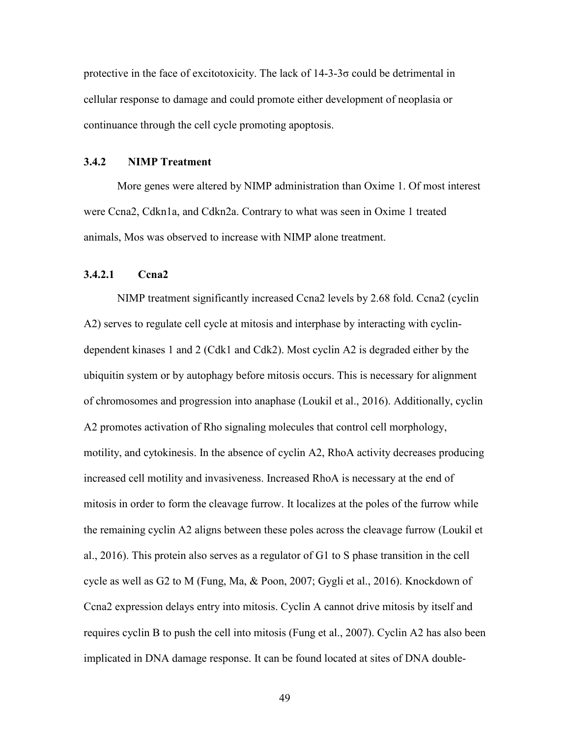protective in the face of excitotoxicity. The lack of 14-3-3σ could be detrimental in cellular response to damage and could promote either development of neoplasia or continuance through the cell cycle promoting apoptosis.

### **3.4.2 NIMP Treatment**

More genes were altered by NIMP administration than Oxime 1. Of most interest were Ccna2, Cdkn1a, and Cdkn2a. Contrary to what was seen in Oxime 1 treated animals, Mos was observed to increase with NIMP alone treatment.

# **3.4.2.1 Ccna2**

NIMP treatment significantly increased Ccna2 levels by 2.68 fold. Ccna2 (cyclin A2) serves to regulate cell cycle at mitosis and interphase by interacting with cyclindependent kinases 1 and 2 (Cdk1 and Cdk2). Most cyclin A2 is degraded either by the ubiquitin system or by autophagy before mitosis occurs. This is necessary for alignment of chromosomes and progression into anaphase (Loukil et al., 2016). Additionally, cyclin A2 promotes activation of Rho signaling molecules that control cell morphology, motility, and cytokinesis. In the absence of cyclin A2, RhoA activity decreases producing increased cell motility and invasiveness. Increased RhoA is necessary at the end of mitosis in order to form the cleavage furrow. It localizes at the poles of the furrow while the remaining cyclin A2 aligns between these poles across the cleavage furrow (Loukil et al., 2016). This protein also serves as a regulator of G1 to S phase transition in the cell cycle as well as G2 to M (Fung, Ma, & Poon, 2007; Gygli et al., 2016). Knockdown of Ccna2 expression delays entry into mitosis. Cyclin A cannot drive mitosis by itself and requires cyclin B to push the cell into mitosis (Fung et al., 2007). Cyclin A2 has also been implicated in DNA damage response. It can be found located at sites of DNA double-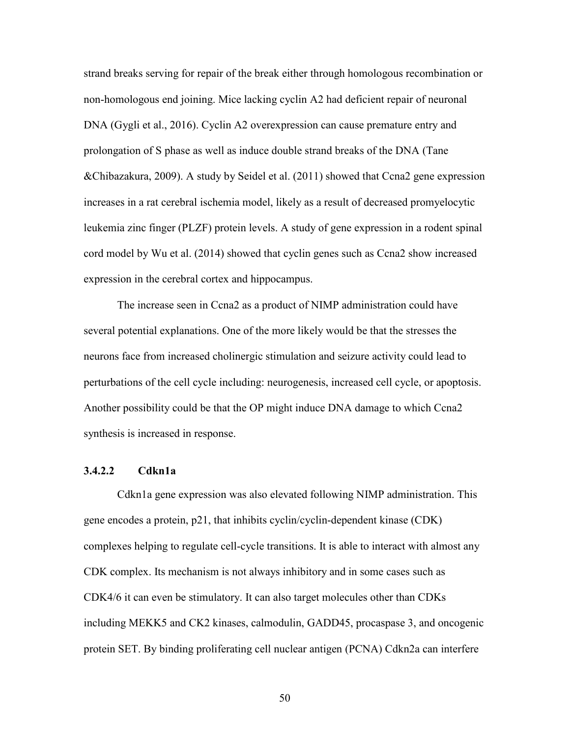strand breaks serving for repair of the break either through homologous recombination or non-homologous end joining. Mice lacking cyclin A2 had deficient repair of neuronal DNA (Gygli et al., 2016). Cyclin A2 overexpression can cause premature entry and prolongation of S phase as well as induce double strand breaks of the DNA (Tane &Chibazakura, 2009). A study by Seidel et al. (2011) showed that Ccna2 gene expression increases in a rat cerebral ischemia model, likely as a result of decreased promyelocytic leukemia zinc finger (PLZF) protein levels. A study of gene expression in a rodent spinal cord model by Wu et al. (2014) showed that cyclin genes such as Ccna2 show increased expression in the cerebral cortex and hippocampus.

The increase seen in Ccna2 as a product of NIMP administration could have several potential explanations. One of the more likely would be that the stresses the neurons face from increased cholinergic stimulation and seizure activity could lead to perturbations of the cell cycle including: neurogenesis, increased cell cycle, or apoptosis. Another possibility could be that the OP might induce DNA damage to which Ccna2 synthesis is increased in response.

#### **3.4.2.2 Cdkn1a**

Cdkn1a gene expression was also elevated following NIMP administration. This gene encodes a protein, p21, that inhibits cyclin/cyclin-dependent kinase (CDK) complexes helping to regulate cell-cycle transitions. It is able to interact with almost any CDK complex. Its mechanism is not always inhibitory and in some cases such as CDK4/6 it can even be stimulatory. It can also target molecules other than CDKs including MEKK5 and CK2 kinases, calmodulin, GADD45, procaspase 3, and oncogenic protein SET. By binding proliferating cell nuclear antigen (PCNA) Cdkn2a can interfere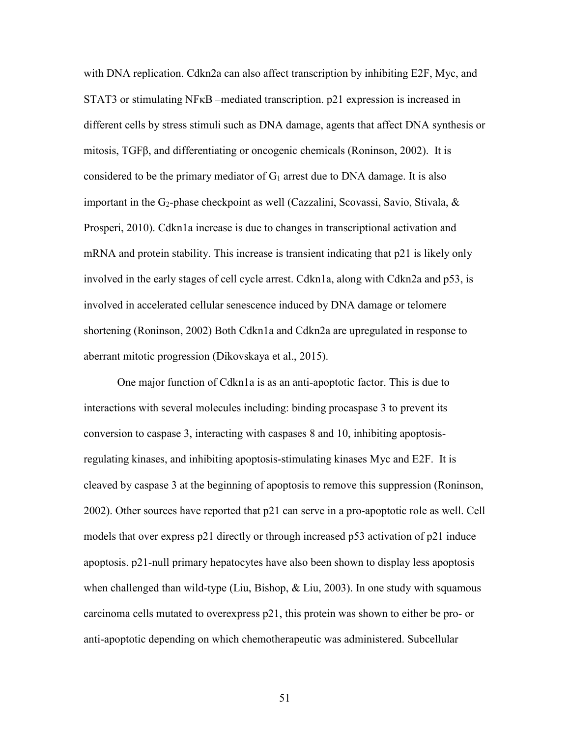with DNA replication. Cdkn2a can also affect transcription by inhibiting E2F, Myc, and STAT3 or stimulating NFκB –mediated transcription. p21 expression is increased in different cells by stress stimuli such as DNA damage, agents that affect DNA synthesis or mitosis, TGFβ, and differentiating or oncogenic chemicals (Roninson, 2002). It is considered to be the primary mediator of  $G_1$  arrest due to DNA damage. It is also important in the G<sub>2</sub>-phase checkpoint as well (Cazzalini, Scovassi, Savio, Stivala,  $\&$ Prosperi, 2010). Cdkn1a increase is due to changes in transcriptional activation and mRNA and protein stability. This increase is transient indicating that p21 is likely only involved in the early stages of cell cycle arrest. Cdkn1a, along with Cdkn2a and p53, is involved in accelerated cellular senescence induced by DNA damage or telomere shortening (Roninson, 2002) Both Cdkn1a and Cdkn2a are upregulated in response to aberrant mitotic progression (Dikovskaya et al., 2015).

One major function of Cdkn1a is as an anti-apoptotic factor. This is due to interactions with several molecules including: binding procaspase 3 to prevent its conversion to caspase 3, interacting with caspases 8 and 10, inhibiting apoptosisregulating kinases, and inhibiting apoptosis-stimulating kinases Myc and E2F. It is cleaved by caspase 3 at the beginning of apoptosis to remove this suppression (Roninson, 2002). Other sources have reported that p21 can serve in a pro-apoptotic role as well. Cell models that over express p21 directly or through increased p53 activation of p21 induce apoptosis. p21-null primary hepatocytes have also been shown to display less apoptosis when challenged than wild-type (Liu, Bishop,  $\&$  Liu, 2003). In one study with squamous carcinoma cells mutated to overexpress p21, this protein was shown to either be pro- or anti-apoptotic depending on which chemotherapeutic was administered. Subcellular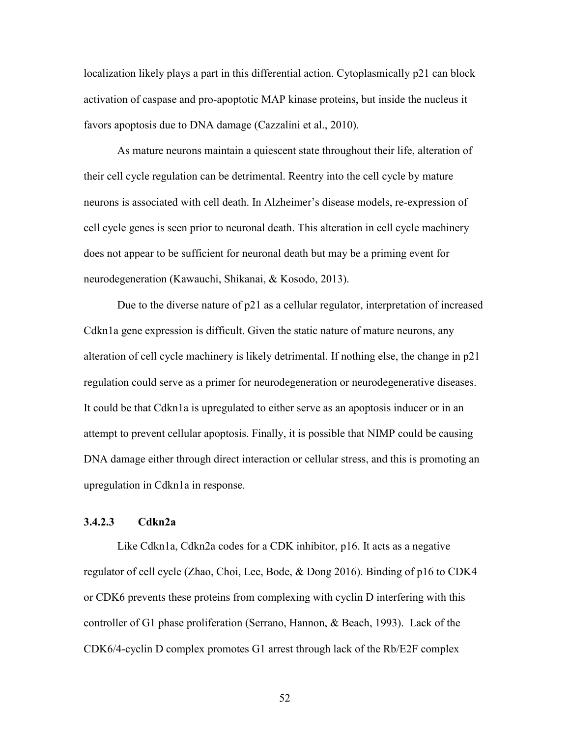localization likely plays a part in this differential action. Cytoplasmically p21 can block activation of caspase and pro-apoptotic MAP kinase proteins, but inside the nucleus it favors apoptosis due to DNA damage (Cazzalini et al., 2010).

As mature neurons maintain a quiescent state throughout their life, alteration of their cell cycle regulation can be detrimental. Reentry into the cell cycle by mature neurons is associated with cell death. In Alzheimer's disease models, re-expression of cell cycle genes is seen prior to neuronal death. This alteration in cell cycle machinery does not appear to be sufficient for neuronal death but may be a priming event for neurodegeneration (Kawauchi, Shikanai, & Kosodo, 2013).

Due to the diverse nature of p21 as a cellular regulator, interpretation of increased Cdkn1a gene expression is difficult. Given the static nature of mature neurons, any alteration of cell cycle machinery is likely detrimental. If nothing else, the change in p21 regulation could serve as a primer for neurodegeneration or neurodegenerative diseases. It could be that Cdkn1a is upregulated to either serve as an apoptosis inducer or in an attempt to prevent cellular apoptosis. Finally, it is possible that NIMP could be causing DNA damage either through direct interaction or cellular stress, and this is promoting an upregulation in Cdkn1a in response.

## **3.4.2.3 Cdkn2a**

Like Cdkn1a, Cdkn2a codes for a CDK inhibitor, p16. It acts as a negative regulator of cell cycle (Zhao, Choi, Lee, Bode, & Dong 2016). Binding of p16 to CDK4 or CDK6 prevents these proteins from complexing with cyclin D interfering with this controller of G1 phase proliferation (Serrano, Hannon, & Beach, 1993). Lack of the CDK6/4-cyclin D complex promotes G1 arrest through lack of the Rb/E2F complex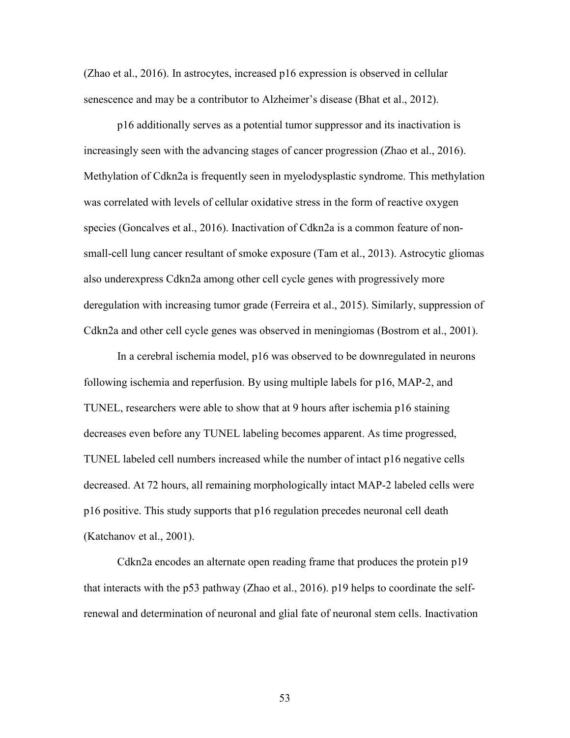(Zhao et al., 2016). In astrocytes, increased p16 expression is observed in cellular senescence and may be a contributor to Alzheimer's disease (Bhat et al., 2012).

p16 additionally serves as a potential tumor suppressor and its inactivation is increasingly seen with the advancing stages of cancer progression (Zhao et al., 2016). Methylation of Cdkn2a is frequently seen in myelodysplastic syndrome. This methylation was correlated with levels of cellular oxidative stress in the form of reactive oxygen species (Goncalves et al., 2016). Inactivation of Cdkn2a is a common feature of nonsmall-cell lung cancer resultant of smoke exposure (Tam et al., 2013). Astrocytic gliomas also underexpress Cdkn2a among other cell cycle genes with progressively more deregulation with increasing tumor grade (Ferreira et al., 2015). Similarly, suppression of Cdkn2a and other cell cycle genes was observed in meningiomas (Bostrom et al., 2001).

In a cerebral ischemia model, p16 was observed to be downregulated in neurons following ischemia and reperfusion. By using multiple labels for p16, MAP-2, and TUNEL, researchers were able to show that at 9 hours after ischemia p16 staining decreases even before any TUNEL labeling becomes apparent. As time progressed, TUNEL labeled cell numbers increased while the number of intact p16 negative cells decreased. At 72 hours, all remaining morphologically intact MAP-2 labeled cells were p16 positive. This study supports that p16 regulation precedes neuronal cell death (Katchanov et al., 2001).

Cdkn2a encodes an alternate open reading frame that produces the protein p19 that interacts with the p53 pathway (Zhao et al., 2016). p19 helps to coordinate the selfrenewal and determination of neuronal and glial fate of neuronal stem cells. Inactivation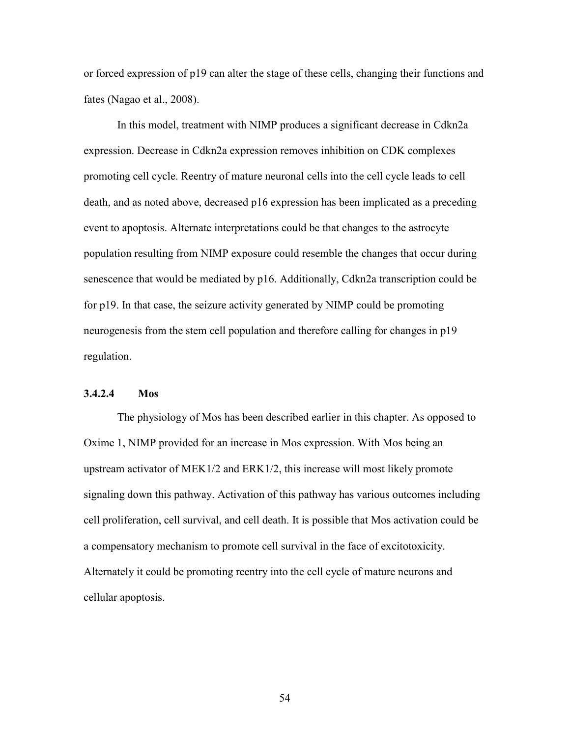or forced expression of p19 can alter the stage of these cells, changing their functions and fates (Nagao et al., 2008).

In this model, treatment with NIMP produces a significant decrease in Cdkn2a expression. Decrease in Cdkn2a expression removes inhibition on CDK complexes promoting cell cycle. Reentry of mature neuronal cells into the cell cycle leads to cell death, and as noted above, decreased p16 expression has been implicated as a preceding event to apoptosis. Alternate interpretations could be that changes to the astrocyte population resulting from NIMP exposure could resemble the changes that occur during senescence that would be mediated by p16. Additionally, Cdkn2a transcription could be for p19. In that case, the seizure activity generated by NIMP could be promoting neurogenesis from the stem cell population and therefore calling for changes in p19 regulation.

### **3.4.2.4 Mos**

The physiology of Mos has been described earlier in this chapter. As opposed to Oxime 1, NIMP provided for an increase in Mos expression. With Mos being an upstream activator of MEK1/2 and ERK1/2, this increase will most likely promote signaling down this pathway. Activation of this pathway has various outcomes including cell proliferation, cell survival, and cell death. It is possible that Mos activation could be a compensatory mechanism to promote cell survival in the face of excitotoxicity. Alternately it could be promoting reentry into the cell cycle of mature neurons and cellular apoptosis.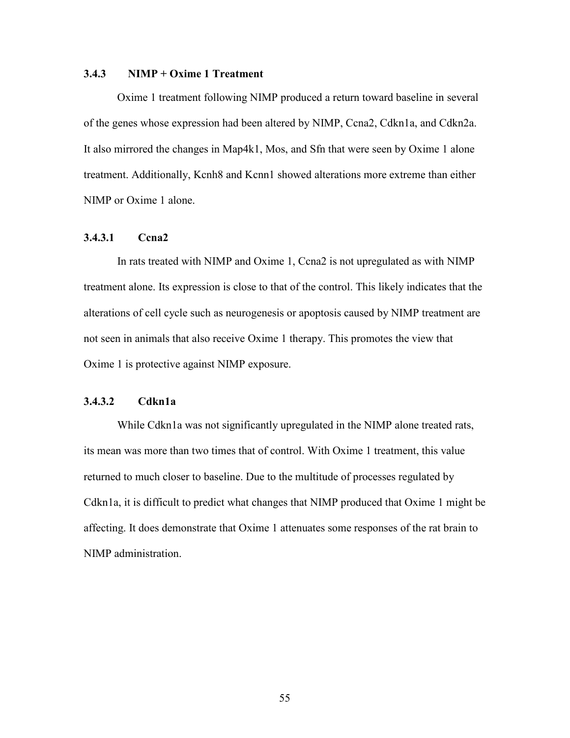### **3.4.3 NIMP + Oxime 1 Treatment**

Oxime 1 treatment following NIMP produced a return toward baseline in several of the genes whose expression had been altered by NIMP, Ccna2, Cdkn1a, and Cdkn2a. It also mirrored the changes in Map4k1, Mos, and Sfn that were seen by Oxime 1 alone treatment. Additionally, Kcnh8 and Kcnn1 showed alterations more extreme than either NIMP or Oxime 1 alone.

## **3.4.3.1 Ccna2**

In rats treated with NIMP and Oxime 1, Ccna2 is not upregulated as with NIMP treatment alone. Its expression is close to that of the control. This likely indicates that the alterations of cell cycle such as neurogenesis or apoptosis caused by NIMP treatment are not seen in animals that also receive Oxime 1 therapy. This promotes the view that Oxime 1 is protective against NIMP exposure.

# **3.4.3.2 Cdkn1a**

While Cdkn1a was not significantly upregulated in the NIMP alone treated rats, its mean was more than two times that of control. With Oxime 1 treatment, this value returned to much closer to baseline. Due to the multitude of processes regulated by Cdkn1a, it is difficult to predict what changes that NIMP produced that Oxime 1 might be affecting. It does demonstrate that Oxime 1 attenuates some responses of the rat brain to NIMP administration.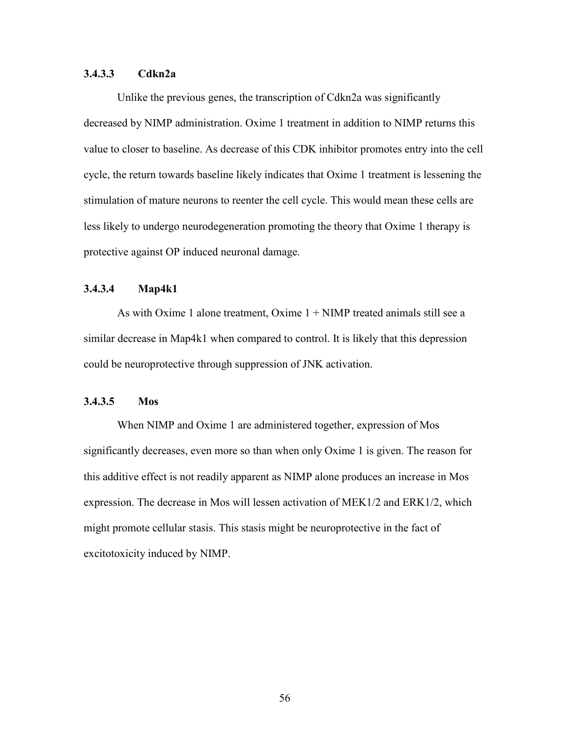# **3.4.3.3 Cdkn2a**

Unlike the previous genes, the transcription of Cdkn2a was significantly decreased by NIMP administration. Oxime 1 treatment in addition to NIMP returns this value to closer to baseline. As decrease of this CDK inhibitor promotes entry into the cell cycle, the return towards baseline likely indicates that Oxime 1 treatment is lessening the stimulation of mature neurons to reenter the cell cycle. This would mean these cells are less likely to undergo neurodegeneration promoting the theory that Oxime 1 therapy is protective against OP induced neuronal damage.

# **3.4.3.4 Map4k1**

As with Oxime 1 alone treatment, Oxime  $1 + \text{NIMP}$  treated animals still see a similar decrease in Map4k1 when compared to control. It is likely that this depression could be neuroprotective through suppression of JNK activation.

# **3.4.3.5 Mos**

When NIMP and Oxime 1 are administered together, expression of Mos significantly decreases, even more so than when only Oxime 1 is given. The reason for this additive effect is not readily apparent as NIMP alone produces an increase in Mos expression. The decrease in Mos will lessen activation of MEK1/2 and ERK1/2, which might promote cellular stasis. This stasis might be neuroprotective in the fact of excitotoxicity induced by NIMP.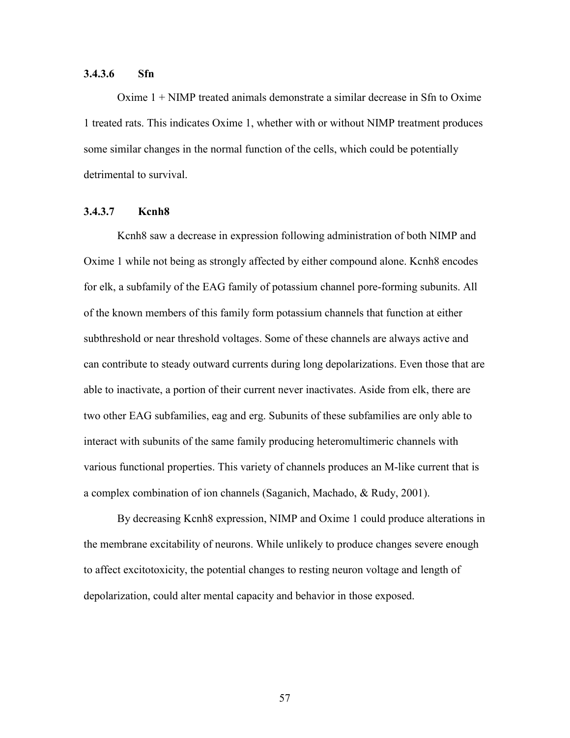## **3.4.3.6 Sfn**

Oxime 1 + NIMP treated animals demonstrate a similar decrease in Sfn to Oxime 1 treated rats. This indicates Oxime 1, whether with or without NIMP treatment produces some similar changes in the normal function of the cells, which could be potentially detrimental to survival.

# **3.4.3.7 Kcnh8**

Kcnh8 saw a decrease in expression following administration of both NIMP and Oxime 1 while not being as strongly affected by either compound alone. Kcnh8 encodes for elk, a subfamily of the EAG family of potassium channel pore-forming subunits. All of the known members of this family form potassium channels that function at either subthreshold or near threshold voltages. Some of these channels are always active and can contribute to steady outward currents during long depolarizations. Even those that are able to inactivate, a portion of their current never inactivates. Aside from elk, there are two other EAG subfamilies, eag and erg. Subunits of these subfamilies are only able to interact with subunits of the same family producing heteromultimeric channels with various functional properties. This variety of channels produces an M-like current that is a complex combination of ion channels (Saganich, Machado, & Rudy, 2001).

By decreasing Kcnh8 expression, NIMP and Oxime 1 could produce alterations in the membrane excitability of neurons. While unlikely to produce changes severe enough to affect excitotoxicity, the potential changes to resting neuron voltage and length of depolarization, could alter mental capacity and behavior in those exposed.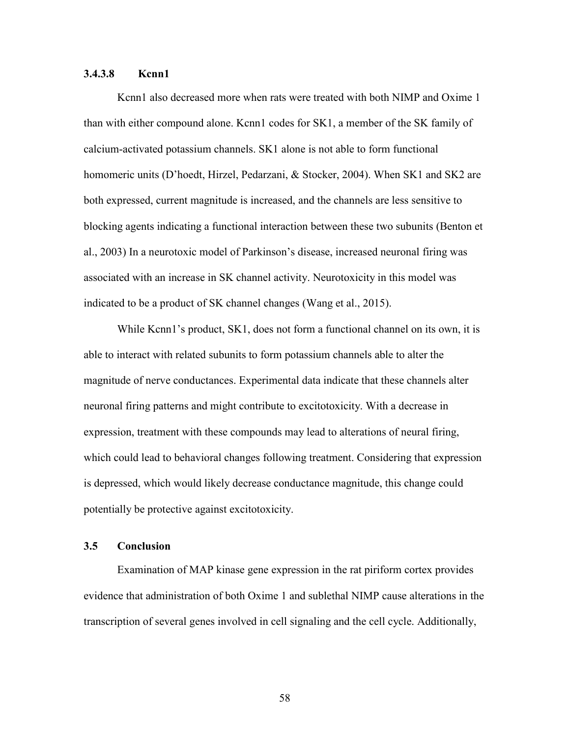# **3.4.3.8 Kcnn1**

Kcnn1 also decreased more when rats were treated with both NIMP and Oxime 1 than with either compound alone. Kcnn1 codes for SK1, a member of the SK family of calcium-activated potassium channels. SK1 alone is not able to form functional homomeric units (D'hoedt, Hirzel, Pedarzani, & Stocker, 2004). When SK1 and SK2 are both expressed, current magnitude is increased, and the channels are less sensitive to blocking agents indicating a functional interaction between these two subunits (Benton et al., 2003) In a neurotoxic model of Parkinson's disease, increased neuronal firing was associated with an increase in SK channel activity. Neurotoxicity in this model was indicated to be a product of SK channel changes (Wang et al., 2015).

While Kcnn1's product, SK1, does not form a functional channel on its own, it is able to interact with related subunits to form potassium channels able to alter the magnitude of nerve conductances. Experimental data indicate that these channels alter neuronal firing patterns and might contribute to excitotoxicity. With a decrease in expression, treatment with these compounds may lead to alterations of neural firing, which could lead to behavioral changes following treatment. Considering that expression is depressed, which would likely decrease conductance magnitude, this change could potentially be protective against excitotoxicity.

#### **3.5 Conclusion**

Examination of MAP kinase gene expression in the rat piriform cortex provides evidence that administration of both Oxime 1 and sublethal NIMP cause alterations in the transcription of several genes involved in cell signaling and the cell cycle. Additionally,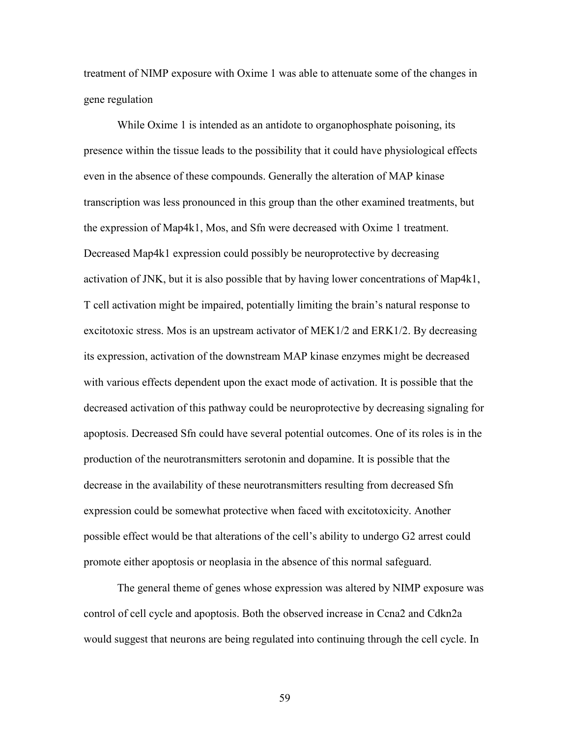treatment of NIMP exposure with Oxime 1 was able to attenuate some of the changes in gene regulation

While Oxime 1 is intended as an antidote to organophosphate poisoning, its presence within the tissue leads to the possibility that it could have physiological effects even in the absence of these compounds. Generally the alteration of MAP kinase transcription was less pronounced in this group than the other examined treatments, but the expression of Map4k1, Mos, and Sfn were decreased with Oxime 1 treatment. Decreased Map4k1 expression could possibly be neuroprotective by decreasing activation of JNK, but it is also possible that by having lower concentrations of Map4k1, T cell activation might be impaired, potentially limiting the brain's natural response to excitotoxic stress. Mos is an upstream activator of MEK1/2 and ERK1/2. By decreasing its expression, activation of the downstream MAP kinase enzymes might be decreased with various effects dependent upon the exact mode of activation. It is possible that the decreased activation of this pathway could be neuroprotective by decreasing signaling for apoptosis. Decreased Sfn could have several potential outcomes. One of its roles is in the production of the neurotransmitters serotonin and dopamine. It is possible that the decrease in the availability of these neurotransmitters resulting from decreased Sfn expression could be somewhat protective when faced with excitotoxicity. Another possible effect would be that alterations of the cell's ability to undergo G2 arrest could promote either apoptosis or neoplasia in the absence of this normal safeguard.

The general theme of genes whose expression was altered by NIMP exposure was control of cell cycle and apoptosis. Both the observed increase in Ccna2 and Cdkn2a would suggest that neurons are being regulated into continuing through the cell cycle. In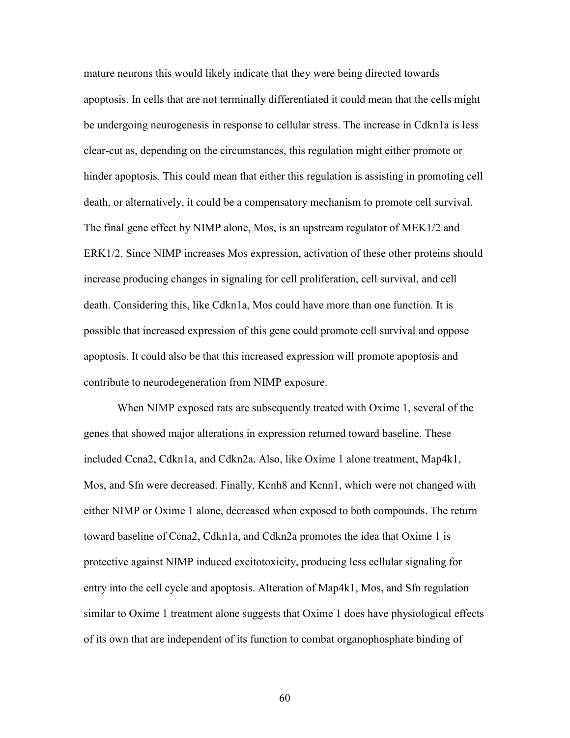mature neurons this would likely indicate that they were being directed towards apoptosis. In cells that are not terminally differentiated it could mean that the cells might be undergoing neurogenesis in response to cellular stress. The increase in Cdkn1a is less clear-cut as, depending on the circumstances, this regulation might either promote or hinder apoptosis. This could mean that either this regulation is assisting in promoting cell death, or alternatively, it could be a compensatory mechanism to promote cell survival. The final gene effect by NIMP alone, Mos, is an upstream regulator of MEK1/2 and ERK1/2. Since NIMP increases Mos expression, activation of these other proteins should increase producing changes in signaling for cell proliferation, cell survival, and cell death. Considering this, like Cdkn1a, Mos could have more than one function. It is possible that increased expression of this gene could promote cell survival and oppose apoptosis. It could also be that this increased expression will promote apoptosis and contribute to neurodegeneration from NIMP exposure.

When NIMP exposed rats are subsequently treated with Oxime 1, several of the genes that showed major alterations in expression returned toward baseline. These included Ccna2, Cdkn1a, and Cdkn2a. Also, like Oxime 1 alone treatment, Map4k1, Mos, and Sfn were decreased. Finally, Kcnh8 and Kcnn1, which were not changed with either NIMP or Oxime 1 alone, decreased when exposed to both compounds. The return toward baseline of Ccna2, Cdkn1a, and Cdkn2a promotes the idea that Oxime 1 is protective against NIMP induced excitotoxicity, producing less cellular signaling for entry into the cell cycle and apoptosis. Alteration of Map4k1, Mos, and Sfn regulation similar to Oxime 1 treatment alone suggests that Oxime 1 does have physiological effects of its own that are independent of its function to combat organophosphate binding of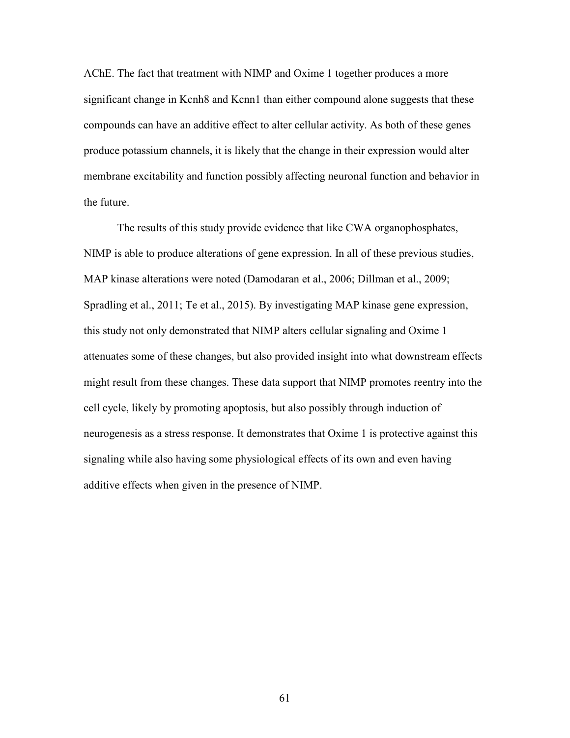AChE. The fact that treatment with NIMP and Oxime 1 together produces a more significant change in Kcnh8 and Kcnn1 than either compound alone suggests that these compounds can have an additive effect to alter cellular activity. As both of these genes produce potassium channels, it is likely that the change in their expression would alter membrane excitability and function possibly affecting neuronal function and behavior in the future.

The results of this study provide evidence that like CWA organophosphates, NIMP is able to produce alterations of gene expression. In all of these previous studies, MAP kinase alterations were noted (Damodaran et al., 2006; Dillman et al., 2009; Spradling et al., 2011; Te et al., 2015). By investigating MAP kinase gene expression, this study not only demonstrated that NIMP alters cellular signaling and Oxime 1 attenuates some of these changes, but also provided insight into what downstream effects might result from these changes. These data support that NIMP promotes reentry into the cell cycle, likely by promoting apoptosis, but also possibly through induction of neurogenesis as a stress response. It demonstrates that Oxime 1 is protective against this signaling while also having some physiological effects of its own and even having additive effects when given in the presence of NIMP.

61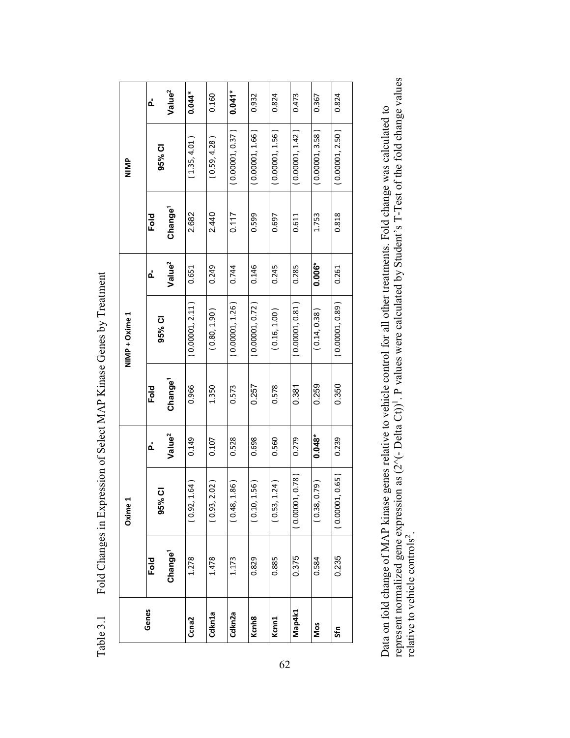|  | <b>SIMIN</b><br>NIMP + Oxime 1 | ፈ               | Value <sup>2</sup>  | $0.044*$        | 0.160           | $0.041*$        | 0.932             | 0.824              | 0.473           | 0.367            | 0.824           |
|--|--------------------------------|-----------------|---------------------|-----------------|-----------------|-----------------|-------------------|--------------------|-----------------|------------------|-----------------|
|  |                                | 95% CI          |                     | (1.35, 4.01)    | (0.59, 4.28)    | (0.00001, 0.37) | (0.00001, 1.66)   | (0.00001, 1.56)    | (0.00001, 1.42) | (0.00001, 3.58)  | (0.00001, 2.50) |
|  |                                | Fold            | Change <sup>1</sup> | 2.682           | 2.440           | 0.117           | 0.599             | 0.697              | 0.611           | 1.753            | 0.818           |
|  |                                | ፈ               | Value <sup>2</sup>  | 0.651           | 0.249           | 0.744           | 0.146             | 0.245              | 0.285           | $0.006*$         | 0.261           |
|  |                                | 95% CI          |                     | (0.00001, 2.11) | (0.80, 1.90)    | (0.00001, 1.26) | (0.00001, 0.72)   | (0.16, 1.00)       | (0.00001, 0.81) | (0.14, 0.38)     | (0.00001, 0.89) |
|  |                                | Fold            | Change <sup>1</sup> | 0.966           | 1.350           | 0.573           | 0.257             | 0.578              | 0.381           | 0.259            | 0.350           |
|  | Oxime:                         | ፈ               | Value <sup>2</sup>  | 0.149           | 0.107           | 0.528           | 0.698             | 0.560              | 0.279           | $0.048*$         | 0.239           |
|  |                                | <u>ರ</u><br>95% |                     | (0.92, 1.64)    | 2.02)<br>(0.93, | 1.86<br>(0.48,  | 1.56)<br>(0.10,   | 1.24)<br>(0.53, 1) | (0.00001, 0.78) | (62.7)<br>(0.38, | (0.00001, 0.65) |
|  |                                | Fold            | Change <sup>1</sup> | 1.278           | 1.478           | 1.173           | 0.829             | 0.885              | 0.375           | 0.584            | 0.235           |
|  | Genes                          |                 |                     | Ccna2           | Cdkn1a          | Cdkn2a          | Kcnh <sub>8</sub> | Kcnn1              | Map4k1          | Nos              | Sfn             |

Fold Changes in Expression of Select MAP Kinase Genes by Treatment Table 3.1 Fold Changes in Expression of Select MAP Kinase Genes by Treatment Table 3.1

represent normalized gene expression as  $(2^x(-\text{Delta Ct}))^1$ . P values were calculated by Student's T-Test of the fold change values relative to vehicle controls<sup>2</sup>. represent normalized gene expression as  $(2^{\wedge}(-\text{Delta Ct}))^1$ . P values were calculated by Student's T-Test of the fold change values Data on fold change of MAP kinase genes relative to vehicle control for all other treatments. Fold change was calculated to Data on fold change of MAP kinase genes relative to vehicle control for all other treatments. Fold change was calculated to relative to vehicle controls<sup>2</sup>.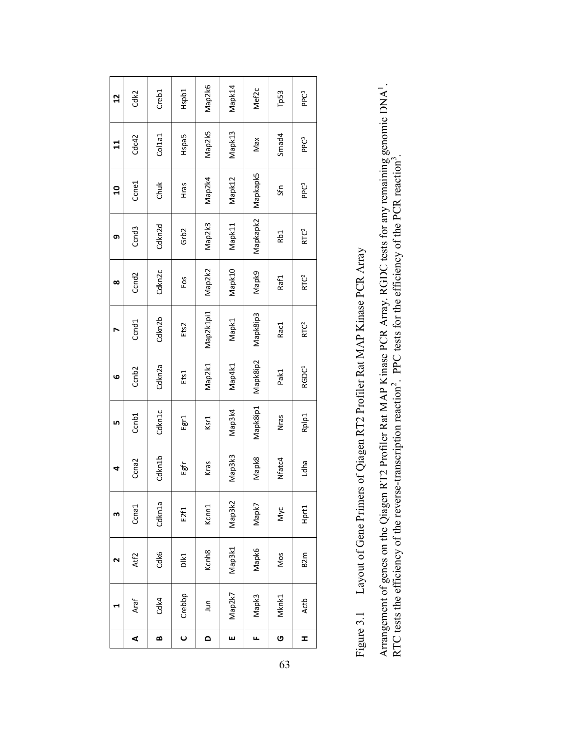Layout of Gene Primers of Qiagen RT2 Profiler Rat MAP Kinase PCR Array Figure 3.1 Layout of Gene Primers of Qiagen RT2 Profiler Rat MAP Kinase PCR Array Figure 3.1 Arrangement of genes on the Qiagen RT2 Profiler Rat MAP Kinase PCR Array. RGDC tests for any remaining genomic DNA<sup>1</sup>.<br>RTC tests the efficiency of the reverse-transcription reaction<sup>2</sup>. PPC tests for the efficiency of the Arrangement of genes on the Qiagen RT2 Profiler Rat MAP Kinase PCR Array. RGDC tests for any remaining genomic DNA<sup>1</sup>. RTC tests the efficiency of the reverse-transcription reaction<sup>2</sup>. PPC tests for the efficiency of the PCR reaction<sup>3</sup>.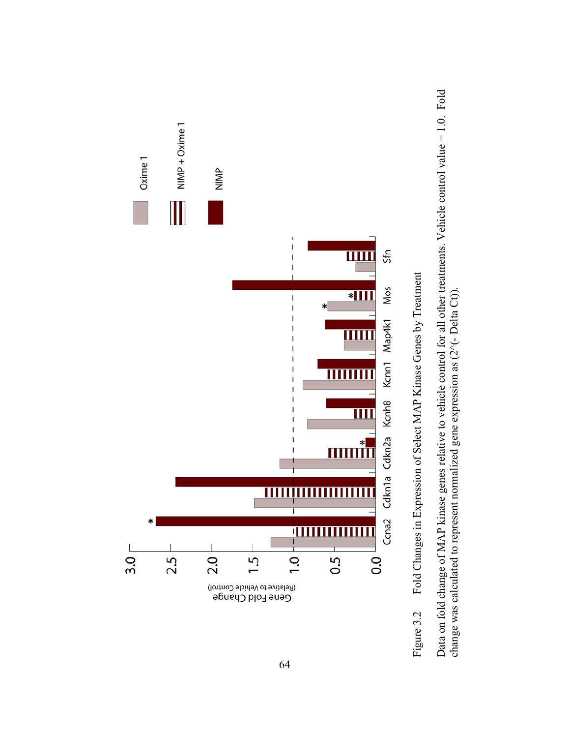

Fold Changes in Expression of Select MAP Kinase Genes by Treatment Figure 3.2 Fold Changes in Expression of Select MAP Kinase Genes by Treatment Figure 3.2

Data on fold change of MAP kinase genes relative to vehicle control for all other treatments. Vehicle control value = 1.0. Fold Data on fold change of MAP kinase genes relative to vehicle control for all other treatments. Vehicle control value = 1.0. Fold change was calculated to represent normalized gene expression as  $(2^{\wedge}(-\text{Delta Ct}))$ . change was calculated to represent normalized gene expression as  $(2^{\wedge}(-\text{Delta Ct}))$ .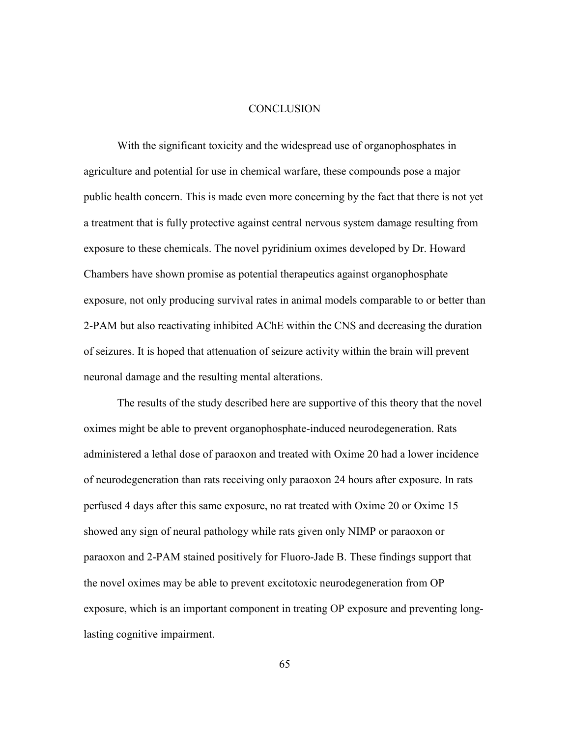## **CONCLUSION**

With the significant toxicity and the widespread use of organophosphates in agriculture and potential for use in chemical warfare, these compounds pose a major public health concern. This is made even more concerning by the fact that there is not yet a treatment that is fully protective against central nervous system damage resulting from exposure to these chemicals. The novel pyridinium oximes developed by Dr. Howard Chambers have shown promise as potential therapeutics against organophosphate exposure, not only producing survival rates in animal models comparable to or better than 2-PAM but also reactivating inhibited AChE within the CNS and decreasing the duration of seizures. It is hoped that attenuation of seizure activity within the brain will prevent neuronal damage and the resulting mental alterations.

 The results of the study described here are supportive of this theory that the novel oximes might be able to prevent organophosphate-induced neurodegeneration. Rats administered a lethal dose of paraoxon and treated with Oxime 20 had a lower incidence of neurodegeneration than rats receiving only paraoxon 24 hours after exposure. In rats perfused 4 days after this same exposure, no rat treated with Oxime 20 or Oxime 15 showed any sign of neural pathology while rats given only NIMP or paraoxon or paraoxon and 2-PAM stained positively for Fluoro-Jade B. These findings support that the novel oximes may be able to prevent excitotoxic neurodegeneration from OP exposure, which is an important component in treating OP exposure and preventing longlasting cognitive impairment.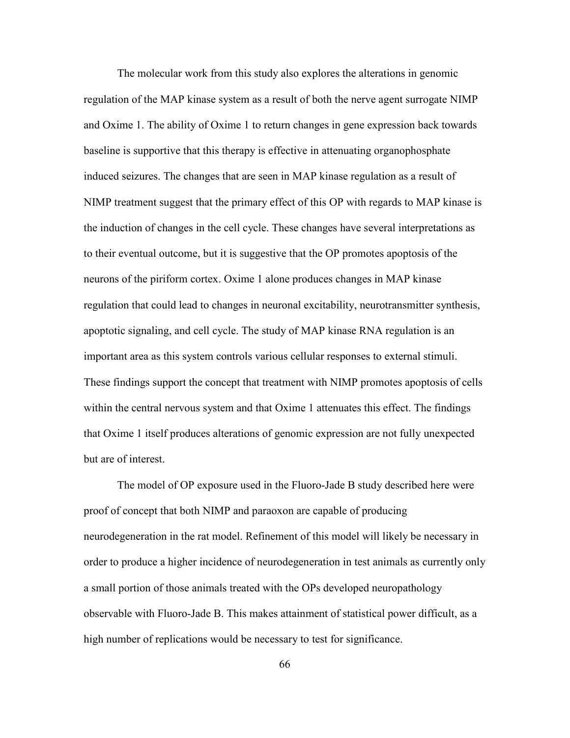The molecular work from this study also explores the alterations in genomic regulation of the MAP kinase system as a result of both the nerve agent surrogate NIMP and Oxime 1. The ability of Oxime 1 to return changes in gene expression back towards baseline is supportive that this therapy is effective in attenuating organophosphate induced seizures. The changes that are seen in MAP kinase regulation as a result of NIMP treatment suggest that the primary effect of this OP with regards to MAP kinase is the induction of changes in the cell cycle. These changes have several interpretations as to their eventual outcome, but it is suggestive that the OP promotes apoptosis of the neurons of the piriform cortex. Oxime 1 alone produces changes in MAP kinase regulation that could lead to changes in neuronal excitability, neurotransmitter synthesis, apoptotic signaling, and cell cycle. The study of MAP kinase RNA regulation is an important area as this system controls various cellular responses to external stimuli. These findings support the concept that treatment with NIMP promotes apoptosis of cells within the central nervous system and that Oxime 1 attenuates this effect. The findings that Oxime 1 itself produces alterations of genomic expression are not fully unexpected but are of interest.

 The model of OP exposure used in the Fluoro-Jade B study described here were proof of concept that both NIMP and paraoxon are capable of producing neurodegeneration in the rat model. Refinement of this model will likely be necessary in order to produce a higher incidence of neurodegeneration in test animals as currently only a small portion of those animals treated with the OPs developed neuropathology observable with Fluoro-Jade B. This makes attainment of statistical power difficult, as a high number of replications would be necessary to test for significance.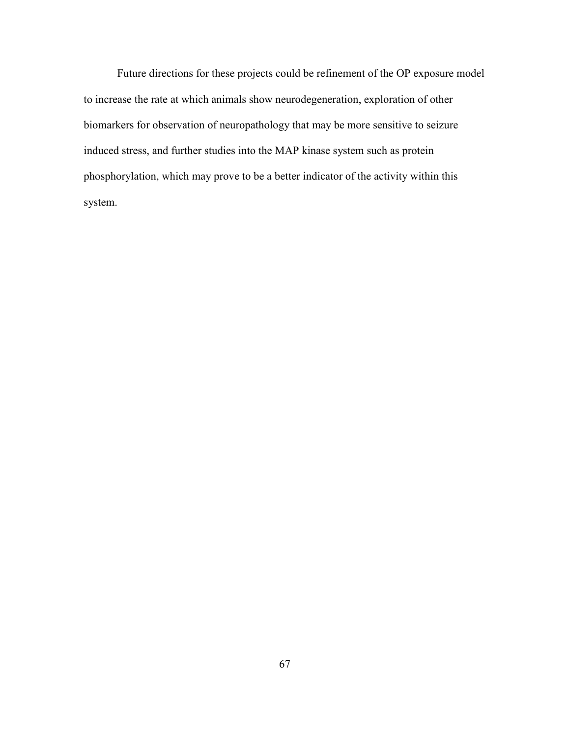Future directions for these projects could be refinement of the OP exposure model to increase the rate at which animals show neurodegeneration, exploration of other biomarkers for observation of neuropathology that may be more sensitive to seizure induced stress, and further studies into the MAP kinase system such as protein phosphorylation, which may prove to be a better indicator of the activity within this system.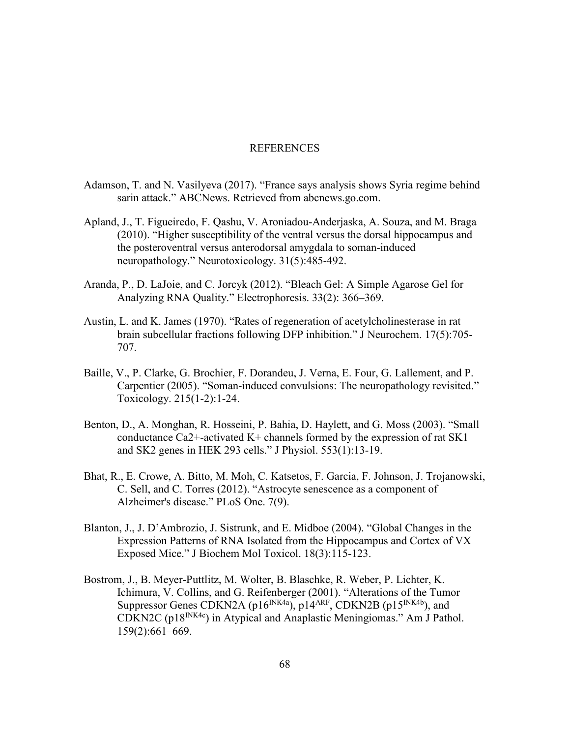## REFERENCES

- Adamson, T. and N. Vasilyeva (2017). "France says analysis shows Syria regime behind sarin attack." ABCNews. Retrieved from abcnews.go.com.
- Apland, J., T. Figueiredo, F. Qashu, V. Aroniadou-Anderjaska, A. Souza, and M. Braga (2010). "Higher susceptibility of the ventral versus the dorsal hippocampus and the posteroventral versus anterodorsal amygdala to soman-induced neuropathology." Neurotoxicology. 31(5):485-492.
- Aranda, P., D. LaJoie, and C. Jorcyk (2012). "Bleach Gel: A Simple Agarose Gel for Analyzing RNA Quality." Electrophoresis. 33(2): 366–369.
- Austin, L. and K. James (1970). "Rates of regeneration of acetylcholinesterase in rat brain subcellular fractions following DFP inhibition." J Neurochem. 17(5):705- 707.
- Baille, V., P. Clarke, G. Brochier, F. Dorandeu, J. Verna, E. Four, G. Lallement, and P. Carpentier (2005). "Soman-induced convulsions: The neuropathology revisited." Toxicology. 215(1-2):1-24.
- Benton, D., A. Monghan, R. Hosseini, P. Bahia, D. Haylett, and G. Moss (2003). "Small conductance Ca2+-activated K+ channels formed by the expression of rat SK1 and SK2 genes in HEK 293 cells." J Physiol. 553(1):13-19.
- Bhat, R., E. Crowe, A. Bitto, M. Moh, C. Katsetos, F. Garcia, F. Johnson, J. Trojanowski, C. Sell, and C. Torres (2012). "Astrocyte senescence as a component of Alzheimer's disease." PLoS One. 7(9).
- Blanton, J., J. D'Ambrozio, J. Sistrunk, and E. Midboe (2004). "Global Changes in the Expression Patterns of RNA Isolated from the Hippocampus and Cortex of VX Exposed Mice." J Biochem Mol Toxicol. 18(3):115-123.
- Bostrom, J., B. Meyer-Puttlitz, M. Wolter, B. Blaschke, R. Weber, P. Lichter, K. Ichimura, V. Collins, and G. Reifenberger (2001). "Alterations of the Tumor Suppressor Genes CDKN2A (p16<sup>INK4a</sup>), p14<sup>ARF</sup>, CDKN2B (p15<sup>INK4b</sup>), and CDKN2C ( $p18^{NK4c}$ ) in Atypical and Anaplastic Meningiomas." Am J Pathol. 159(2):661–669.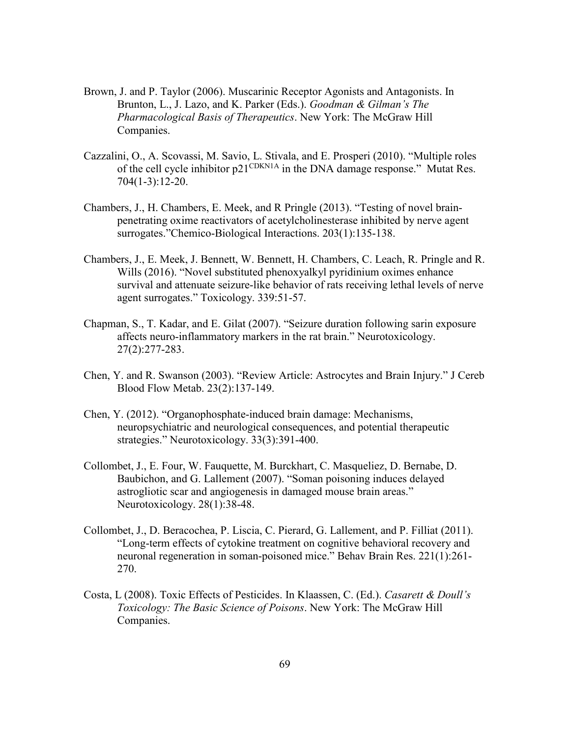- Brown, J. and P. Taylor (2006). Muscarinic Receptor Agonists and Antagonists. In Brunton, L., J. Lazo, and K. Parker (Eds.). *Goodman & Gilman's The Pharmacological Basis of Therapeutics*. New York: The McGraw Hill Companies.
- Cazzalini, O., A. Scovassi, M. Savio, L. Stivala, and E. Prosperi (2010). "Multiple roles of the cell cycle inhibitor  $p21^{\text{CDKN1A}}$  in the DNA damage response." Mutat Res. 704(1-3):12-20.
- Chambers, J., H. Chambers, E. Meek, and R Pringle (2013). "Testing of novel brainpenetrating oxime reactivators of acetylcholinesterase inhibited by nerve agent surrogates."Chemico-Biological Interactions. 203(1):135-138.
- Chambers, J., E. Meek, J. Bennett, W. Bennett, H. Chambers, C. Leach, R. Pringle and R. Wills (2016). "Novel substituted phenoxyalkyl pyridinium oximes enhance survival and attenuate seizure-like behavior of rats receiving lethal levels of nerve agent surrogates." Toxicology. 339:51-57.
- Chapman, S., T. Kadar, and E. Gilat (2007). "Seizure duration following sarin exposure affects neuro-inflammatory markers in the rat brain." Neurotoxicology. 27(2):277-283.
- Chen, Y. and R. Swanson (2003). "Review Article: Astrocytes and Brain Injury." J Cereb Blood Flow Metab. 23(2):137-149.
- Chen, Y. (2012). "Organophosphate-induced brain damage: Mechanisms, neuropsychiatric and neurological consequences, and potential therapeutic strategies." Neurotoxicology. 33(3):391-400.
- Collombet, J., E. Four, W. Fauquette, M. Burckhart, C. Masqueliez, D. Bernabe, D. Baubichon, and G. Lallement (2007). "Soman poisoning induces delayed astrogliotic scar and angiogenesis in damaged mouse brain areas." Neurotoxicology. 28(1):38-48.
- Collombet, J., D. Beracochea, P. Liscia, C. Pierard, G. Lallement, and P. Filliat (2011). "Long-term effects of cytokine treatment on cognitive behavioral recovery and neuronal regeneration in soman-poisoned mice." Behav Brain Res. 221(1):261- 270.
- Costa, L (2008). Toxic Effects of Pesticides. In Klaassen, C. (Ed.). *Casarett & Doull's Toxicology: The Basic Science of Poisons*. New York: The McGraw Hill Companies.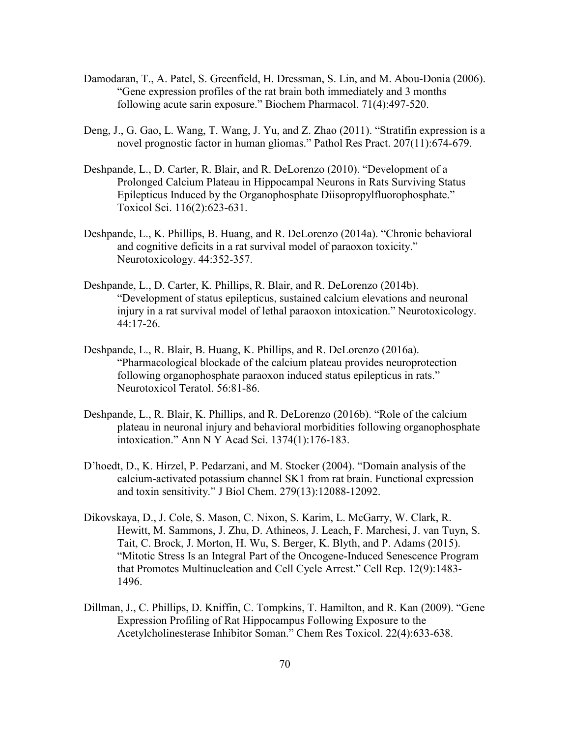- Damodaran, T., A. Patel, S. Greenfield, H. Dressman, S. Lin, and M. Abou-Donia (2006). "Gene expression profiles of the rat brain both immediately and 3 months following acute sarin exposure." Biochem Pharmacol. 71(4):497-520.
- Deng, J., G. Gao, L. Wang, T. Wang, J. Yu, and Z. Zhao (2011). "Stratifin expression is a novel prognostic factor in human gliomas." Pathol Res Pract. 207(11):674-679.
- Deshpande, L., D. Carter, R. Blair, and R. DeLorenzo (2010). "Development of a Prolonged Calcium Plateau in Hippocampal Neurons in Rats Surviving Status Epilepticus Induced by the Organophosphate Diisopropylfluorophosphate." Toxicol Sci. 116(2):623-631.
- Deshpande, L., K. Phillips, B. Huang, and R. DeLorenzo (2014a). "Chronic behavioral and cognitive deficits in a rat survival model of paraoxon toxicity." Neurotoxicology. 44:352-357.
- Deshpande, L., D. Carter, K. Phillips, R. Blair, and R. DeLorenzo (2014b). "Development of status epilepticus, sustained calcium elevations and neuronal injury in a rat survival model of lethal paraoxon intoxication." Neurotoxicology. 44:17-26.
- Deshpande, L., R. Blair, B. Huang, K. Phillips, and R. DeLorenzo (2016a). "Pharmacological blockade of the calcium plateau provides neuroprotection following organophosphate paraoxon induced status epilepticus in rats." Neurotoxicol Teratol. 56:81-86.
- Deshpande, L., R. Blair, K. Phillips, and R. DeLorenzo (2016b). "Role of the calcium plateau in neuronal injury and behavioral morbidities following organophosphate intoxication." Ann N Y Acad Sci. 1374(1):176-183.
- D'hoedt, D., K. Hirzel, P. Pedarzani, and M. Stocker (2004). "Domain analysis of the calcium-activated potassium channel SK1 from rat brain. Functional expression and toxin sensitivity." J Biol Chem. 279(13):12088-12092.
- Dikovskaya, D., J. Cole, S. Mason, C. Nixon, S. Karim, L. McGarry, W. Clark, R. Hewitt, M. Sammons, J. Zhu, D. Athineos, J. Leach, F. Marchesi, J. van Tuyn, S. Tait, C. Brock, J. Morton, H. Wu, S. Berger, K. Blyth, and P. Adams (2015). "Mitotic Stress Is an Integral Part of the Oncogene-Induced Senescence Program that Promotes Multinucleation and Cell Cycle Arrest." Cell Rep. 12(9):1483- 1496.
- Dillman, J., C. Phillips, D. Kniffin, C. Tompkins, T. Hamilton, and R. Kan (2009). "Gene Expression Profiling of Rat Hippocampus Following Exposure to the Acetylcholinesterase Inhibitor Soman." Chem Res Toxicol. 22(4):633-638.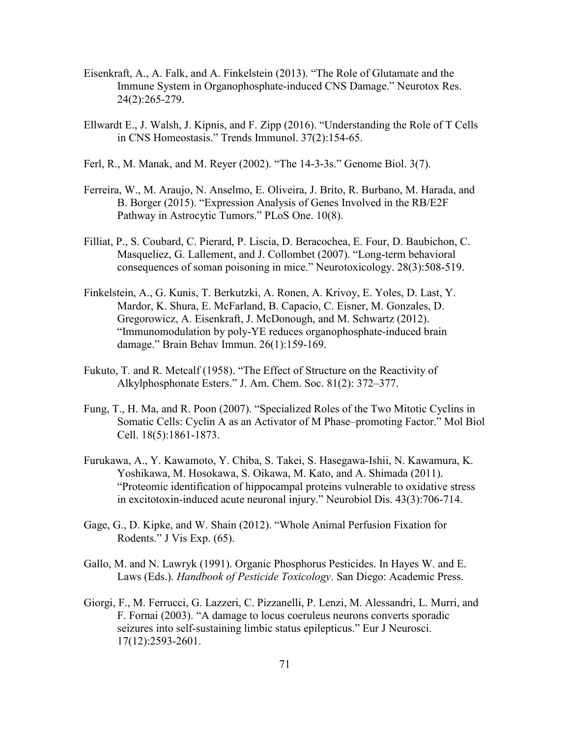- Eisenkraft, A., A. Falk, and A. Finkelstein (2013). "The Role of Glutamate and the Immune System in Organophosphate-induced CNS Damage." Neurotox Res. 24(2):265-279.
- Ellwardt E., J. Walsh, J. Kipnis, and F. Zipp (2016). "Understanding the Role of T Cells in CNS Homeostasis." Trends Immunol. 37(2):154-65.
- Ferl, R., M. Manak, and M. Reyer (2002). "The 14-3-3s." Genome Biol. 3(7).
- Ferreira, W., M. Araujo, N. Anselmo, E. Oliveira, J. Brito, R. Burbano, M. Harada, and B. Borger (2015). "Expression Analysis of Genes Involved in the RB/E2F Pathway in Astrocytic Tumors." PLoS One. 10(8).
- Filliat, P., S. Coubard, C. Pierard, P. Liscia, D. Beracochea, E. Four, D. Baubichon, C. Masqueliez, G. Lallement, and J. Collombet (2007). "Long-term behavioral consequences of soman poisoning in mice." Neurotoxicology. 28(3):508-519.
- Finkelstein, A., G. Kunis, T. Berkutzki, A. Ronen, A. Krivoy, E. Yoles, D. Last, Y. Mardor, K. Shura, E. McFarland, B. Capacio, C. Eisner, M. Gonzales, D. Gregorowicz, A. Eisenkraft, J. McDonough, and M. Schwartz (2012). "Immunomodulation by poly-YE reduces organophosphate-induced brain damage." Brain Behav Immun. 26(1):159-169.
- Fukuto, T. and R. Metcalf (1958). "The Effect of Structure on the Reactivity of Alkylphosphonate Esters." J. Am. Chem. Soc. 81(2): 372–377.
- Fung, T., H. Ma, and R. Poon (2007). "Specialized Roles of the Two Mitotic Cyclins in Somatic Cells: Cyclin A as an Activator of M Phase–promoting Factor." Mol Biol Cell. 18(5):1861-1873.
- Furukawa, A., Y. Kawamoto, Y. Chiba, S. Takei, S. Hasegawa-Ishii, N. Kawamura, K. Yoshikawa, M. Hosokawa, S. Oikawa, M. Kato, and A. Shimada (2011). "Proteomic identification of hippocampal proteins vulnerable to oxidative stress in excitotoxin-induced acute neuronal injury." Neurobiol Dis. 43(3):706-714.
- Gage, G., D. Kipke, and W. Shain (2012). "Whole Animal Perfusion Fixation for Rodents." J Vis Exp. (65).
- Gallo, M. and N. Lawryk (1991). Organic Phosphorus Pesticides. In Hayes W. and E. Laws (Eds.). *Handbook of Pesticide Toxicology*. San Diego: Academic Press.
- Giorgi, F., M. Ferrucci, G. Lazzeri, C. Pizzanelli, P. Lenzi, M. Alessandri, L. Murri, and F. Fornai (2003). "A damage to locus coeruleus neurons converts sporadic seizures into self-sustaining limbic status epilepticus." Eur J Neurosci. 17(12):2593-2601.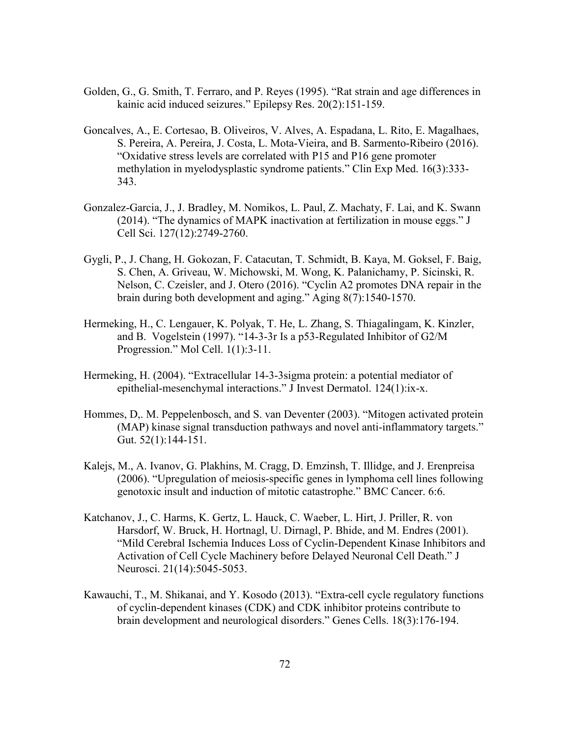- Golden, G., G. Smith, T. Ferraro, and P. Reyes (1995). "Rat strain and age differences in kainic acid induced seizures." Epilepsy Res. 20(2):151-159.
- Goncalves, A., E. Cortesao, B. Oliveiros, V. Alves, A. Espadana, L. Rito, E. Magalhaes, S. Pereira, A. Pereira, J. Costa, L. Mota-Vieira, and B. Sarmento-Ribeiro (2016). "Oxidative stress levels are correlated with P15 and P16 gene promoter methylation in myelodysplastic syndrome patients." Clin Exp Med. 16(3):333- 343.
- Gonzalez-Garcia, J., J. Bradley, M. Nomikos, L. Paul, Z. Machaty, F. Lai, and K. Swann (2014). "The dynamics of MAPK inactivation at fertilization in mouse eggs." J Cell Sci. 127(12):2749-2760.
- Gygli, P., J. Chang, H. Gokozan, F. Catacutan, T. Schmidt, B. Kaya, M. Goksel, F. Baig, S. Chen, A. Griveau, W. Michowski, M. Wong, K. Palanichamy, P. Sicinski, R. Nelson, C. Czeisler, and J. Otero (2016). "Cyclin A2 promotes DNA repair in the brain during both development and aging." Aging 8(7):1540-1570.
- Hermeking, H., C. Lengauer, K. Polyak, T. He, L. Zhang, S. Thiagalingam, K. Kinzler, and B. Vogelstein (1997). "14-3-3r Is a p53-Regulated Inhibitor of G2/M Progression." Mol Cell. 1(1):3-11.
- Hermeking, H. (2004). "Extracellular 14-3-3sigma protein: a potential mediator of epithelial-mesenchymal interactions." J Invest Dermatol. 124(1):ix-x.
- Hommes, D,. M. Peppelenbosch, and S. van Deventer (2003). "Mitogen activated protein (MAP) kinase signal transduction pathways and novel anti-inflammatory targets." Gut. 52(1):144-151.
- Kalejs, M., A. Ivanov, G. Plakhins, M. Cragg, D. Emzinsh, T. Illidge, and J. Erenpreisa (2006). "Upregulation of meiosis-specific genes in lymphoma cell lines following genotoxic insult and induction of mitotic catastrophe." BMC Cancer. 6:6.
- Katchanov, J., C. Harms, K. Gertz, L. Hauck, C. Waeber, L. Hirt, J. Priller, R. von Harsdorf, W. Bruck, H. Hortnagl, U. Dirnagl, P. Bhide, and M. Endres (2001). "Mild Cerebral Ischemia Induces Loss of Cyclin-Dependent Kinase Inhibitors and Activation of Cell Cycle Machinery before Delayed Neuronal Cell Death." J Neurosci. 21(14):5045-5053.
- Kawauchi, T., M. Shikanai, and Y. Kosodo (2013). "Extra-cell cycle regulatory functions of cyclin-dependent kinases (CDK) and CDK inhibitor proteins contribute to brain development and neurological disorders." Genes Cells. 18(3):176-194.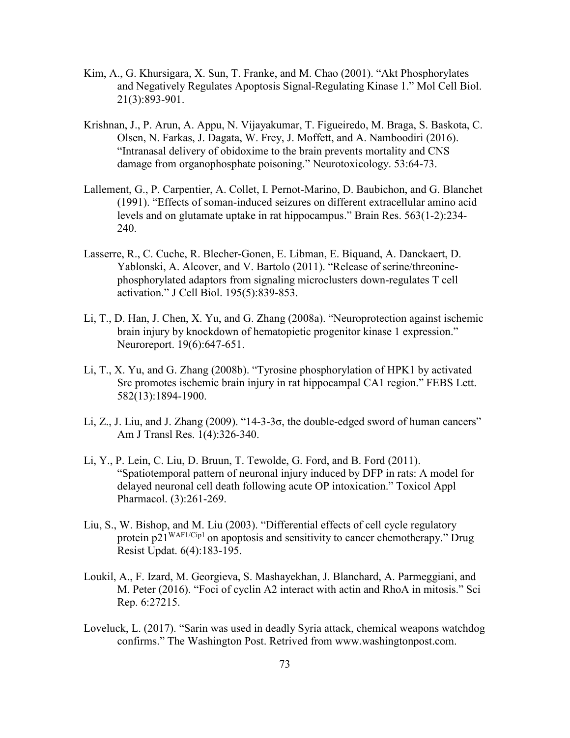- Kim, A., G. Khursigara, X. Sun, T. Franke, and M. Chao (2001). "Akt Phosphorylates and Negatively Regulates Apoptosis Signal-Regulating Kinase 1." Mol Cell Biol. 21(3):893-901.
- Krishnan, J., P. Arun, A. Appu, N. Vijayakumar, T. Figueiredo, M. Braga, S. Baskota, C. Olsen, N. Farkas, J. Dagata, W. Frey, J. Moffett, and A. Namboodiri (2016). "Intranasal delivery of obidoxime to the brain prevents mortality and CNS damage from organophosphate poisoning." Neurotoxicology. 53:64-73.
- Lallement, G., P. Carpentier, A. Collet, I. Pernot-Marino, D. Baubichon, and G. Blanchet (1991). "Effects of soman-induced seizures on different extracellular amino acid levels and on glutamate uptake in rat hippocampus." Brain Res. 563(1-2):234- 240.
- Lasserre, R., C. Cuche, R. Blecher-Gonen, E. Libman, E. Biquand, A. Danckaert, D. Yablonski, A. Alcover, and V. Bartolo (2011). "Release of serine/threoninephosphorylated adaptors from signaling microclusters down-regulates T cell activation." J Cell Biol. 195(5):839-853.
- Li, T., D. Han, J. Chen, X. Yu, and G. Zhang (2008a). "Neuroprotection against ischemic brain injury by knockdown of hematopietic progenitor kinase 1 expression." Neuroreport. 19(6):647-651.
- Li, T., X. Yu, and G. Zhang (2008b). "Tyrosine phosphorylation of HPK1 by activated Src promotes ischemic brain injury in rat hippocampal CA1 region." FEBS Lett. 582(13):1894-1900.
- Li, Z., J. Liu, and J. Zhang  $(2009)$ . "14-3-3 $\sigma$ , the double-edged sword of human cancers" Am J Transl Res. 1(4):326-340.
- Li, Y., P. Lein, C. Liu, D. Bruun, T. Tewolde, G. Ford, and B. Ford (2011). "Spatiotemporal pattern of neuronal injury induced by DFP in rats: A model for delayed neuronal cell death following acute OP intoxication." Toxicol Appl Pharmacol. (3):261-269.
- Liu, S., W. Bishop, and M. Liu (2003). "Differential effects of cell cycle regulatory protein  $p21^{WAF1/Cip1}$  on apoptosis and sensitivity to cancer chemotherapy." Drug Resist Updat. 6(4):183-195.
- Loukil, A., F. Izard, M. Georgieva, S. Mashayekhan, J. Blanchard, A. Parmeggiani, and M. Peter (2016). "Foci of cyclin A2 interact with actin and RhoA in mitosis." Sci Rep. 6:27215.
- Loveluck, L. (2017). "Sarin was used in deadly Syria attack, chemical weapons watchdog confirms." The Washington Post. Retrived from www.washingtonpost.com.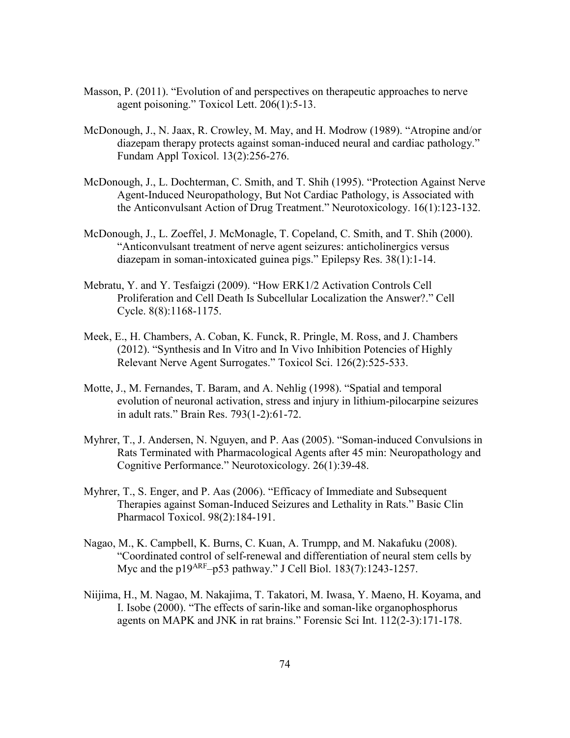- Masson, P. (2011). "Evolution of and perspectives on therapeutic approaches to nerve agent poisoning." Toxicol Lett. 206(1):5-13.
- McDonough, J., N. Jaax, R. Crowley, M. May, and H. Modrow (1989). "Atropine and/or diazepam therapy protects against soman-induced neural and cardiac pathology." Fundam Appl Toxicol. 13(2):256-276.
- McDonough, J., L. Dochterman, C. Smith, and T. Shih (1995). "Protection Against Nerve Agent-Induced Neuropathology, But Not Cardiac Pathology, is Associated with the Anticonvulsant Action of Drug Treatment." Neurotoxicology. 16(1):123-132.
- McDonough, J., L. Zoeffel, J. McMonagle, T. Copeland, C. Smith, and T. Shih (2000). "Anticonvulsant treatment of nerve agent seizures: anticholinergics versus diazepam in soman-intoxicated guinea pigs." Epilepsy Res. 38(1):1-14.
- Mebratu, Y. and Y. Tesfaigzi (2009). "How ERK1/2 Activation Controls Cell Proliferation and Cell Death Is Subcellular Localization the Answer?." Cell Cycle. 8(8):1168-1175.
- Meek, E., H. Chambers, A. Coban, K. Funck, R. Pringle, M. Ross, and J. Chambers (2012). "Synthesis and In Vitro and In Vivo Inhibition Potencies of Highly Relevant Nerve Agent Surrogates." Toxicol Sci. 126(2):525-533.
- Motte, J., M. Fernandes, T. Baram, and A. Nehlig (1998). "Spatial and temporal evolution of neuronal activation, stress and injury in lithium-pilocarpine seizures in adult rats." Brain Res. 793(1-2):61-72.
- Myhrer, T., J. Andersen, N. Nguyen, and P. Aas (2005). "Soman-induced Convulsions in Rats Terminated with Pharmacological Agents after 45 min: Neuropathology and Cognitive Performance." Neurotoxicology. 26(1):39-48.
- Myhrer, T., S. Enger, and P. Aas (2006). "Efficacy of Immediate and Subsequent Therapies against Soman-Induced Seizures and Lethality in Rats." Basic Clin Pharmacol Toxicol. 98(2):184-191.
- Nagao, M., K. Campbell, K. Burns, C. Kuan, A. Trumpp, and M. Nakafuku (2008). "Coordinated control of self-renewal and differentiation of neural stem cells by Myc and the p19ARF–p53 pathway." J Cell Biol. 183(7):1243-1257.
- Niijima, H., M. Nagao, M. Nakajima, T. Takatori, M. Iwasa, Y. Maeno, H. Koyama, and I. Isobe (2000). "The effects of sarin-like and soman-like organophosphorus agents on MAPK and JNK in rat brains." Forensic Sci Int. 112(2-3):171-178.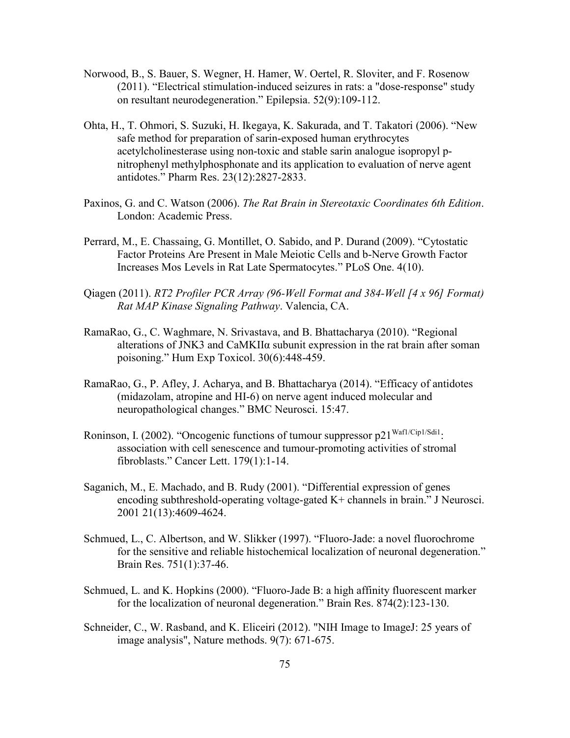- Norwood, B., S. Bauer, S. Wegner, H. Hamer, W. Oertel, R. Sloviter, and F. Rosenow (2011). "Electrical stimulation-induced seizures in rats: a "dose-response" study on resultant neurodegeneration." Epilepsia. 52(9):109-112.
- Ohta, H., T. Ohmori, S. Suzuki, H. Ikegaya, K. Sakurada, and T. Takatori (2006). "New safe method for preparation of sarin-exposed human erythrocytes acetylcholinesterase using non-toxic and stable sarin analogue isopropyl pnitrophenyl methylphosphonate and its application to evaluation of nerve agent antidotes." Pharm Res. 23(12):2827-2833.
- Paxinos, G. and C. Watson (2006). *The Rat Brain in Stereotaxic Coordinates 6th Edition*. London: Academic Press.
- Perrard, M., E. Chassaing, G. Montillet, O. Sabido, and P. Durand (2009). "Cytostatic Factor Proteins Are Present in Male Meiotic Cells and b-Nerve Growth Factor Increases Mos Levels in Rat Late Spermatocytes." PLoS One. 4(10).
- Qiagen (2011). *RT2 Profiler PCR Array (96-Well Format and 384-Well [4 x 96] Format) Rat MAP Kinase Signaling Pathway*. Valencia, CA.
- RamaRao, G., C. Waghmare, N. Srivastava, and B. Bhattacharya (2010). "Regional alterations of JNK3 and CaMKIIα subunit expression in the rat brain after soman poisoning." Hum Exp Toxicol. 30(6):448-459.
- RamaRao, G., P. Afley, J. Acharya, and B. Bhattacharya (2014). "Efficacy of antidotes (midazolam, atropine and HI-6) on nerve agent induced molecular and neuropathological changes." BMC Neurosci. 15:47.
- Roninson, I. (2002). "Oncogenic functions of tumour suppressor p21<sup>Waf1/Cip1/Sdi1</sup>: association with cell senescence and tumour-promoting activities of stromal fibroblasts." Cancer Lett. 179(1):1-14.
- Saganich, M., E. Machado, and B. Rudy (2001). "Differential expression of genes encoding subthreshold-operating voltage-gated K+ channels in brain." J Neurosci. 2001 21(13):4609-4624.
- Schmued, L., C. Albertson, and W. Slikker (1997). "Fluoro-Jade: a novel fluorochrome for the sensitive and reliable histochemical localization of neuronal degeneration." Brain Res. 751(1):37-46.
- Schmued, L. and K. Hopkins (2000). "Fluoro-Jade B: a high affinity fluorescent marker for the localization of neuronal degeneration." Brain Res. 874(2):123-130.
- Schneider, C., W. Rasband, and K. Eliceiri (2012). "NIH Image to ImageJ: 25 years of image analysis", Nature methods. 9(7): 671-675.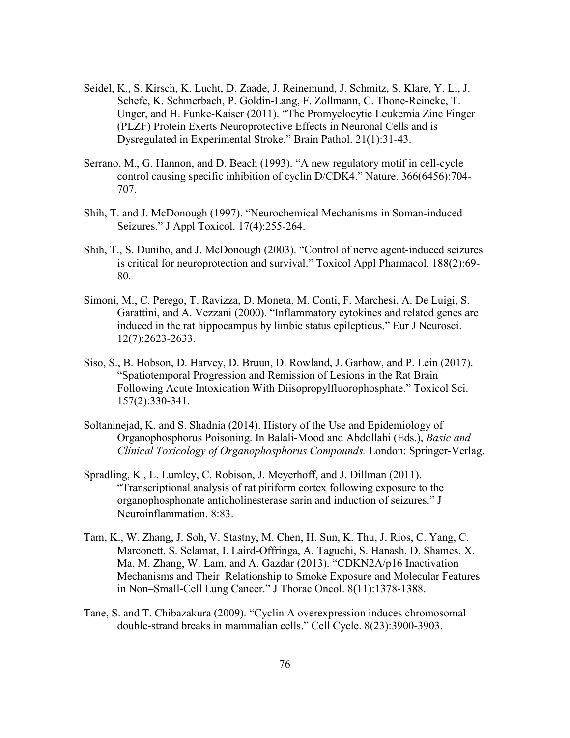- Seidel, K., S. Kirsch, K. Lucht, D. Zaade, J. Reinemund, J. Schmitz, S. Klare, Y. Li, J. Schefe, K. Schmerbach, P. Goldin-Lang, F. Zollmann, C. Thone-Reineke, T. Unger, and H. Funke-Kaiser (2011). "The Promyelocytic Leukemia Zinc Finger (PLZF) Protein Exerts Neuroprotective Effects in Neuronal Cells and is Dysregulated in Experimental Stroke." Brain Pathol. 21(1):31-43.
- Serrano, M., G. Hannon, and D. Beach (1993). "A new regulatory motif in cell-cycle control causing specific inhibition of cyclin D/CDK4." Nature. 366(6456):704- 707.
- Shih, T. and J. McDonough (1997). "Neurochemical Mechanisms in Soman-induced Seizures." J Appl Toxicol. 17(4):255-264.
- Shih, T., S. Duniho, and J. McDonough (2003). "Control of nerve agent-induced seizures is critical for neuroprotection and survival." Toxicol Appl Pharmacol. 188(2):69- 80.
- Simoni, M., C. Perego, T. Ravizza, D. Moneta, M. Conti, F. Marchesi, A. De Luigi, S. Garattini, and A. Vezzani (2000). "Inflammatory cytokines and related genes are induced in the rat hippocampus by limbic status epilepticus." Eur J Neurosci. 12(7):2623-2633.
- Siso, S., B. Hobson, D. Harvey, D. Bruun, D. Rowland, J. Garbow, and P. Lein (2017). "Spatiotemporal Progression and Remission of Lesions in the Rat Brain Following Acute Intoxication With Diisopropylfluorophosphate." Toxicol Sci. 157(2):330-341.
- Soltaninejad, K. and S. Shadnia (2014). History of the Use and Epidemiology of Organophosphorus Poisoning. In Balali-Mood and Abdollahi (Eds.), *Basic and Clinical Toxicology of Organophosphorus Compounds.* London: Springer-Verlag.
- Spradling, K., L. Lumley, C. Robison, J. Meyerhoff, and J. Dillman (2011). "Transcriptional analysis of rat piriform cortex following exposure to the organophosphonate anticholinesterase sarin and induction of seizures." J Neuroinflammation. 8:83.
- Tam, K., W. Zhang, J. Soh, V. Stastny, M. Chen, H. Sun, K. Thu, J. Rios, C. Yang, C. Marconett, S. Selamat, I. Laird-Offringa, A. Taguchi, S. Hanash, D. Shames, X. Ma, M. Zhang, W. Lam, and A. Gazdar (2013). "CDKN2A/p16 Inactivation Mechanisms and Their Relationship to Smoke Exposure and Molecular Features in Non–Small-Cell Lung Cancer." J Thorac Oncol. 8(11):1378-1388.
- Tane, S. and T. Chibazakura (2009). "Cyclin A overexpression induces chromosomal double-strand breaks in mammalian cells." Cell Cycle. 8(23):3900-3903.